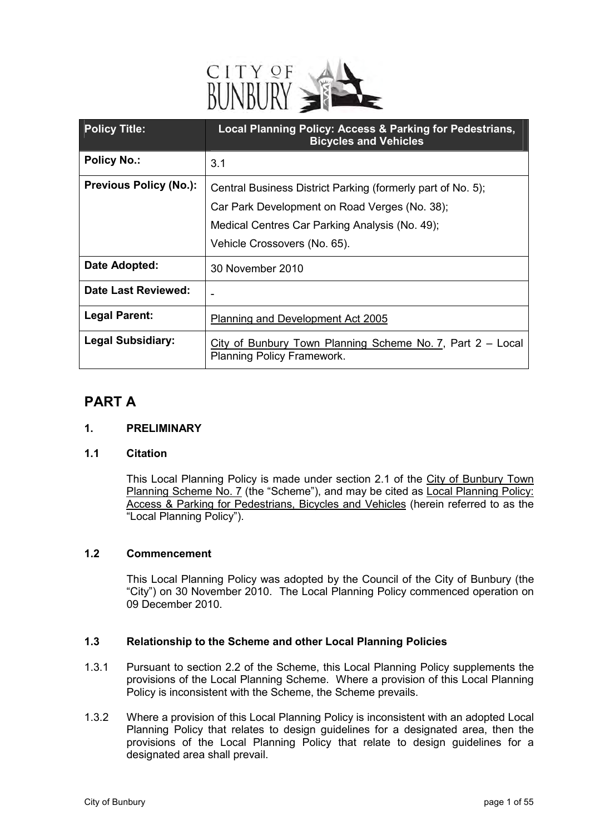

| <b>Policy Title:</b>          | Local Planning Policy: Access & Parking for Pedestrians,<br><b>Bicycles and Vehicles</b>                                                                       |
|-------------------------------|----------------------------------------------------------------------------------------------------------------------------------------------------------------|
| <b>Policy No.:</b>            | 3.1                                                                                                                                                            |
| <b>Previous Policy (No.):</b> | Central Business District Parking (formerly part of No. 5);<br>Car Park Development on Road Verges (No. 38);<br>Medical Centres Car Parking Analysis (No. 49); |
| Date Adopted:                 | Vehicle Crossovers (No. 65).<br>30 November 2010                                                                                                               |
| Date Last Reviewed:           |                                                                                                                                                                |
|                               |                                                                                                                                                                |
| <b>Legal Parent:</b>          | Planning and Development Act 2005                                                                                                                              |
| <b>Legal Subsidiary:</b>      | City of Bunbury Town Planning Scheme No. 7, Part $2 - Local$<br>Planning Policy Framework.                                                                     |

## **PART A**

#### **1. PRELIMINARY**

#### **1.1 Citation**

This Local Planning Policy is made under section 2.1 of the City of Bunbury Town Planning Scheme No. 7 (the "Scheme"), and may be cited as Local Planning Policy: Access & Parking for Pedestrians, Bicycles and Vehicles (herein referred to as the "Local Planning Policy").

#### **1.2 Commencement**

This Local Planning Policy was adopted by the Council of the City of Bunbury (the "City") on 30 November 2010. The Local Planning Policy commenced operation on 09 December 2010.

#### **1.3 Relationship to the Scheme and other Local Planning Policies**

- 1.3.1 Pursuant to section 2.2 of the Scheme, this Local Planning Policy supplements the provisions of the Local Planning Scheme. Where a provision of this Local Planning Policy is inconsistent with the Scheme, the Scheme prevails.
- 1.3.2 Where a provision of this Local Planning Policy is inconsistent with an adopted Local Planning Policy that relates to design guidelines for a designated area, then the provisions of the Local Planning Policy that relate to design guidelines for a designated area shall prevail.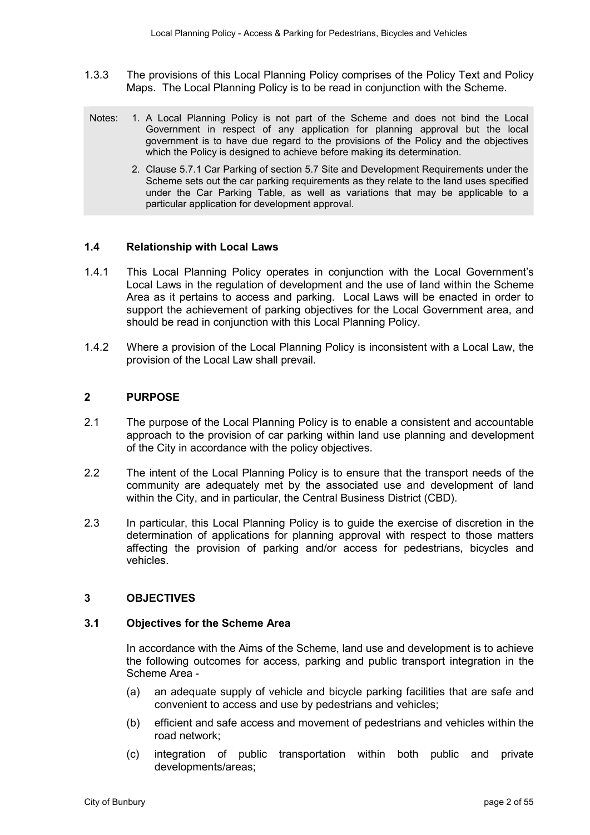- 1.3.3 The provisions of this Local Planning Policy comprises of the Policy Text and Policy Maps. The Local Planning Policy is to be read in conjunction with the Scheme.
- Notes: 1. A Local Planning Policy is not part of the Scheme and does not bind the Local Government in respect of any application for planning approval but the local government is to have due regard to the provisions of the Policy and the objectives which the Policy is designed to achieve before making its determination.
	- 2. Clause 5.7.1 Car Parking of section 5.7 Site and Development Requirements under the Scheme sets out the car parking requirements as they relate to the land uses specified under the Car Parking Table, as well as variations that may be applicable to a particular application for development approval.

#### **1.4 Relationship with Local Laws**

- 1.4.1 This Local Planning Policy operates in conjunction with the Local Government's Local Laws in the regulation of development and the use of land within the Scheme Area as it pertains to access and parking. Local Laws will be enacted in order to support the achievement of parking objectives for the Local Government area, and should be read in conjunction with this Local Planning Policy.
- 1.4.2 Where a provision of the Local Planning Policy is inconsistent with a Local Law, the provision of the Local Law shall prevail.

#### **2 PURPOSE**

- 2.1 The purpose of the Local Planning Policy is to enable a consistent and accountable approach to the provision of car parking within land use planning and development of the City in accordance with the policy objectives.
- 2.2 The intent of the Local Planning Policy is to ensure that the transport needs of the community are adequately met by the associated use and development of land within the City, and in particular, the Central Business District (CBD).
- 2.3 In particular, this Local Planning Policy is to guide the exercise of discretion in the determination of applications for planning approval with respect to those matters affecting the provision of parking and/or access for pedestrians, bicycles and vehicles.

#### **3 OBJECTIVES**

#### **3.1 Objectives for the Scheme Area**

In accordance with the Aims of the Scheme, land use and development is to achieve the following outcomes for access, parking and public transport integration in the Scheme Area -

- (a) an adequate supply of vehicle and bicycle parking facilities that are safe and convenient to access and use by pedestrians and vehicles;
- (b) efficient and safe access and movement of pedestrians and vehicles within the road network;
- (c) integration of public transportation within both public and private developments/areas;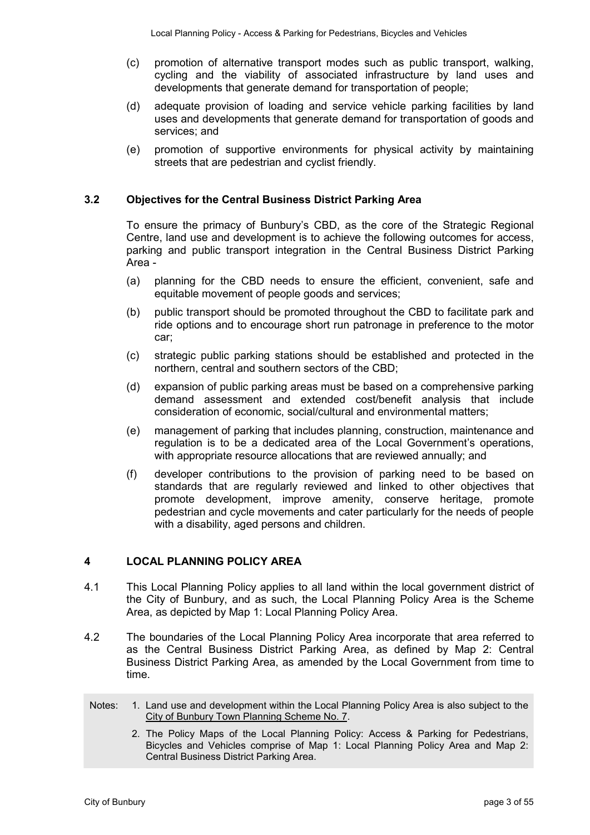- (c) promotion of alternative transport modes such as public transport, walking, cycling and the viability of associated infrastructure by land uses and developments that generate demand for transportation of people;
- (d) adequate provision of loading and service vehicle parking facilities by land uses and developments that generate demand for transportation of goods and services; and
- (e) promotion of supportive environments for physical activity by maintaining streets that are pedestrian and cyclist friendly.

#### **3.2 Objectives for the Central Business District Parking Area**

To ensure the primacy of Bunbury's CBD, as the core of the Strategic Regional Centre, land use and development is to achieve the following outcomes for access, parking and public transport integration in the Central Business District Parking Area -

- (a) planning for the CBD needs to ensure the efficient, convenient, safe and equitable movement of people goods and services;
- (b) public transport should be promoted throughout the CBD to facilitate park and ride options and to encourage short run patronage in preference to the motor car;
- (c) strategic public parking stations should be established and protected in the northern, central and southern sectors of the CBD;
- (d) expansion of public parking areas must be based on a comprehensive parking demand assessment and extended cost/benefit analysis that include consideration of economic, social/cultural and environmental matters;
- (e) management of parking that includes planning, construction, maintenance and regulation is to be a dedicated area of the Local Government's operations, with appropriate resource allocations that are reviewed annually; and
- (f) developer contributions to the provision of parking need to be based on standards that are regularly reviewed and linked to other objectives that promote development, improve amenity, conserve heritage, promote pedestrian and cycle movements and cater particularly for the needs of people with a disability, aged persons and children.

#### **4 LOCAL PLANNING POLICY AREA**

- 4.1 This Local Planning Policy applies to all land within the local government district of the City of Bunbury, and as such, the Local Planning Policy Area is the Scheme Area, as depicted by Map 1: Local Planning Policy Area.
- 4.2 The boundaries of the Local Planning Policy Area incorporate that area referred to as the Central Business District Parking Area, as defined by Map 2: Central Business District Parking Area, as amended by the Local Government from time to time.
- Notes: 1. Land use and development within the Local Planning Policy Area is also subject to the City of Bunbury Town Planning Scheme No. 7.
	- 2. The Policy Maps of the Local Planning Policy: Access & Parking for Pedestrians, Bicycles and Vehicles comprise of Map 1: Local Planning Policy Area and Map 2: Central Business District Parking Area.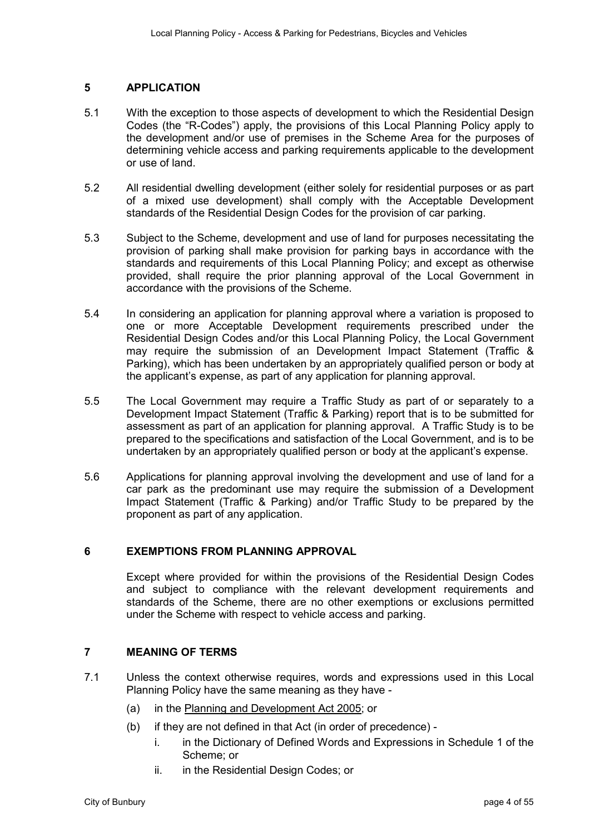#### **5 APPLICATION**

- 5.1 With the exception to those aspects of development to which the Residential Design Codes (the "R-Codes") apply, the provisions of this Local Planning Policy apply to the development and/or use of premises in the Scheme Area for the purposes of determining vehicle access and parking requirements applicable to the development or use of land.
- 5.2 All residential dwelling development (either solely for residential purposes or as part of a mixed use development) shall comply with the Acceptable Development standards of the Residential Design Codes for the provision of car parking.
- 5.3 Subject to the Scheme, development and use of land for purposes necessitating the provision of parking shall make provision for parking bays in accordance with the standards and requirements of this Local Planning Policy; and except as otherwise provided, shall require the prior planning approval of the Local Government in accordance with the provisions of the Scheme.
- 5.4 In considering an application for planning approval where a variation is proposed to one or more Acceptable Development requirements prescribed under the Residential Design Codes and/or this Local Planning Policy, the Local Government may require the submission of an Development Impact Statement (Traffic & Parking), which has been undertaken by an appropriately qualified person or body at the applicant's expense, as part of any application for planning approval.
- 5.5 The Local Government may require a Traffic Study as part of or separately to a Development Impact Statement (Traffic & Parking) report that is to be submitted for assessment as part of an application for planning approval. A Traffic Study is to be prepared to the specifications and satisfaction of the Local Government, and is to be undertaken by an appropriately qualified person or body at the applicant's expense.
- 5.6 Applications for planning approval involving the development and use of land for a car park as the predominant use may require the submission of a Development Impact Statement (Traffic & Parking) and/or Traffic Study to be prepared by the proponent as part of any application.

#### **6 EXEMPTIONS FROM PLANNING APPROVAL**

Except where provided for within the provisions of the Residential Design Codes and subject to compliance with the relevant development requirements and standards of the Scheme, there are no other exemptions or exclusions permitted under the Scheme with respect to vehicle access and parking.

#### **7 MEANING OF TERMS**

- 7.1 Unless the context otherwise requires, words and expressions used in this Local Planning Policy have the same meaning as they have -
	- (a) in the Planning and Development Act 2005; or
	- (b) if they are not defined in that Act (in order of precedence)
		- i. in the Dictionary of Defined Words and Expressions in Schedule 1 of the Scheme; or
		- ii. in the Residential Design Codes; or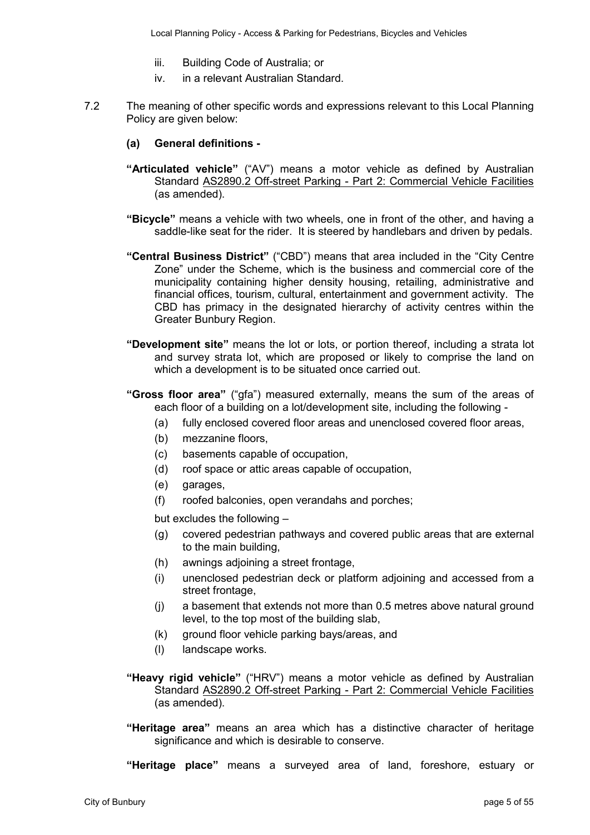- iii. Building Code of Australia; or
- iv. in a relevant Australian Standard.
- 7.2 The meaning of other specific words and expressions relevant to this Local Planning Policy are given below:
	- **(a) General definitions**
	- **"Articulated vehicle"** ("AV") means a motor vehicle as defined by Australian Standard AS2890.2 Off-street Parking - Part 2: Commercial Vehicle Facilities (as amended).
	- **"Bicycle"** means a vehicle with two wheels, one in front of the other, and having a saddle-like seat for the rider. It is steered by handlebars and driven by pedals.
	- **"Central Business District"** ("CBD") means that area included in the "City Centre Zone" under the Scheme, which is the business and commercial core of the municipality containing higher density housing, retailing, administrative and financial offices, tourism, cultural, entertainment and government activity. The CBD has primacy in the designated hierarchy of activity centres within the Greater Bunbury Region.
	- **"Development site"** means the lot or lots, or portion thereof, including a strata lot and survey strata lot, which are proposed or likely to comprise the land on which a development is to be situated once carried out.
	- **"Gross floor area"** ("gfa") measured externally, means the sum of the areas of each floor of a building on a lot/development site, including the following -
		- (a) fully enclosed covered floor areas and unenclosed covered floor areas,
		- (b) mezzanine floors,
		- (c) basements capable of occupation,
		- (d) roof space or attic areas capable of occupation,
		- (e) garages,
		- (f) roofed balconies, open verandahs and porches;

but excludes the following –

- (g) covered pedestrian pathways and covered public areas that are external to the main building,
- (h) awnings adjoining a street frontage,
- (i) unenclosed pedestrian deck or platform adjoining and accessed from a street frontage,
- (j) a basement that extends not more than 0.5 metres above natural ground level, to the top most of the building slab,
- (k) ground floor vehicle parking bays/areas, and
- (l) landscape works.
- **"Heavy rigid vehicle"** ("HRV") means a motor vehicle as defined by Australian Standard AS2890.2 Off-street Parking - Part 2: Commercial Vehicle Facilities (as amended).
- **"Heritage area"** means an area which has a distinctive character of heritage significance and which is desirable to conserve.

**"Heritage place"** means a surveyed area of land, foreshore, estuary or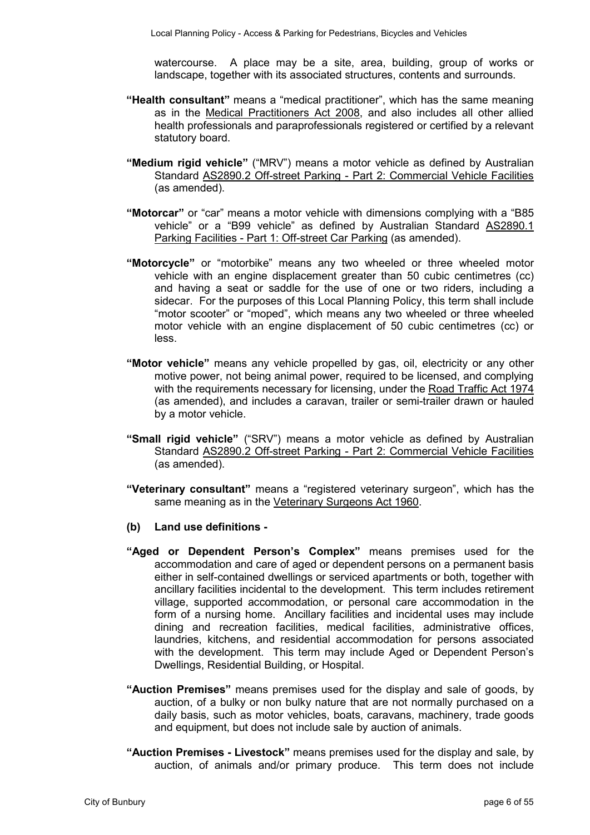watercourse. A place may be a site, area, building, group of works or landscape, together with its associated structures, contents and surrounds.

- **"Health consultant"** means a "medical practitioner", which has the same meaning as in the Medical Practitioners Act 2008, and also includes all other allied health professionals and paraprofessionals registered or certified by a relevant statutory board.
- **"Medium rigid vehicle"** ("MRV") means a motor vehicle as defined by Australian Standard AS2890.2 Off-street Parking - Part 2: Commercial Vehicle Facilities (as amended).
- **"Motorcar"** or "car" means a motor vehicle with dimensions complying with a "B85 vehicle" or a "B99 vehicle" as defined by Australian Standard AS2890.1 Parking Facilities - Part 1: Off-street Car Parking (as amended).
- **"Motorcycle"** or "motorbike" means any two wheeled or three wheeled motor vehicle with an engine displacement greater than 50 cubic centimetres (cc) and having a seat or saddle for the use of one or two riders, including a sidecar. For the purposes of this Local Planning Policy, this term shall include "motor scooter" or "moped", which means any two wheeled or three wheeled motor vehicle with an engine displacement of 50 cubic centimetres (cc) or less.
- **"Motor vehicle"** means any vehicle propelled by gas, oil, electricity or any other motive power, not being animal power, required to be licensed, and complying with the requirements necessary for licensing, under the Road Traffic Act 1974 (as amended), and includes a caravan, trailer or semi-trailer drawn or hauled by a motor vehicle.
- **"Small rigid vehicle"** ("SRV") means a motor vehicle as defined by Australian Standard AS2890.2 Off-street Parking - Part 2: Commercial Vehicle Facilities (as amended).
- **"Veterinary consultant"** means a "registered veterinary surgeon", which has the same meaning as in the Veterinary Surgeons Act 1960.
- **(b) Land use definitions**
- **"Aged or Dependent Person's Complex"** means premises used for the accommodation and care of aged or dependent persons on a permanent basis either in self-contained dwellings or serviced apartments or both, together with ancillary facilities incidental to the development. This term includes retirement village, supported accommodation, or personal care accommodation in the form of a nursing home. Ancillary facilities and incidental uses may include dining and recreation facilities, medical facilities, administrative offices, laundries, kitchens, and residential accommodation for persons associated with the development. This term may include Aged or Dependent Person's Dwellings, Residential Building, or Hospital.
- **"Auction Premises"** means premises used for the display and sale of goods, by auction, of a bulky or non bulky nature that are not normally purchased on a daily basis, such as motor vehicles, boats, caravans, machinery, trade goods and equipment, but does not include sale by auction of animals.
- **"Auction Premises Livestock"** means premises used for the display and sale, by auction, of animals and/or primary produce. This term does not include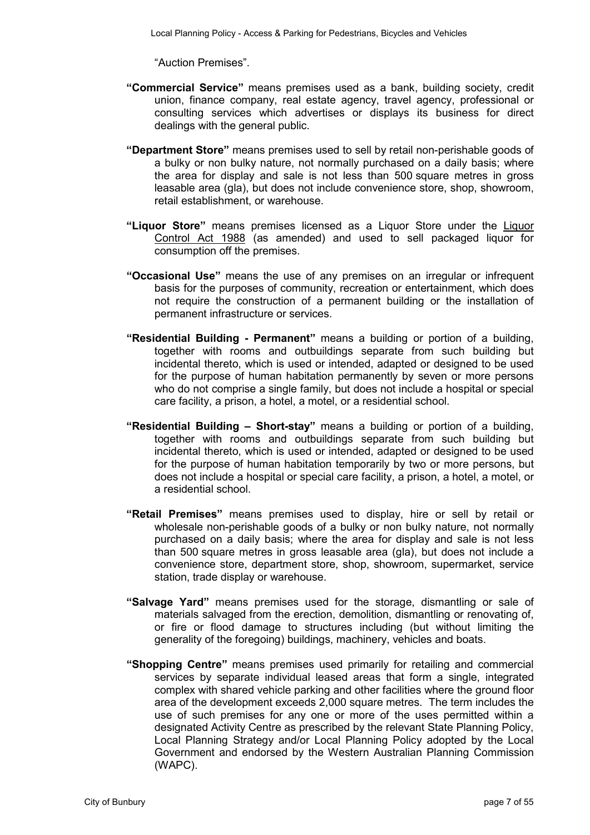"Auction Premises".

- **"Commercial Service"** means premises used as a bank, building society, credit union, finance company, real estate agency, travel agency, professional or consulting services which advertises or displays its business for direct dealings with the general public.
- **"Department Store"** means premises used to sell by retail non-perishable goods of a bulky or non bulky nature, not normally purchased on a daily basis; where the area for display and sale is not less than 500 square metres in gross leasable area (gla), but does not include convenience store, shop, showroom, retail establishment, or warehouse.
- **"Liquor Store"** means premises licensed as a Liquor Store under the Liquor Control Act 1988 (as amended) and used to sell packaged liquor for consumption off the premises.
- **"Occasional Use"** means the use of any premises on an irregular or infrequent basis for the purposes of community, recreation or entertainment, which does not require the construction of a permanent building or the installation of permanent infrastructure or services.
- **"Residential Building Permanent"** means a building or portion of a building, together with rooms and outbuildings separate from such building but incidental thereto, which is used or intended, adapted or designed to be used for the purpose of human habitation permanently by seven or more persons who do not comprise a single family, but does not include a hospital or special care facility, a prison, a hotel, a motel, or a residential school.
- **"Residential Building Short-stay"** means a building or portion of a building, together with rooms and outbuildings separate from such building but incidental thereto, which is used or intended, adapted or designed to be used for the purpose of human habitation temporarily by two or more persons, but does not include a hospital or special care facility, a prison, a hotel, a motel, or a residential school.
- **"Retail Premises"** means premises used to display, hire or sell by retail or wholesale non-perishable goods of a bulky or non bulky nature, not normally purchased on a daily basis; where the area for display and sale is not less than 500 square metres in gross leasable area (gla), but does not include a convenience store, department store, shop, showroom, supermarket, service station, trade display or warehouse.
- **"Salvage Yard"** means premises used for the storage, dismantling or sale of materials salvaged from the erection, demolition, dismantling or renovating of, or fire or flood damage to structures including (but without limiting the generality of the foregoing) buildings, machinery, vehicles and boats.
- **"Shopping Centre"** means premises used primarily for retailing and commercial services by separate individual leased areas that form a single, integrated complex with shared vehicle parking and other facilities where the ground floor area of the development exceeds 2,000 square metres. The term includes the use of such premises for any one or more of the uses permitted within a designated Activity Centre as prescribed by the relevant State Planning Policy, Local Planning Strategy and/or Local Planning Policy adopted by the Local Government and endorsed by the Western Australian Planning Commission (WAPC).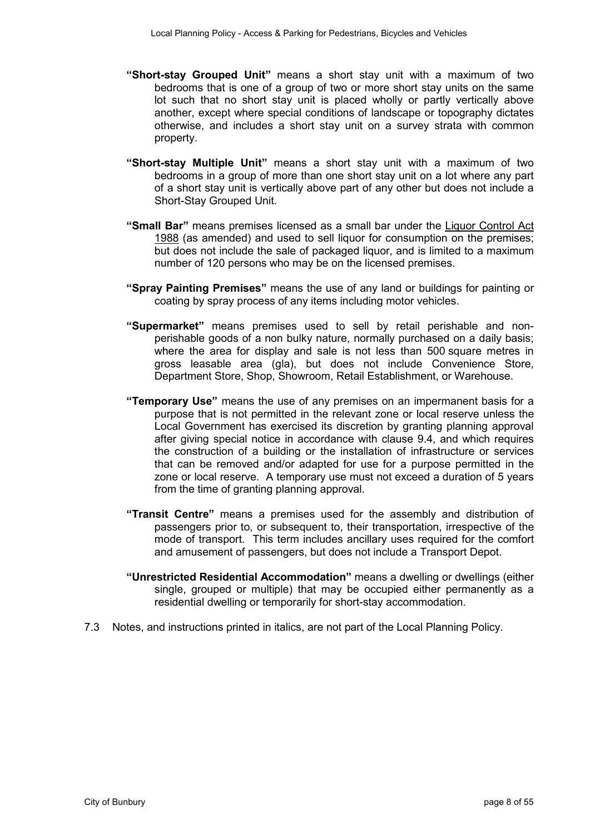- **"Short-stay Grouped Unit"** means a short stay unit with a maximum of two bedrooms that is one of a group of two or more short stay units on the same lot such that no short stay unit is placed wholly or partly vertically above another, except where special conditions of landscape or topography dictates otherwise, and includes a short stay unit on a survey strata with common property.
- **"Short-stay Multiple Unit"** means a short stay unit with a maximum of two bedrooms in a group of more than one short stay unit on a lot where any part of a short stay unit is vertically above part of any other but does not include a Short-Stay Grouped Unit.
- **"Small Bar"** means premises licensed as a small bar under the Liquor Control Act 1988 (as amended) and used to sell liquor for consumption on the premises; but does not include the sale of packaged liquor, and is limited to a maximum number of 120 persons who may be on the licensed premises.
- **"Spray Painting Premises"** means the use of any land or buildings for painting or coating by spray process of any items including motor vehicles.
- **"Supermarket"** means premises used to sell by retail perishable and nonperishable goods of a non bulky nature, normally purchased on a daily basis; where the area for display and sale is not less than 500 square metres in gross leasable area (gla), but does not include Convenience Store, Department Store, Shop, Showroom, Retail Establishment, or Warehouse.
- **"Temporary Use"** means the use of any premises on an impermanent basis for a purpose that is not permitted in the relevant zone or local reserve unless the Local Government has exercised its discretion by granting planning approval after giving special notice in accordance with clause 9.4, and which requires the construction of a building or the installation of infrastructure or services that can be removed and/or adapted for use for a purpose permitted in the zone or local reserve. A temporary use must not exceed a duration of 5 years from the time of granting planning approval.
- **"Transit Centre"** means a premises used for the assembly and distribution of passengers prior to, or subsequent to, their transportation, irrespective of the mode of transport. This term includes ancillary uses required for the comfort and amusement of passengers, but does not include a Transport Depot.
- **"Unrestricted Residential Accommodation"** means a dwelling or dwellings (either single, grouped or multiple) that may be occupied either permanently as a residential dwelling or temporarily for short-stay accommodation.
- 7.3 Notes, and instructions printed in italics, are not part of the Local Planning Policy.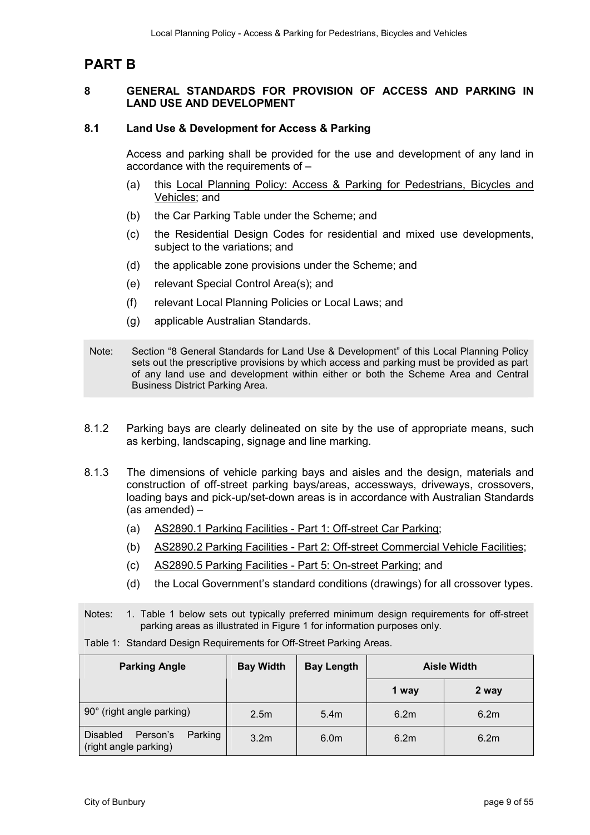## **PART B**

#### **8 GENERAL STANDARDS FOR PROVISION OF ACCESS AND PARKING IN LAND USE AND DEVELOPMENT**

#### **8.1 Land Use & Development for Access & Parking**

Access and parking shall be provided for the use and development of any land in accordance with the requirements of –

- (a) this Local Planning Policy: Access & Parking for Pedestrians, Bicycles and Vehicles; and
- (b) the Car Parking Table under the Scheme; and
- (c) the Residential Design Codes for residential and mixed use developments, subject to the variations; and
- (d) the applicable zone provisions under the Scheme; and
- (e) relevant Special Control Area(s); and
- (f) relevant Local Planning Policies or Local Laws; and
- (g) applicable Australian Standards.
- Note: Section "8 General Standards for Land Use & Development" of this Local Planning Policy sets out the prescriptive provisions by which access and parking must be provided as part of any land use and development within either or both the Scheme Area and Central Business District Parking Area.
- 8.1.2 Parking bays are clearly delineated on site by the use of appropriate means, such as kerbing, landscaping, signage and line marking.
- 8.1.3 The dimensions of vehicle parking bays and aisles and the design, materials and construction of off-street parking bays/areas, accessways, driveways, crossovers, loading bays and pick-up/set-down areas is in accordance with Australian Standards (as amended) –
	- (a) AS2890.1 Parking Facilities Part 1: Off-street Car Parking;
	- (b) AS2890.2 Parking Facilities Part 2: Off-street Commercial Vehicle Facilities;
	- (c) AS2890.5 Parking Facilities Part 5: On-street Parking; and
	- (d) the Local Government's standard conditions (drawings) for all crossover types.

Notes: 1. Table 1 below sets out typically preferred minimum design requirements for off-street parking areas as illustrated in Figure 1 for information purposes only.

|  |  |  | Table 1: Standard Design Requirements for Off-Street Parking Areas. |
|--|--|--|---------------------------------------------------------------------|
|--|--|--|---------------------------------------------------------------------|

| <b>Parking Angle</b>                                     | <b>Bay Width</b> | <b>Bay Length</b> |       | <b>Aisle Width</b> |
|----------------------------------------------------------|------------------|-------------------|-------|--------------------|
|                                                          |                  |                   | 1 way | 2 way              |
| 90° (right angle parking)                                | 2.5 <sub>m</sub> | 5.4m              | 6.2m  | 6.2m               |
| Disabled<br>Parking<br>Person's<br>(right angle parking) | 3.2 <sub>m</sub> | 6.0 <sub>m</sub>  | 6.2m  | 6.2m               |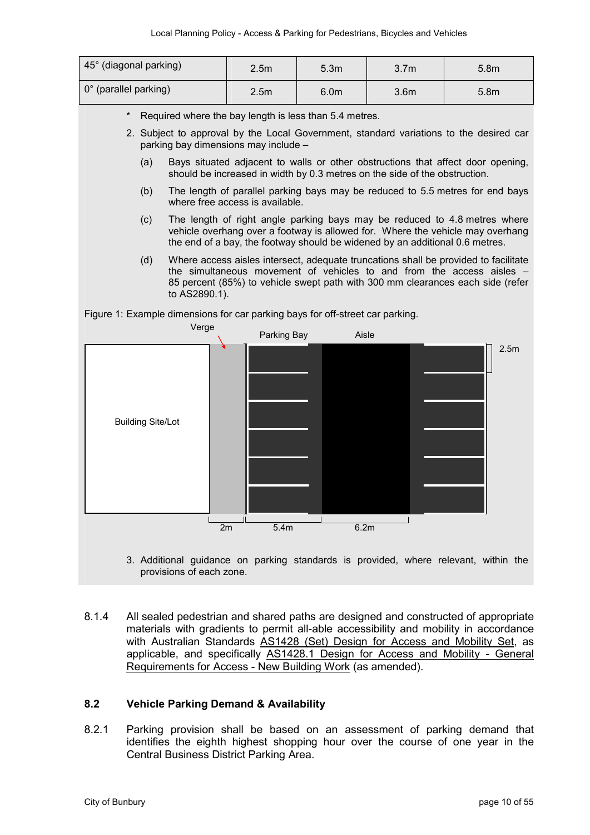| 45° (diagonal parking)               | 2.5 <sub>m</sub> | 5.3 <sub>m</sub> | 3.7 <sub>m</sub> | 5.8 <sub>m</sub> |
|--------------------------------------|------------------|------------------|------------------|------------------|
| $\vert 0^{\circ}$ (parallel parking) | 2.5 <sub>m</sub> | 6.0 <sub>m</sub> | 3.6 <sub>m</sub> | 5.8 <sub>m</sub> |

- Required where the bay length is less than 5.4 metres.
- 2. Subject to approval by the Local Government, standard variations to the desired car parking bay dimensions may include –
	- (a) Bays situated adjacent to walls or other obstructions that affect door opening, should be increased in width by 0.3 metres on the side of the obstruction.
	- (b) The length of parallel parking bays may be reduced to 5.5 metres for end bays where free access is available.
	- (c) The length of right angle parking bays may be reduced to 4.8 metres where vehicle overhang over a footway is allowed for. Where the vehicle may overhang the end of a bay, the footway should be widened by an additional 0.6 metres.
	- (d) Where access aisles intersect, adequate truncations shall be provided to facilitate the simultaneous movement of vehicles to and from the access aisles – 85 percent (85%) to vehicle swept path with 300 mm clearances each side (refer to AS2890.1).

Figure 1: Example dimensions for car parking bays for off-street car parking.



- 3. Additional guidance on parking standards is provided, where relevant, within the provisions of each zone.
- 8.1.4 All sealed pedestrian and shared paths are designed and constructed of appropriate materials with gradients to permit all-able accessibility and mobility in accordance with Australian Standards AS1428 (Set) Design for Access and Mobility Set, as applicable, and specifically AS1428.1 Design for Access and Mobility - General Requirements for Access - New Building Work (as amended).

#### **8.2 Vehicle Parking Demand & Availability**

8.2.1 Parking provision shall be based on an assessment of parking demand that identifies the eighth highest shopping hour over the course of one year in the Central Business District Parking Area.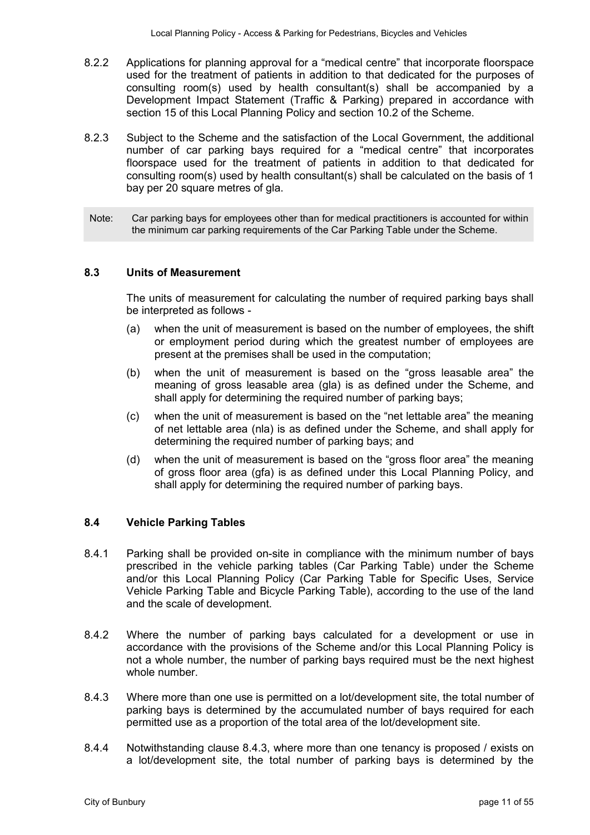- 8.2.2 Applications for planning approval for a "medical centre" that incorporate floorspace used for the treatment of patients in addition to that dedicated for the purposes of consulting room(s) used by health consultant(s) shall be accompanied by a Development Impact Statement (Traffic & Parking) prepared in accordance with section 15 of this Local Planning Policy and section 10.2 of the Scheme.
- 8.2.3 Subject to the Scheme and the satisfaction of the Local Government, the additional number of car parking bays required for a "medical centre" that incorporates floorspace used for the treatment of patients in addition to that dedicated for consulting room(s) used by health consultant(s) shall be calculated on the basis of 1 bay per 20 square metres of gla.
- Note: Car parking bays for employees other than for medical practitioners is accounted for within the minimum car parking requirements of the Car Parking Table under the Scheme.

#### **8.3 Units of Measurement**

The units of measurement for calculating the number of required parking bays shall be interpreted as follows -

- (a) when the unit of measurement is based on the number of employees, the shift or employment period during which the greatest number of employees are present at the premises shall be used in the computation;
- (b) when the unit of measurement is based on the "gross leasable area" the meaning of gross leasable area (gla) is as defined under the Scheme, and shall apply for determining the required number of parking bays;
- (c) when the unit of measurement is based on the "net lettable area" the meaning of net lettable area (nla) is as defined under the Scheme, and shall apply for determining the required number of parking bays; and
- (d) when the unit of measurement is based on the "gross floor area" the meaning of gross floor area (gfa) is as defined under this Local Planning Policy, and shall apply for determining the required number of parking bays.

#### **8.4 Vehicle Parking Tables**

- 8.4.1 Parking shall be provided on-site in compliance with the minimum number of bays prescribed in the vehicle parking tables (Car Parking Table) under the Scheme and/or this Local Planning Policy (Car Parking Table for Specific Uses, Service Vehicle Parking Table and Bicycle Parking Table), according to the use of the land and the scale of development.
- 8.4.2 Where the number of parking bays calculated for a development or use in accordance with the provisions of the Scheme and/or this Local Planning Policy is not a whole number, the number of parking bays required must be the next highest whole number.
- 8.4.3 Where more than one use is permitted on a lot/development site, the total number of parking bays is determined by the accumulated number of bays required for each permitted use as a proportion of the total area of the lot/development site.
- 8.4.4 Notwithstanding clause 8.4.3, where more than one tenancy is proposed / exists on a lot/development site, the total number of parking bays is determined by the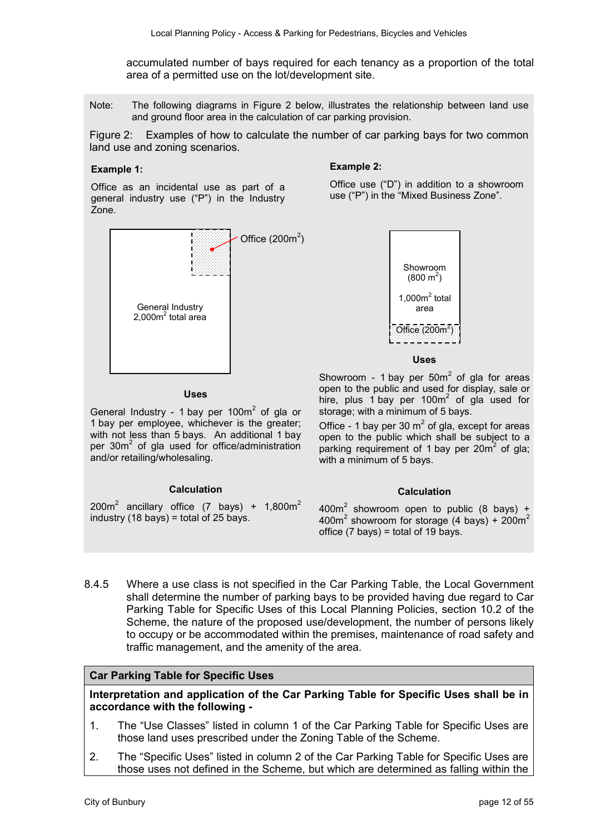accumulated number of bays required for each tenancy as a proportion of the total area of a permitted use on the lot/development site.

Note: The following diagrams in Figure 2 below, illustrates the relationship between land use and ground floor area in the calculation of car parking provision.

Figure 2: Examples of how to calculate the number of car parking bays for two common land use and zoning scenarios.

#### **Example 1:**

**Example 2:** 

Office as an incidental use as part of a general industry use ("P") in the Industry Zone.



#### **Uses**

General Industry - 1 bay per 100 $m<sup>2</sup>$  of gla or 1 bay per employee, whichever is the greater; with not less than 5 bays. An additional 1 bay per 30m<sup>2</sup> of gla used for office/administration and/or retailing/wholesaling.

#### **Calculation**

 $200m^2$  ancillary office (7 bays) + 1,800 $m^2$ industry  $(18 \text{ bavs}) = \text{total of } 25 \text{ bavs}.$ 

Office use ("D") in addition to a showroom use ("P") in the "Mixed Business Zone".



#### **Uses**

Showroom - 1 bay per  $50m^2$  of gla for areas open to the public and used for display, sale or hire, plus 1 bay per  $100m^2$  of gla used for storage; with a minimum of 5 bays.

Office - 1 bay per 30  $m^2$  of gla, except for areas open to the public which shall be subject to a parking requirement of 1 bay per 20m<sup>2</sup> of gla; with a minimum of 5 bays.

#### **Calculation**

 $400m<sup>2</sup>$  showroom open to public (8 bays) + 400m<sup>2</sup> showroom for storage (4 bays) + 200m<sup>2</sup> office  $(7 \text{ bays})$  = total of 19 bays.

8.4.5 Where a use class is not specified in the Car Parking Table, the Local Government shall determine the number of parking bays to be provided having due regard to Car Parking Table for Specific Uses of this Local Planning Policies, section 10.2 of the Scheme, the nature of the proposed use/development, the number of persons likely to occupy or be accommodated within the premises, maintenance of road safety and traffic management, and the amenity of the area.

#### **Car Parking Table for Specific Uses**

**Interpretation and application of the Car Parking Table for Specific Uses shall be in accordance with the following -** 

- 1. The "Use Classes" listed in column 1 of the Car Parking Table for Specific Uses are those land uses prescribed under the Zoning Table of the Scheme.
- 2. The "Specific Uses" listed in column 2 of the Car Parking Table for Specific Uses are those uses not defined in the Scheme, but which are determined as falling within the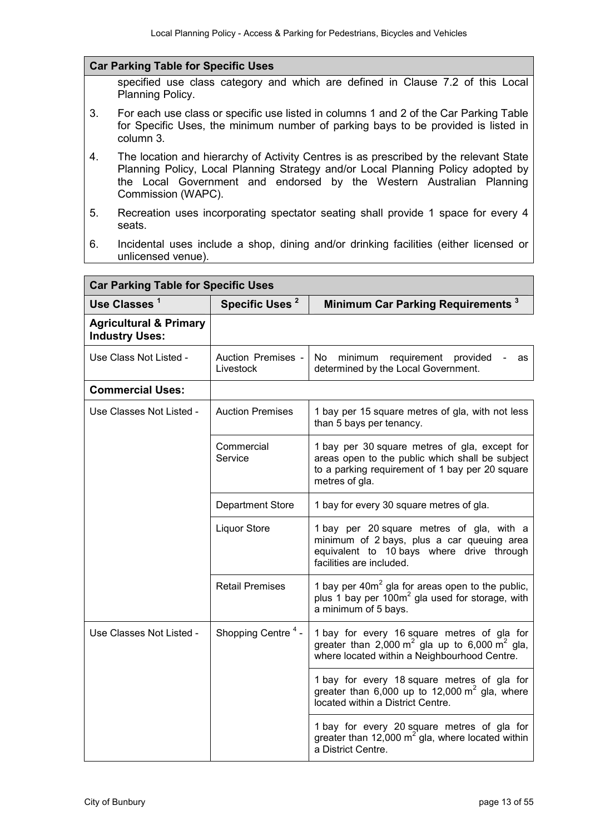#### **Car Parking Table for Specific Uses**

specified use class category and which are defined in Clause 7.2 of this Local Planning Policy.

- 3. For each use class or specific use listed in columns 1 and 2 of the Car Parking Table for Specific Uses, the minimum number of parking bays to be provided is listed in column 3.
- 4. The location and hierarchy of Activity Centres is as prescribed by the relevant State Planning Policy, Local Planning Strategy and/or Local Planning Policy adopted by the Local Government and endorsed by the Western Australian Planning Commission (WAPC).
- 5. Recreation uses incorporating spectator seating shall provide 1 space for every 4 seats.
- 6. Incidental uses include a shop, dining and/or drinking facilities (either licensed or unlicensed venue).

| <b>Car Parking Table for Specific Uses</b>                 |                                 |                                                                                                                                                                       |  |
|------------------------------------------------------------|---------------------------------|-----------------------------------------------------------------------------------------------------------------------------------------------------------------------|--|
| Use Classes <sup>1</sup>                                   | Specific Uses <sup>2</sup>      | Minimum Car Parking Requirements <sup>3</sup>                                                                                                                         |  |
| <b>Agricultural &amp; Primary</b><br><b>Industry Uses:</b> |                                 |                                                                                                                                                                       |  |
| Use Class Not Listed -                                     | Auction Premises -<br>Livestock | No.<br>minimum<br>requirement provided<br>as<br>determined by the Local Government.                                                                                   |  |
| <b>Commercial Uses:</b>                                    |                                 |                                                                                                                                                                       |  |
| Use Classes Not Listed -                                   | <b>Auction Premises</b>         | 1 bay per 15 square metres of gla, with not less<br>than 5 bays per tenancy.                                                                                          |  |
|                                                            | Commercial<br>Service           | 1 bay per 30 square metres of gla, except for<br>areas open to the public which shall be subject<br>to a parking requirement of 1 bay per 20 square<br>metres of gla. |  |
|                                                            | <b>Department Store</b>         | 1 bay for every 30 square metres of gla.                                                                                                                              |  |
|                                                            | <b>Liquor Store</b>             | 1 bay per 20 square metres of gla, with a<br>minimum of 2 bays, plus a car queuing area<br>equivalent to 10 bays where drive through<br>facilities are included.      |  |
|                                                            | <b>Retail Premises</b>          | 1 bay per 40m <sup>2</sup> gla for areas open to the public,<br>plus 1 bay per $100m^2$ gla used for storage, with<br>a minimum of 5 bays.                            |  |
| Shopping Centre <sup>4</sup> -<br>Use Classes Not Listed - |                                 | 1 bay for every 16 square metres of gla for<br>greater than 2,000 $m^2$ gla up to 6,000 $m^2$ gla,<br>where located within a Neighbourhood Centre.                    |  |
|                                                            |                                 | 1 bay for every 18 square metres of gla for<br>greater than 6,000 up to 12,000 $m^2$ gla, where<br>located within a District Centre.                                  |  |
|                                                            |                                 | 1 bay for every 20 square metres of gla for<br>greater than 12,000 $m^2$ gla, where located within<br>a District Centre.                                              |  |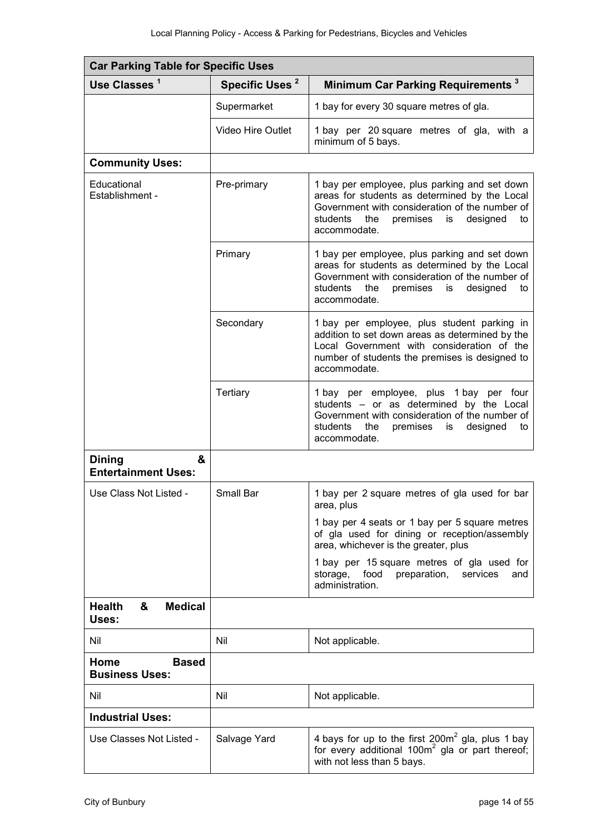| <b>Car Parking Table for Specific Uses</b>       |                            |                                                                                                                                                                                                                         |  |
|--------------------------------------------------|----------------------------|-------------------------------------------------------------------------------------------------------------------------------------------------------------------------------------------------------------------------|--|
| Use Classes <sup>1</sup>                         | Specific Uses <sup>2</sup> | Minimum Car Parking Requirements <sup>3</sup>                                                                                                                                                                           |  |
|                                                  | Supermarket                | 1 bay for every 30 square metres of gla.                                                                                                                                                                                |  |
|                                                  | <b>Video Hire Outlet</b>   | 1 bay per 20 square metres of gla, with a<br>minimum of 5 bays.                                                                                                                                                         |  |
| <b>Community Uses:</b>                           |                            |                                                                                                                                                                                                                         |  |
| Educational<br>Establishment -                   | Pre-primary                | 1 bay per employee, plus parking and set down<br>areas for students as determined by the Local<br>Government with consideration of the number of<br>students<br>premises<br>is<br>designed<br>the<br>to<br>accommodate. |  |
|                                                  | Primary                    | 1 bay per employee, plus parking and set down<br>areas for students as determined by the Local<br>Government with consideration of the number of<br>students<br>the<br>premises<br>designed<br>is<br>to<br>accommodate. |  |
|                                                  | Secondary                  | 1 bay per employee, plus student parking in<br>addition to set down areas as determined by the<br>Local Government with consideration of the<br>number of students the premises is designed to<br>accommodate.          |  |
|                                                  | Tertiary                   | 1 bay per employee, plus 1 bay per four<br>students - or as determined by the Local<br>Government with consideration of the number of<br>students<br>the<br>premises<br>designed<br>is<br>to<br>accommodate.            |  |
| &<br><b>Dining</b><br><b>Entertainment Uses:</b> |                            |                                                                                                                                                                                                                         |  |
| Use Class Not Listed -                           | Small Bar                  | 1 bay per 2 square metres of gla used for bar<br>area, plus                                                                                                                                                             |  |
|                                                  |                            | 1 bay per 4 seats or 1 bay per 5 square metres<br>of gla used for dining or reception/assembly<br>area, whichever is the greater, plus                                                                                  |  |
|                                                  |                            | 1 bay per 15 square metres of gla used for<br>food<br>storage,<br>preparation,<br>services<br>and<br>administration.                                                                                                    |  |
| &<br><b>Medical</b><br><b>Health</b><br>Uses:    |                            |                                                                                                                                                                                                                         |  |
| Nil                                              | Nil                        | Not applicable.                                                                                                                                                                                                         |  |
| Home<br><b>Based</b><br><b>Business Uses:</b>    |                            |                                                                                                                                                                                                                         |  |
| Nil                                              | Nil                        | Not applicable.                                                                                                                                                                                                         |  |
| <b>Industrial Uses:</b>                          |                            |                                                                                                                                                                                                                         |  |
| Use Classes Not Listed -                         | Salvage Yard               | 4 bays for up to the first 200m <sup>2</sup> gla, plus 1 bay<br>for every additional $100m^2$ gla or part thereof;<br>with not less than 5 bays.                                                                        |  |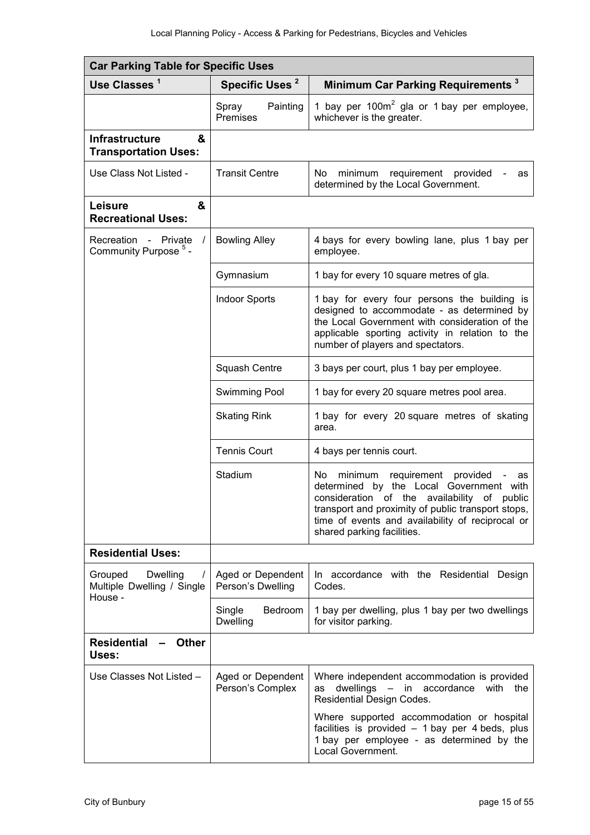| <b>Car Parking Table for Specific Uses</b>                                      |                                        |                                                                                                                                                                                                                                                                                 |  |
|---------------------------------------------------------------------------------|----------------------------------------|---------------------------------------------------------------------------------------------------------------------------------------------------------------------------------------------------------------------------------------------------------------------------------|--|
| Use Classes <sup>1</sup>                                                        | Specific Uses <sup>2</sup>             | Minimum Car Parking Requirements <sup>3</sup>                                                                                                                                                                                                                                   |  |
|                                                                                 | Painting<br>Spray<br>Premises          | 1 bay per $100m^2$ gla or 1 bay per employee,<br>whichever is the greater.                                                                                                                                                                                                      |  |
| <b>Infrastructure</b><br>&<br><b>Transportation Uses:</b>                       |                                        |                                                                                                                                                                                                                                                                                 |  |
| Use Class Not Listed -                                                          | <b>Transit Centre</b>                  | No l<br>requirement<br>provided<br>minimum<br>as<br>determined by the Local Government.                                                                                                                                                                                         |  |
| &<br><b>Leisure</b><br><b>Recreational Uses:</b>                                |                                        |                                                                                                                                                                                                                                                                                 |  |
| Recreation -<br>Private<br>Community Purpose <sup>5</sup> -                     | <b>Bowling Alley</b>                   | 4 bays for every bowling lane, plus 1 bay per<br>employee.                                                                                                                                                                                                                      |  |
|                                                                                 | Gymnasium                              | 1 bay for every 10 square metres of gla.                                                                                                                                                                                                                                        |  |
|                                                                                 | <b>Indoor Sports</b>                   | 1 bay for every four persons the building is<br>designed to accommodate - as determined by<br>the Local Government with consideration of the<br>applicable sporting activity in relation to the<br>number of players and spectators.                                            |  |
|                                                                                 | Squash Centre                          | 3 bays per court, plus 1 bay per employee.                                                                                                                                                                                                                                      |  |
|                                                                                 | Swimming Pool                          | 1 bay for every 20 square metres pool area.                                                                                                                                                                                                                                     |  |
|                                                                                 | <b>Skating Rink</b>                    | 1 bay for every 20 square metres of skating<br>area.                                                                                                                                                                                                                            |  |
|                                                                                 | <b>Tennis Court</b>                    | 4 bays per tennis court.                                                                                                                                                                                                                                                        |  |
|                                                                                 | Stadium                                | No l<br>requirement provided<br>minimum<br>as<br>determined by the Local Government with<br>consideration of the availability of public<br>transport and proximity of public transport stops,<br>time of events and availability of reciprocal or<br>shared parking facilities. |  |
| <b>Residential Uses:</b>                                                        |                                        |                                                                                                                                                                                                                                                                                 |  |
| Grouped<br><b>Dwelling</b><br>$\prime$<br>Multiple Dwelling / Single<br>House - | Aged or Dependent<br>Person's Dwelling | In accordance with the Residential<br>Design<br>Codes.                                                                                                                                                                                                                          |  |
|                                                                                 | Bedroom<br>Single<br>Dwelling          | 1 bay per dwelling, plus 1 bay per two dwellings<br>for visitor parking.                                                                                                                                                                                                        |  |
| <b>Residential</b><br><b>Other</b><br>Uses:                                     |                                        |                                                                                                                                                                                                                                                                                 |  |
| Use Classes Not Listed -                                                        | Aged or Dependent<br>Person's Complex  | Where independent accommodation is provided<br>dwellings - in accordance with<br>the<br>as<br>Residential Design Codes.                                                                                                                                                         |  |
|                                                                                 |                                        | Where supported accommodation or hospital<br>facilities is provided - 1 bay per 4 beds, plus<br>1 bay per employee - as determined by the<br>Local Government.                                                                                                                  |  |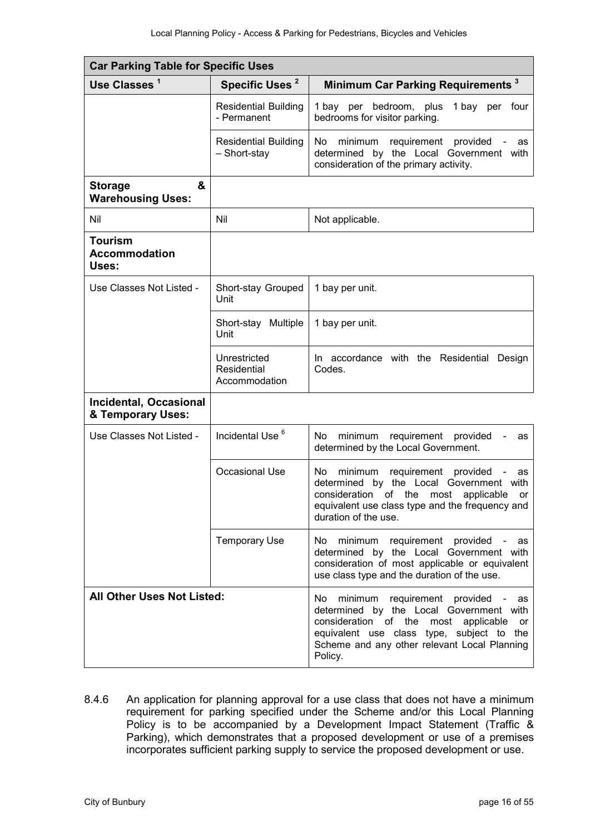| <b>Car Parking Table for Specific Uses</b>         |                                              |                                                                                                                                                                                                                                                     |  |
|----------------------------------------------------|----------------------------------------------|-----------------------------------------------------------------------------------------------------------------------------------------------------------------------------------------------------------------------------------------------------|--|
| Use Classes <sup>1</sup>                           | Specific Uses <sup>2</sup>                   | Minimum Car Parking Requirements <sup>3</sup>                                                                                                                                                                                                       |  |
|                                                    | <b>Residential Building</b><br>- Permanent   | bedroom, plus<br>1 bay per four<br>1 bay per<br>bedrooms for visitor parking.                                                                                                                                                                       |  |
|                                                    | <b>Residential Building</b><br>- Short-stay  | No.<br>requirement<br>provided<br>minimum<br>as<br>determined<br>by the Local Government with<br>consideration of the primary activity.                                                                                                             |  |
| &<br><b>Storage</b><br><b>Warehousing Uses:</b>    |                                              |                                                                                                                                                                                                                                                     |  |
| Nil                                                | Nil                                          | Not applicable.                                                                                                                                                                                                                                     |  |
| <b>Tourism</b><br><b>Accommodation</b><br>Uses:    |                                              |                                                                                                                                                                                                                                                     |  |
| Use Classes Not Listed -                           | Short-stay Grouped<br>Unit                   | 1 bay per unit.                                                                                                                                                                                                                                     |  |
|                                                    | Short-stay Multiple<br>Unit                  | 1 bay per unit.                                                                                                                                                                                                                                     |  |
|                                                    | Unrestricted<br>Residential<br>Accommodation | In accordance with the Residential Design<br>Codes.                                                                                                                                                                                                 |  |
| <b>Incidental, Occasional</b><br>& Temporary Uses: |                                              |                                                                                                                                                                                                                                                     |  |
| Use Classes Not Listed -                           | Incidental Use <sup>6</sup>                  | No.<br>minimum<br>requirement<br>provided<br>as<br>determined by the Local Government.                                                                                                                                                              |  |
|                                                    | Occasional Use                               | No<br>minimum<br>requirement provided<br>as<br>determined by the Local Government<br>with<br>consideration<br>of the<br>most<br>applicable<br>or<br>equivalent use class type and the frequency and<br>duration of the use.                         |  |
|                                                    | <b>Temporary Use</b>                         | No<br>minimum requirement provided<br>as<br>determined by the Local Government with<br>consideration of most applicable or equivalent<br>use class type and the duration of the use.                                                                |  |
| <b>All Other Uses Not Listed:</b>                  |                                              | No.<br>minimum<br>requirement provided<br>as<br>determined by the Local Government with<br>consideration of the<br>most<br>applicable<br>or<br>equivalent use class type, subject to the<br>Scheme and any other relevant Local Planning<br>Policy. |  |

8.4.6 An application for planning approval for a use class that does not have a minimum requirement for parking specified under the Scheme and/or this Local Planning Policy is to be accompanied by a Development Impact Statement (Traffic & Parking), which demonstrates that a proposed development or use of a premises incorporates sufficient parking supply to service the proposed development or use.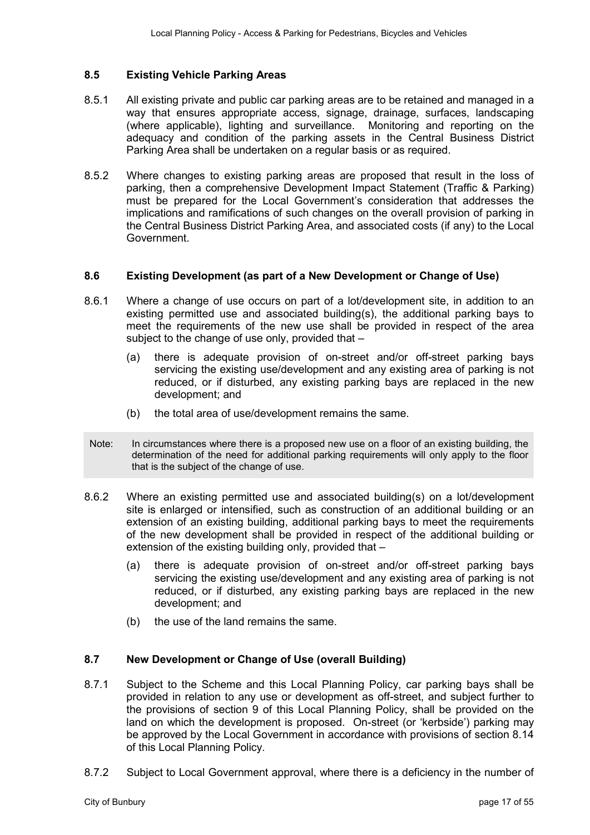#### **8.5 Existing Vehicle Parking Areas**

- 8.5.1 All existing private and public car parking areas are to be retained and managed in a way that ensures appropriate access, signage, drainage, surfaces, landscaping (where applicable), lighting and surveillance. Monitoring and reporting on the adequacy and condition of the parking assets in the Central Business District Parking Area shall be undertaken on a regular basis or as required.
- 8.5.2 Where changes to existing parking areas are proposed that result in the loss of parking, then a comprehensive Development Impact Statement (Traffic & Parking) must be prepared for the Local Government's consideration that addresses the implications and ramifications of such changes on the overall provision of parking in the Central Business District Parking Area, and associated costs (if any) to the Local Government.

#### **8.6 Existing Development (as part of a New Development or Change of Use)**

- 8.6.1 Where a change of use occurs on part of a lot/development site, in addition to an existing permitted use and associated building(s), the additional parking bays to meet the requirements of the new use shall be provided in respect of the area subject to the change of use only, provided that –
	- (a) there is adequate provision of on-street and/or off-street parking bays servicing the existing use/development and any existing area of parking is not reduced, or if disturbed, any existing parking bays are replaced in the new development; and
	- (b) the total area of use/development remains the same.
- Note: In circumstances where there is a proposed new use on a floor of an existing building, the determination of the need for additional parking requirements will only apply to the floor that is the subject of the change of use.
- 8.6.2 Where an existing permitted use and associated building(s) on a lot/development site is enlarged or intensified, such as construction of an additional building or an extension of an existing building, additional parking bays to meet the requirements of the new development shall be provided in respect of the additional building or extension of the existing building only, provided that –
	- (a) there is adequate provision of on-street and/or off-street parking bays servicing the existing use/development and any existing area of parking is not reduced, or if disturbed, any existing parking bays are replaced in the new development; and
	- (b) the use of the land remains the same.

#### **8.7 New Development or Change of Use (overall Building)**

- 8.7.1 Subject to the Scheme and this Local Planning Policy, car parking bays shall be provided in relation to any use or development as off-street, and subject further to the provisions of section 9 of this Local Planning Policy, shall be provided on the land on which the development is proposed. On-street (or 'kerbside') parking may be approved by the Local Government in accordance with provisions of section 8.14 of this Local Planning Policy.
- 8.7.2 Subject to Local Government approval, where there is a deficiency in the number of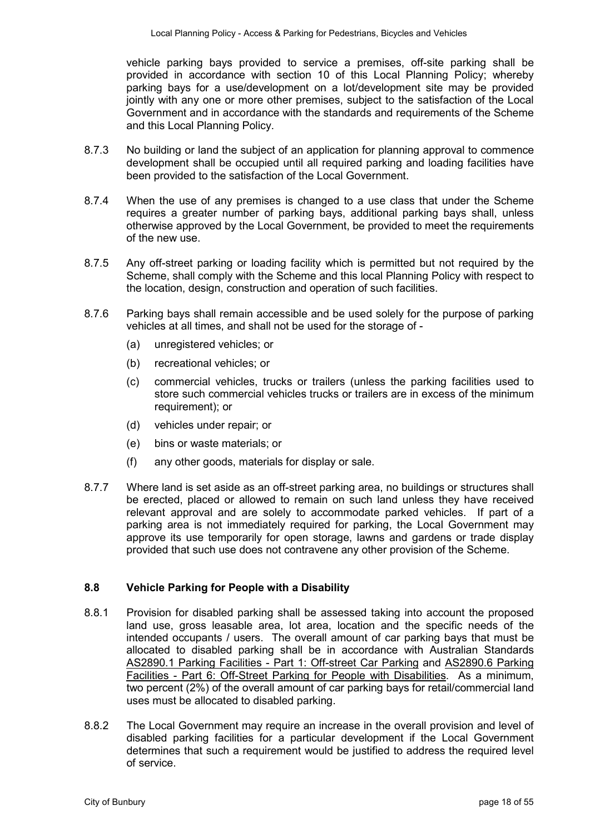vehicle parking bays provided to service a premises, off-site parking shall be provided in accordance with section 10 of this Local Planning Policy; whereby parking bays for a use/development on a lot/development site may be provided jointly with any one or more other premises, subject to the satisfaction of the Local Government and in accordance with the standards and requirements of the Scheme and this Local Planning Policy.

- 8.7.3 No building or land the subject of an application for planning approval to commence development shall be occupied until all required parking and loading facilities have been provided to the satisfaction of the Local Government.
- 8.7.4 When the use of any premises is changed to a use class that under the Scheme requires a greater number of parking bays, additional parking bays shall, unless otherwise approved by the Local Government, be provided to meet the requirements of the new use.
- 8.7.5 Any off-street parking or loading facility which is permitted but not required by the Scheme, shall comply with the Scheme and this local Planning Policy with respect to the location, design, construction and operation of such facilities.
- 8.7.6 Parking bays shall remain accessible and be used solely for the purpose of parking vehicles at all times, and shall not be used for the storage of -
	- (a) unregistered vehicles; or
	- (b) recreational vehicles; or
	- (c) commercial vehicles, trucks or trailers (unless the parking facilities used to store such commercial vehicles trucks or trailers are in excess of the minimum requirement); or
	- (d) vehicles under repair; or
	- (e) bins or waste materials; or
	- (f) any other goods, materials for display or sale.
- 8.7.7 Where land is set aside as an off-street parking area, no buildings or structures shall be erected, placed or allowed to remain on such land unless they have received relevant approval and are solely to accommodate parked vehicles. If part of a parking area is not immediately required for parking, the Local Government may approve its use temporarily for open storage, lawns and gardens or trade display provided that such use does not contravene any other provision of the Scheme.

#### **8.8 Vehicle Parking for People with a Disability**

- 8.8.1 Provision for disabled parking shall be assessed taking into account the proposed land use, gross leasable area, lot area, location and the specific needs of the intended occupants / users. The overall amount of car parking bays that must be allocated to disabled parking shall be in accordance with Australian Standards AS2890.1 Parking Facilities - Part 1: Off-street Car Parking and AS2890.6 Parking Facilities - Part 6: Off-Street Parking for People with Disabilities. As a minimum, two percent (2%) of the overall amount of car parking bays for retail/commercial land uses must be allocated to disabled parking.
- 8.8.2 The Local Government may require an increase in the overall provision and level of disabled parking facilities for a particular development if the Local Government determines that such a requirement would be justified to address the required level of service.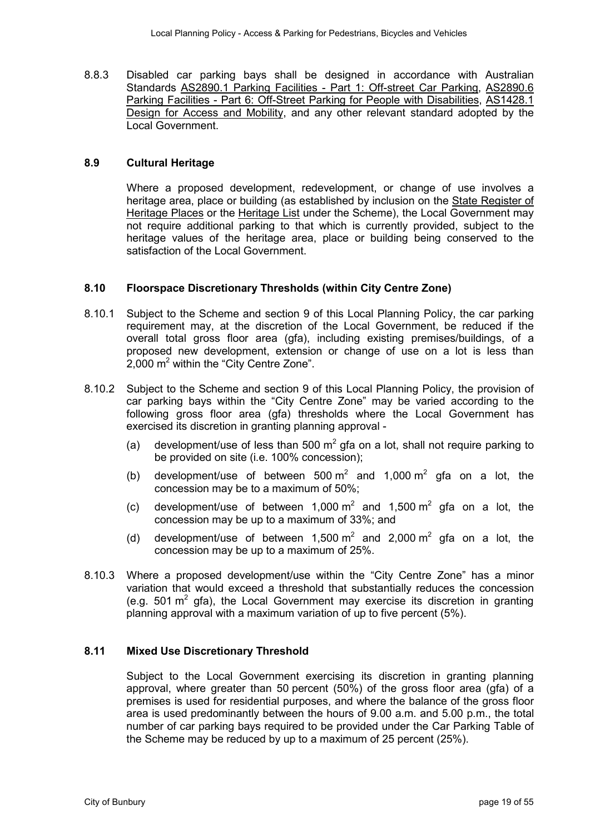8.8.3 Disabled car parking bays shall be designed in accordance with Australian Standards AS2890.1 Parking Facilities - Part 1: Off-street Car Parking, AS2890.6 Parking Facilities - Part 6: Off-Street Parking for People with Disabilities, AS1428.1 Design for Access and Mobility, and any other relevant standard adopted by the Local Government.

#### **8.9 Cultural Heritage**

Where a proposed development, redevelopment, or change of use involves a heritage area, place or building (as established by inclusion on the State Register of Heritage Places or the Heritage List under the Scheme), the Local Government may not require additional parking to that which is currently provided, subject to the heritage values of the heritage area, place or building being conserved to the satisfaction of the Local Government.

#### **8.10 Floorspace Discretionary Thresholds (within City Centre Zone)**

- 8.10.1 Subject to the Scheme and section 9 of this Local Planning Policy, the car parking requirement may, at the discretion of the Local Government, be reduced if the overall total gross floor area (gfa), including existing premises/buildings, of a proposed new development, extension or change of use on a lot is less than  $2,000$  m<sup>2</sup> within the "City Centre Zone".
- 8.10.2 Subject to the Scheme and section 9 of this Local Planning Policy, the provision of car parking bays within the "City Centre Zone" may be varied according to the following gross floor area (gfa) thresholds where the Local Government has exercised its discretion in granting planning approval -
	- (a) development/use of less than 500  $m^2$  gfa on a lot, shall not require parking to be provided on site (i.e. 100% concession);
	- (b) development/use of between 500  $m^2$  and 1,000  $m^2$  gfa on a lot, the concession may be to a maximum of 50%;
	- (c) development/use of between 1,000  $m^2$  and 1,500  $m^2$  gfa on a lot, the concession may be up to a maximum of 33%; and
	- (d) development/use of between 1,500  $m^2$  and 2,000  $m^2$  gfa on a lot, the concession may be up to a maximum of 25%.
- 8.10.3 Where a proposed development/use within the "City Centre Zone" has a minor variation that would exceed a threshold that substantially reduces the concession (e.g. 501  $\text{m}^2$  gfa), the Local Government may exercise its discretion in granting planning approval with a maximum variation of up to five percent (5%).

#### **8.11 Mixed Use Discretionary Threshold**

Subject to the Local Government exercising its discretion in granting planning approval, where greater than 50 percent (50%) of the gross floor area (gfa) of a premises is used for residential purposes, and where the balance of the gross floor area is used predominantly between the hours of 9.00 a.m. and 5.00 p.m., the total number of car parking bays required to be provided under the Car Parking Table of the Scheme may be reduced by up to a maximum of 25 percent (25%).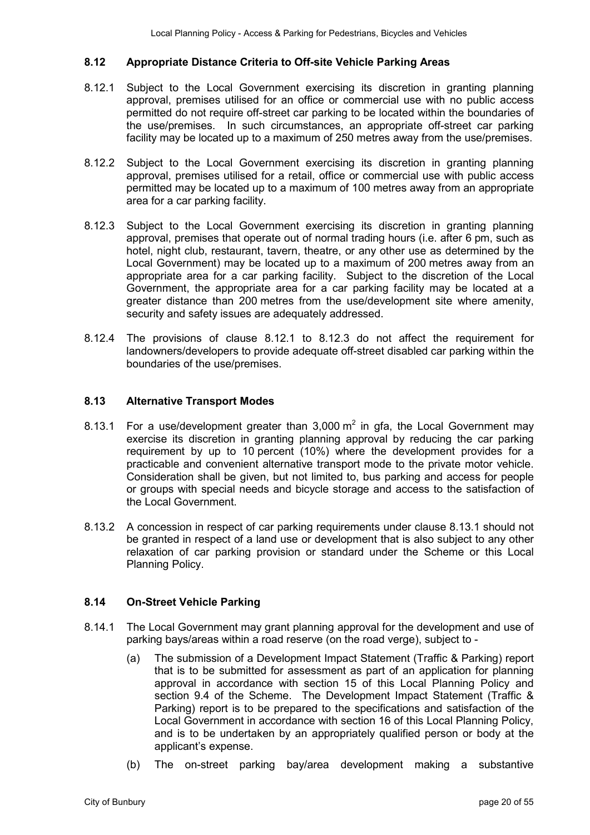#### **8.12 Appropriate Distance Criteria to Off-site Vehicle Parking Areas**

- 8.12.1 Subject to the Local Government exercising its discretion in granting planning approval, premises utilised for an office or commercial use with no public access permitted do not require off-street car parking to be located within the boundaries of the use/premises. In such circumstances, an appropriate off-street car parking facility may be located up to a maximum of 250 metres away from the use/premises.
- 8.12.2 Subject to the Local Government exercising its discretion in granting planning approval, premises utilised for a retail, office or commercial use with public access permitted may be located up to a maximum of 100 metres away from an appropriate area for a car parking facility.
- 8.12.3 Subject to the Local Government exercising its discretion in granting planning approval, premises that operate out of normal trading hours (i.e. after 6 pm, such as hotel, night club, restaurant, tavern, theatre, or any other use as determined by the Local Government) may be located up to a maximum of 200 metres away from an appropriate area for a car parking facility. Subject to the discretion of the Local Government, the appropriate area for a car parking facility may be located at a greater distance than 200 metres from the use/development site where amenity, security and safety issues are adequately addressed.
- 8.12.4 The provisions of clause 8.12.1 to 8.12.3 do not affect the requirement for landowners/developers to provide adequate off-street disabled car parking within the boundaries of the use/premises.

#### **8.13 Alternative Transport Modes**

- 8.13.1 For a use/development greater than 3,000  $m^2$  in gfa, the Local Government may exercise its discretion in granting planning approval by reducing the car parking requirement by up to 10 percent (10%) where the development provides for a practicable and convenient alternative transport mode to the private motor vehicle. Consideration shall be given, but not limited to, bus parking and access for people or groups with special needs and bicycle storage and access to the satisfaction of the Local Government.
- 8.13.2 A concession in respect of car parking requirements under clause 8.13.1 should not be granted in respect of a land use or development that is also subject to any other relaxation of car parking provision or standard under the Scheme or this Local Planning Policy.

#### **8.14 On-Street Vehicle Parking**

- 8.14.1 The Local Government may grant planning approval for the development and use of parking bays/areas within a road reserve (on the road verge), subject to -
	- (a) The submission of a Development Impact Statement (Traffic & Parking) report that is to be submitted for assessment as part of an application for planning approval in accordance with section 15 of this Local Planning Policy and section 9.4 of the Scheme. The Development Impact Statement (Traffic & Parking) report is to be prepared to the specifications and satisfaction of the Local Government in accordance with section 16 of this Local Planning Policy, and is to be undertaken by an appropriately qualified person or body at the applicant's expense.
	- (b) The on-street parking bay/area development making a substantive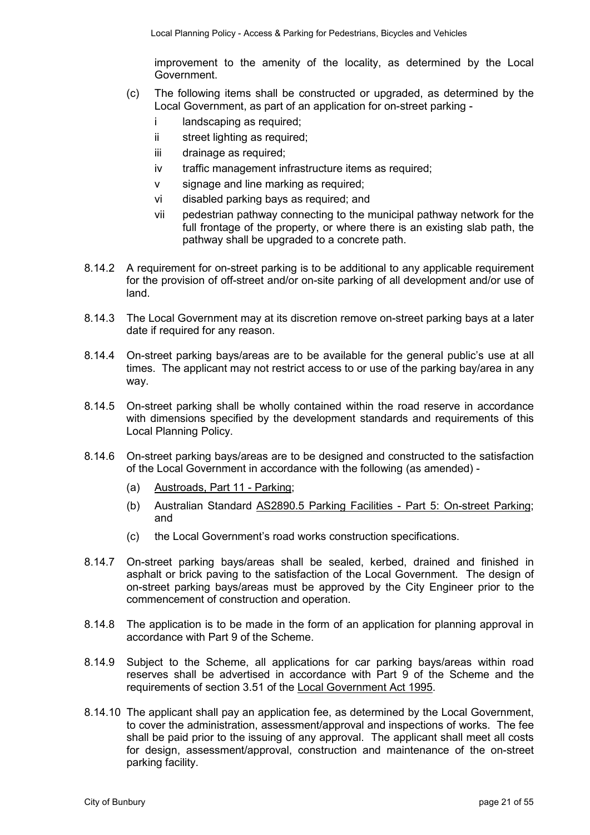improvement to the amenity of the locality, as determined by the Local Government.

- (c) The following items shall be constructed or upgraded, as determined by the Local Government, as part of an application for on-street parking
	- i landscaping as required;
	- ii street lighting as required;
	- iii drainage as required;
	- iv traffic management infrastructure items as required;
	- v signage and line marking as required;
	- vi disabled parking bays as required; and
	- vii pedestrian pathway connecting to the municipal pathway network for the full frontage of the property, or where there is an existing slab path, the pathway shall be upgraded to a concrete path.
- 8.14.2 A requirement for on-street parking is to be additional to any applicable requirement for the provision of off-street and/or on-site parking of all development and/or use of land.
- 8.14.3 The Local Government may at its discretion remove on-street parking bays at a later date if required for any reason.
- 8.14.4 On-street parking bays/areas are to be available for the general public's use at all times. The applicant may not restrict access to or use of the parking bay/area in any way.
- 8.14.5 On-street parking shall be wholly contained within the road reserve in accordance with dimensions specified by the development standards and requirements of this Local Planning Policy.
- 8.14.6 On-street parking bays/areas are to be designed and constructed to the satisfaction of the Local Government in accordance with the following (as amended) -
	- (a) Austroads, Part 11 Parking;
	- (b) Australian Standard AS2890.5 Parking Facilities Part 5: On-street Parking; and
	- (c) the Local Government's road works construction specifications.
- 8.14.7 On-street parking bays/areas shall be sealed, kerbed, drained and finished in asphalt or brick paving to the satisfaction of the Local Government. The design of on-street parking bays/areas must be approved by the City Engineer prior to the commencement of construction and operation.
- 8.14.8 The application is to be made in the form of an application for planning approval in accordance with Part 9 of the Scheme.
- 8.14.9 Subject to the Scheme, all applications for car parking bays/areas within road reserves shall be advertised in accordance with Part 9 of the Scheme and the requirements of section 3.51 of the Local Government Act 1995.
- 8.14.10 The applicant shall pay an application fee, as determined by the Local Government, to cover the administration, assessment/approval and inspections of works. The fee shall be paid prior to the issuing of any approval. The applicant shall meet all costs for design, assessment/approval, construction and maintenance of the on-street parking facility.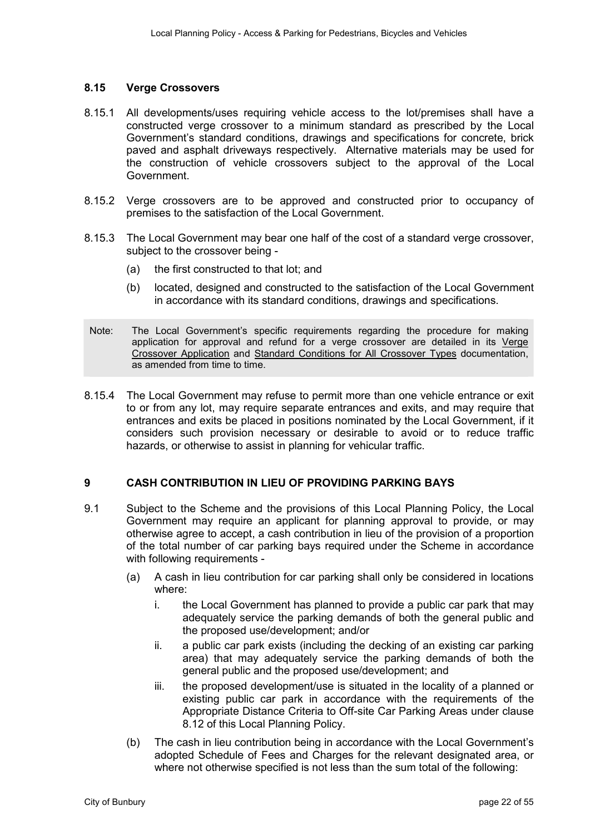#### **8.15 Verge Crossovers**

- 8.15.1 All developments/uses requiring vehicle access to the lot/premises shall have a constructed verge crossover to a minimum standard as prescribed by the Local Government's standard conditions, drawings and specifications for concrete, brick paved and asphalt driveways respectively. Alternative materials may be used for the construction of vehicle crossovers subject to the approval of the Local Government.
- 8.15.2 Verge crossovers are to be approved and constructed prior to occupancy of premises to the satisfaction of the Local Government.
- 8.15.3 The Local Government may bear one half of the cost of a standard verge crossover, subject to the crossover being -
	- (a) the first constructed to that lot; and
	- (b) located, designed and constructed to the satisfaction of the Local Government in accordance with its standard conditions, drawings and specifications.
- Note: The Local Government's specific requirements regarding the procedure for making application for approval and refund for a verge crossover are detailed in its Verge Crossover Application and Standard Conditions for All Crossover Types documentation, as amended from time to time.
- 8.15.4 The Local Government may refuse to permit more than one vehicle entrance or exit to or from any lot, may require separate entrances and exits, and may require that entrances and exits be placed in positions nominated by the Local Government, if it considers such provision necessary or desirable to avoid or to reduce traffic hazards, or otherwise to assist in planning for vehicular traffic.

#### **9 CASH CONTRIBUTION IN LIEU OF PROVIDING PARKING BAYS**

- 9.1 Subject to the Scheme and the provisions of this Local Planning Policy, the Local Government may require an applicant for planning approval to provide, or may otherwise agree to accept, a cash contribution in lieu of the provision of a proportion of the total number of car parking bays required under the Scheme in accordance with following requirements -
	- (a) A cash in lieu contribution for car parking shall only be considered in locations where:
		- i. the Local Government has planned to provide a public car park that may adequately service the parking demands of both the general public and the proposed use/development; and/or
		- ii. a public car park exists (including the decking of an existing car parking area) that may adequately service the parking demands of both the general public and the proposed use/development; and
		- iii. the proposed development/use is situated in the locality of a planned or existing public car park in accordance with the requirements of the Appropriate Distance Criteria to Off-site Car Parking Areas under clause 8.12 of this Local Planning Policy.
	- (b) The cash in lieu contribution being in accordance with the Local Government's adopted Schedule of Fees and Charges for the relevant designated area, or where not otherwise specified is not less than the sum total of the following: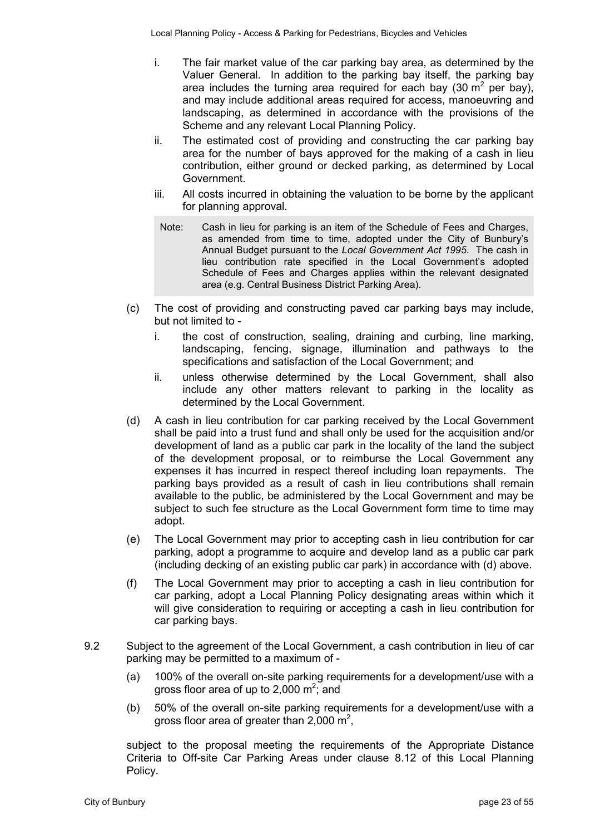- i. The fair market value of the car parking bay area, as determined by the Valuer General. In addition to the parking bay itself, the parking bay area includes the turning area required for each bay (30  $m^2$  per bay), and may include additional areas required for access, manoeuvring and landscaping, as determined in accordance with the provisions of the Scheme and any relevant Local Planning Policy.
- ii. The estimated cost of providing and constructing the car parking bay area for the number of bays approved for the making of a cash in lieu contribution, either ground or decked parking, as determined by Local Government.
- iii. All costs incurred in obtaining the valuation to be borne by the applicant for planning approval.
- Note: Cash in lieu for parking is an item of the Schedule of Fees and Charges, as amended from time to time, adopted under the City of Bunbury's Annual Budget pursuant to the *Local Government Act 1995*. The cash in lieu contribution rate specified in the Local Government's adopted Schedule of Fees and Charges applies within the relevant designated area (e.g. Central Business District Parking Area).
- (c) The cost of providing and constructing paved car parking bays may include, but not limited to
	- i. the cost of construction, sealing, draining and curbing, line marking, landscaping, fencing, signage, illumination and pathways to the specifications and satisfaction of the Local Government; and
	- ii. unless otherwise determined by the Local Government, shall also include any other matters relevant to parking in the locality as determined by the Local Government.
- (d) A cash in lieu contribution for car parking received by the Local Government shall be paid into a trust fund and shall only be used for the acquisition and/or development of land as a public car park in the locality of the land the subject of the development proposal, or to reimburse the Local Government any expenses it has incurred in respect thereof including loan repayments. The parking bays provided as a result of cash in lieu contributions shall remain available to the public, be administered by the Local Government and may be subject to such fee structure as the Local Government form time to time may adopt.
- (e) The Local Government may prior to accepting cash in lieu contribution for car parking, adopt a programme to acquire and develop land as a public car park (including decking of an existing public car park) in accordance with (d) above.
- (f) The Local Government may prior to accepting a cash in lieu contribution for car parking, adopt a Local Planning Policy designating areas within which it will give consideration to requiring or accepting a cash in lieu contribution for car parking bays.
- 9.2 Subject to the agreement of the Local Government, a cash contribution in lieu of car parking may be permitted to a maximum of -
	- (a) 100% of the overall on-site parking requirements for a development/use with a gross floor area of up to 2,000  $m^2$ ; and
	- (b) 50% of the overall on-site parking requirements for a development/use with a gross floor area of greater than 2,000  $m^2$ ,

subject to the proposal meeting the requirements of the Appropriate Distance Criteria to Off-site Car Parking Areas under clause 8.12 of this Local Planning Policy.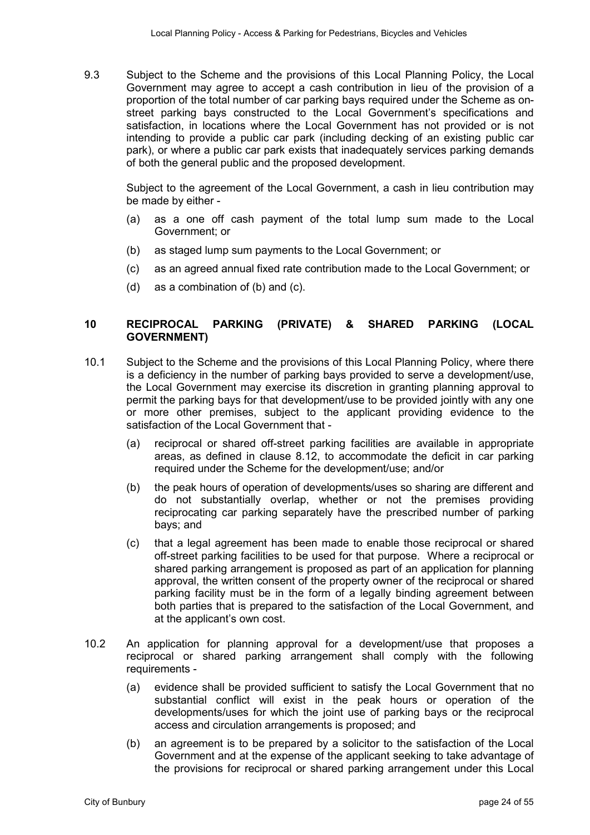9.3 Subject to the Scheme and the provisions of this Local Planning Policy, the Local Government may agree to accept a cash contribution in lieu of the provision of a proportion of the total number of car parking bays required under the Scheme as onstreet parking bays constructed to the Local Government's specifications and satisfaction, in locations where the Local Government has not provided or is not intending to provide a public car park (including decking of an existing public car park), or where a public car park exists that inadequately services parking demands of both the general public and the proposed development.

Subject to the agreement of the Local Government, a cash in lieu contribution may be made by either -

- (a) as a one off cash payment of the total lump sum made to the Local Government; or
- (b) as staged lump sum payments to the Local Government; or
- (c) as an agreed annual fixed rate contribution made to the Local Government; or
- (d) as a combination of (b) and (c).

#### **10 RECIPROCAL PARKING (PRIVATE) & SHARED PARKING (LOCAL GOVERNMENT)**

- 10.1 Subject to the Scheme and the provisions of this Local Planning Policy, where there is a deficiency in the number of parking bays provided to serve a development/use, the Local Government may exercise its discretion in granting planning approval to permit the parking bays for that development/use to be provided jointly with any one or more other premises, subject to the applicant providing evidence to the satisfaction of the Local Government that -
	- (a) reciprocal or shared off-street parking facilities are available in appropriate areas, as defined in clause 8.12, to accommodate the deficit in car parking required under the Scheme for the development/use; and/or
	- (b) the peak hours of operation of developments/uses so sharing are different and do not substantially overlap, whether or not the premises providing reciprocating car parking separately have the prescribed number of parking bays; and
	- (c) that a legal agreement has been made to enable those reciprocal or shared off-street parking facilities to be used for that purpose. Where a reciprocal or shared parking arrangement is proposed as part of an application for planning approval, the written consent of the property owner of the reciprocal or shared parking facility must be in the form of a legally binding agreement between both parties that is prepared to the satisfaction of the Local Government, and at the applicant's own cost.
- 10.2 An application for planning approval for a development/use that proposes a reciprocal or shared parking arrangement shall comply with the following requirements -
	- (a) evidence shall be provided sufficient to satisfy the Local Government that no substantial conflict will exist in the peak hours or operation of the developments/uses for which the joint use of parking bays or the reciprocal access and circulation arrangements is proposed; and
	- (b) an agreement is to be prepared by a solicitor to the satisfaction of the Local Government and at the expense of the applicant seeking to take advantage of the provisions for reciprocal or shared parking arrangement under this Local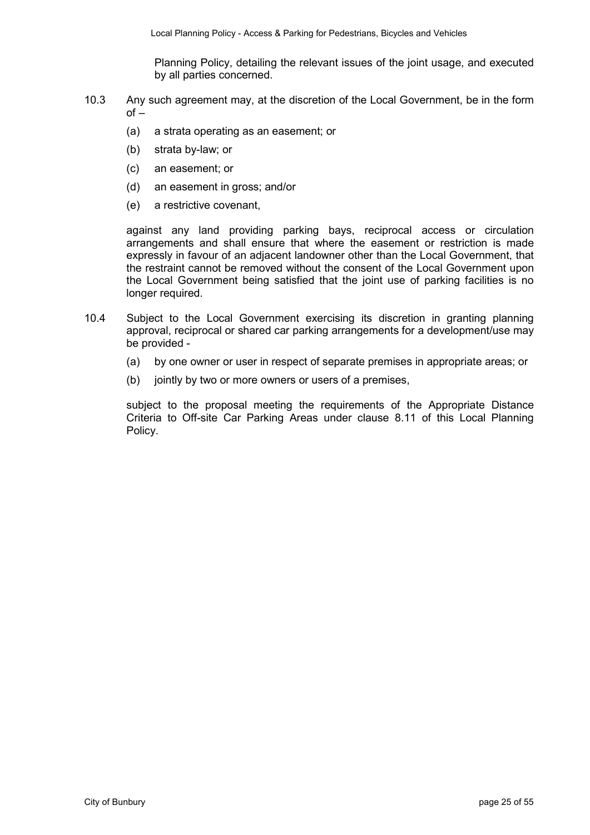Planning Policy, detailing the relevant issues of the joint usage, and executed by all parties concerned.

- 10.3 Any such agreement may, at the discretion of the Local Government, be in the form  $of -$ 
	- (a) a strata operating as an easement; or
	- (b) strata by-law; or
	- (c) an easement; or
	- (d) an easement in gross; and/or
	- (e) a restrictive covenant,

against any land providing parking bays, reciprocal access or circulation arrangements and shall ensure that where the easement or restriction is made expressly in favour of an adjacent landowner other than the Local Government, that the restraint cannot be removed without the consent of the Local Government upon the Local Government being satisfied that the joint use of parking facilities is no longer required.

- 10.4 Subject to the Local Government exercising its discretion in granting planning approval, reciprocal or shared car parking arrangements for a development/use may be provided -
	- (a) by one owner or user in respect of separate premises in appropriate areas; or
	- (b) jointly by two or more owners or users of a premises,

subject to the proposal meeting the requirements of the Appropriate Distance Criteria to Off-site Car Parking Areas under clause 8.11 of this Local Planning Policy.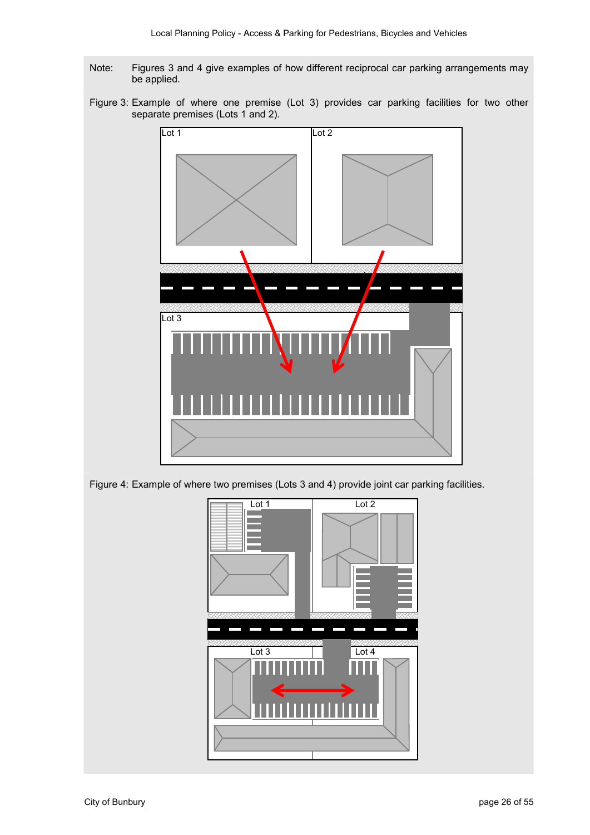- Note: Figures 3 and 4 give examples of how different reciprocal car parking arrangements may be applied.
- Figure 3: Example of where one premise (Lot 3) provides car parking facilities for two other separate premises (Lots 1 and 2).



Figure 4: Example of where two premises (Lots 3 and 4) provide joint car parking facilities.

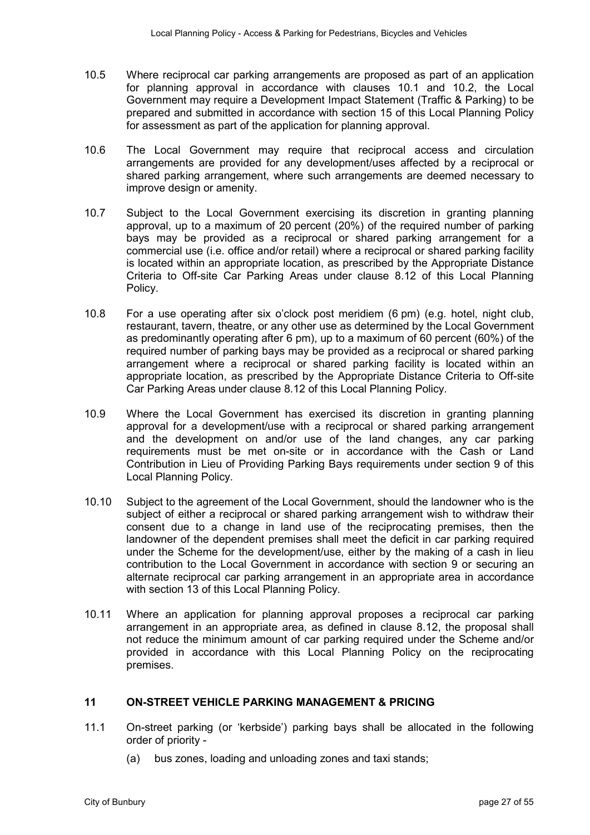- 10.5 Where reciprocal car parking arrangements are proposed as part of an application for planning approval in accordance with clauses 10.1 and 10.2, the Local Government may require a Development Impact Statement (Traffic & Parking) to be prepared and submitted in accordance with section 15 of this Local Planning Policy for assessment as part of the application for planning approval.
- 10.6 The Local Government may require that reciprocal access and circulation arrangements are provided for any development/uses affected by a reciprocal or shared parking arrangement, where such arrangements are deemed necessary to improve design or amenity.
- 10.7 Subject to the Local Government exercising its discretion in granting planning approval, up to a maximum of 20 percent (20%) of the required number of parking bays may be provided as a reciprocal or shared parking arrangement for a commercial use (i.e. office and/or retail) where a reciprocal or shared parking facility is located within an appropriate location, as prescribed by the Appropriate Distance Criteria to Off-site Car Parking Areas under clause 8.12 of this Local Planning Policy.
- 10.8 For a use operating after six o'clock post meridiem (6 pm) (e.g. hotel, night club, restaurant, tavern, theatre, or any other use as determined by the Local Government as predominantly operating after 6 pm), up to a maximum of 60 percent (60%) of the required number of parking bays may be provided as a reciprocal or shared parking arrangement where a reciprocal or shared parking facility is located within an appropriate location, as prescribed by the Appropriate Distance Criteria to Off-site Car Parking Areas under clause 8.12 of this Local Planning Policy.
- 10.9 Where the Local Government has exercised its discretion in granting planning approval for a development/use with a reciprocal or shared parking arrangement and the development on and/or use of the land changes, any car parking requirements must be met on-site or in accordance with the Cash or Land Contribution in Lieu of Providing Parking Bays requirements under section 9 of this Local Planning Policy.
- 10.10 Subject to the agreement of the Local Government, should the landowner who is the subject of either a reciprocal or shared parking arrangement wish to withdraw their consent due to a change in land use of the reciprocating premises, then the landowner of the dependent premises shall meet the deficit in car parking required under the Scheme for the development/use, either by the making of a cash in lieu contribution to the Local Government in accordance with section 9 or securing an alternate reciprocal car parking arrangement in an appropriate area in accordance with section 13 of this Local Planning Policy.
- 10.11 Where an application for planning approval proposes a reciprocal car parking arrangement in an appropriate area, as defined in clause 8.12, the proposal shall not reduce the minimum amount of car parking required under the Scheme and/or provided in accordance with this Local Planning Policy on the reciprocating premises.

#### **11 ON-STREET VEHICLE PARKING MANAGEMENT & PRICING**

- 11.1 On-street parking (or 'kerbside') parking bays shall be allocated in the following order of priority -
	- (a) bus zones, loading and unloading zones and taxi stands;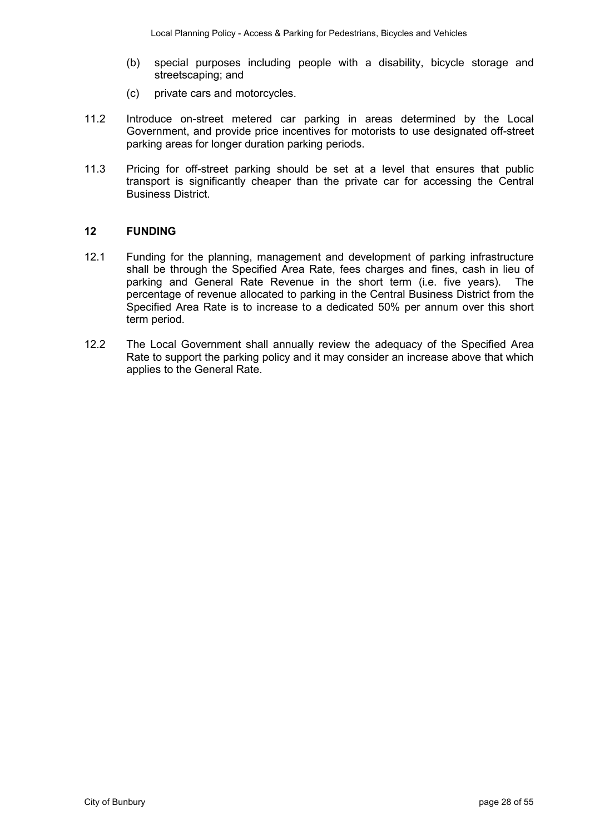- (b) special purposes including people with a disability, bicycle storage and streetscaping; and
- (c) private cars and motorcycles.
- 11.2 Introduce on-street metered car parking in areas determined by the Local Government, and provide price incentives for motorists to use designated off-street parking areas for longer duration parking periods.
- 11.3 Pricing for off-street parking should be set at a level that ensures that public transport is significantly cheaper than the private car for accessing the Central Business District.

#### **12 FUNDING**

- 12.1 Funding for the planning, management and development of parking infrastructure shall be through the Specified Area Rate, fees charges and fines, cash in lieu of parking and General Rate Revenue in the short term (i.e. five years). The percentage of revenue allocated to parking in the Central Business District from the Specified Area Rate is to increase to a dedicated 50% per annum over this short term period.
- 12.2 The Local Government shall annually review the adequacy of the Specified Area Rate to support the parking policy and it may consider an increase above that which applies to the General Rate.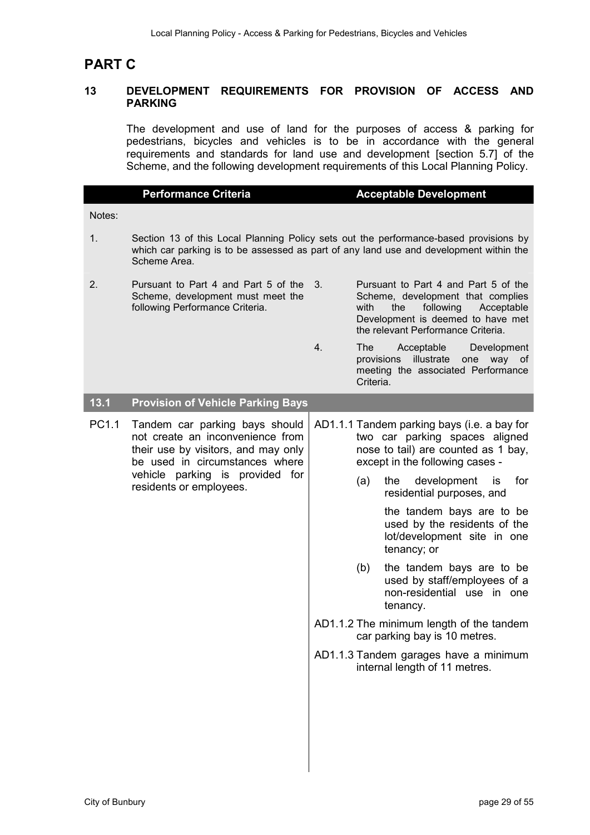## **PART C**

#### **13 DEVELOPMENT REQUIREMENTS FOR PROVISION OF ACCESS AND PARKING**

The development and use of land for the purposes of access & parking for pedestrians, bicycles and vehicles is to be in accordance with the general requirements and standards for land use and development [section 5.7] of the Scheme, and the following development requirements of this Local Planning Policy.

|        | <b>Performance Criteria</b>                                                                                                                                                                               |    | <b>Acceptable Development</b>                                                                                                                                                                                                                                                                                                                                                                                                                                                                                                         |
|--------|-----------------------------------------------------------------------------------------------------------------------------------------------------------------------------------------------------------|----|---------------------------------------------------------------------------------------------------------------------------------------------------------------------------------------------------------------------------------------------------------------------------------------------------------------------------------------------------------------------------------------------------------------------------------------------------------------------------------------------------------------------------------------|
| Notes: |                                                                                                                                                                                                           |    |                                                                                                                                                                                                                                                                                                                                                                                                                                                                                                                                       |
| 1.     | Scheme Area.                                                                                                                                                                                              |    | Section 13 of this Local Planning Policy sets out the performance-based provisions by<br>which car parking is to be assessed as part of any land use and development within the                                                                                                                                                                                                                                                                                                                                                       |
| 2.     | Pursuant to Part 4 and Part 5 of the<br>Scheme, development must meet the<br>following Performance Criteria.                                                                                              | 3. | Pursuant to Part 4 and Part 5 of the<br>Scheme, development that complies<br>with<br>the<br>following<br>Acceptable<br>Development is deemed to have met<br>the relevant Performance Criteria.                                                                                                                                                                                                                                                                                                                                        |
|        |                                                                                                                                                                                                           | 4. | Acceptable<br><b>The</b><br>Development<br>provisions illustrate<br>one way of<br>meeting the associated Performance<br>Criteria.                                                                                                                                                                                                                                                                                                                                                                                                     |
| 13.1   | <b>Provision of Vehicle Parking Bays</b>                                                                                                                                                                  |    |                                                                                                                                                                                                                                                                                                                                                                                                                                                                                                                                       |
| PC1.1  | Tandem car parking bays should<br>not create an inconvenience from<br>their use by visitors, and may only<br>be used in circumstances where<br>vehicle parking is provided for<br>residents or employees. |    | AD1.1.1 Tandem parking bays (i.e. a bay for<br>two car parking spaces aligned<br>nose to tail) are counted as 1 bay,<br>except in the following cases -<br>development<br>for<br>the<br>(a)<br>is.<br>residential purposes, and<br>the tandem bays are to be<br>used by the residents of the<br>lot/development site in one<br>tenancy; or<br>the tandem bays are to be<br>(b)<br>used by staff/employees of a<br>non-residential use in one<br>tenancy.<br>AD1.1.2 The minimum length of the tandem<br>car parking bay is 10 metres. |
|        |                                                                                                                                                                                                           |    | AD1.1.3 Tandem garages have a minimum<br>internal length of 11 metres.                                                                                                                                                                                                                                                                                                                                                                                                                                                                |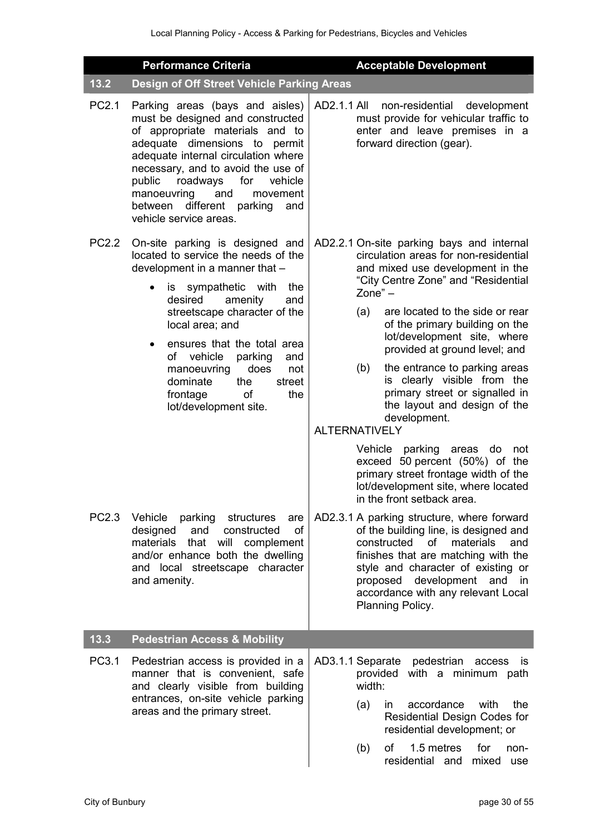|       | <b>Performance Criteria</b>                                                                                                                                                                                                                                                                                                                                                                                        | <b>Acceptable Development</b>                                                                                                                                                                                                                                                                                                                                                                                                                                                                                                                                                                                                                                  |
|-------|--------------------------------------------------------------------------------------------------------------------------------------------------------------------------------------------------------------------------------------------------------------------------------------------------------------------------------------------------------------------------------------------------------------------|----------------------------------------------------------------------------------------------------------------------------------------------------------------------------------------------------------------------------------------------------------------------------------------------------------------------------------------------------------------------------------------------------------------------------------------------------------------------------------------------------------------------------------------------------------------------------------------------------------------------------------------------------------------|
| 13.2  | Design of Off Street Vehicle Parking Areas                                                                                                                                                                                                                                                                                                                                                                         |                                                                                                                                                                                                                                                                                                                                                                                                                                                                                                                                                                                                                                                                |
| PC2.1 | Parking areas (bays and aisles)<br>must be designed and constructed<br>of appropriate materials and to<br>adequate dimensions to permit<br>adequate internal circulation where<br>necessary, and to avoid the use of<br>roadways<br>for<br>public<br>vehicle<br>manoeuvring<br>and<br>movement<br>between different<br>parking and<br>vehicle service areas.                                                       | AD2.1.1 All<br>non-residential development<br>must provide for vehicular traffic to<br>enter and leave premises in a<br>forward direction (gear).                                                                                                                                                                                                                                                                                                                                                                                                                                                                                                              |
| PC2.2 | On-site parking is designed and<br>located to service the needs of the<br>development in a manner that -<br>is sympathetic<br>with<br>the<br>$\bullet$<br>amenity<br>desired<br>and<br>streetscape character of the<br>local area; and<br>ensures that the total area<br>of vehicle<br>parking<br>and<br>manoeuvring<br>does<br>not<br>dominate<br>street<br>the<br>the<br>frontage<br>of<br>lot/development site. | AD2.2.1 On-site parking bays and internal<br>circulation areas for non-residential<br>and mixed use development in the<br>"City Centre Zone" and "Residential<br>$Zone" -$<br>are located to the side or rear<br>(a)<br>of the primary building on the<br>lot/development site, where<br>provided at ground level; and<br>(b)<br>the entrance to parking areas<br>is clearly visible from the<br>primary street or signalled in<br>the layout and design of the<br>development.<br><b>ALTERNATIVELY</b><br>Vehicle parking areas<br>do<br>not<br>exceed 50 percent (50%) of the<br>primary street frontage width of the<br>lot/development site, where located |
| PC2.3 | Vehicle<br>parking<br>structures<br>are<br>designed<br>and<br>constructed<br><b>of</b><br>materials<br>that<br>will<br>complement<br>and/or enhance both the dwelling<br>and local streetscape character<br>and amenity.                                                                                                                                                                                           | in the front setback area.<br>AD2.3.1 A parking structure, where forward<br>of the building line, is designed and<br>constructed<br>materials<br>and<br>οf<br>finishes that are matching with the<br>style and character of existing or<br>proposed development and in<br>accordance with any relevant Local<br>Planning Policy.                                                                                                                                                                                                                                                                                                                               |
| 13.3  | <b>Pedestrian Access &amp; Mobility</b>                                                                                                                                                                                                                                                                                                                                                                            |                                                                                                                                                                                                                                                                                                                                                                                                                                                                                                                                                                                                                                                                |
| PC3.1 | Pedestrian access is provided in a<br>manner that is convenient, safe<br>and clearly visible from building<br>entrances, on-site vehicle parking<br>areas and the primary street.                                                                                                                                                                                                                                  | AD3.1.1 Separate<br>pedestrian<br>access<br>is<br>with a minimum path<br>provided<br>width:<br>the<br>accordance<br>with<br>(a)<br>in.<br>Residential Design Codes for<br>residential development; or<br>1.5 metres<br>of<br>for<br>(b)<br>non-<br>residential and<br>mixed<br>use                                                                                                                                                                                                                                                                                                                                                                             |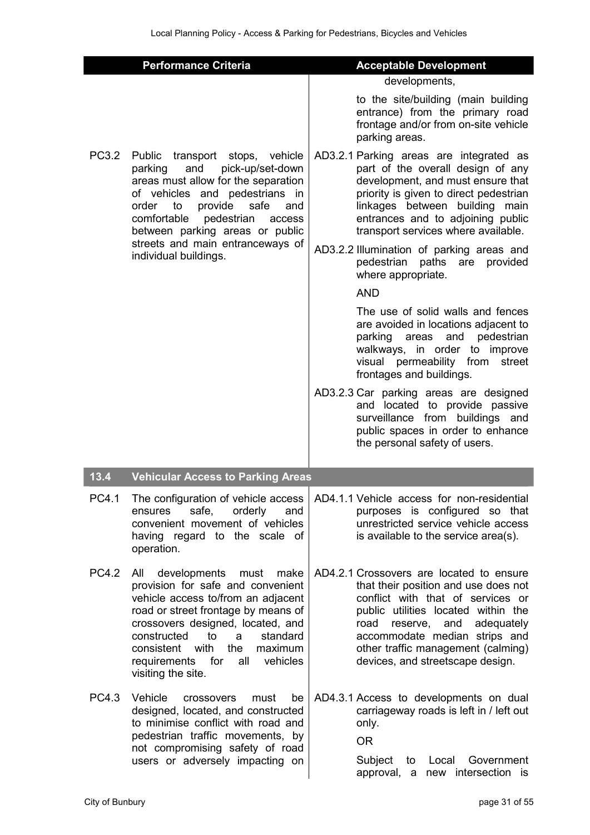|              | <b>Performance Criteria</b>                                                                                                                                                                                                                                                                                                    | <b>Acceptable Development</b>                                                                                                                                                                                                                                                                                                                                                                                                                                                                                                                                                                                                                                                                                                                                                                                   |
|--------------|--------------------------------------------------------------------------------------------------------------------------------------------------------------------------------------------------------------------------------------------------------------------------------------------------------------------------------|-----------------------------------------------------------------------------------------------------------------------------------------------------------------------------------------------------------------------------------------------------------------------------------------------------------------------------------------------------------------------------------------------------------------------------------------------------------------------------------------------------------------------------------------------------------------------------------------------------------------------------------------------------------------------------------------------------------------------------------------------------------------------------------------------------------------|
|              |                                                                                                                                                                                                                                                                                                                                | developments,                                                                                                                                                                                                                                                                                                                                                                                                                                                                                                                                                                                                                                                                                                                                                                                                   |
|              |                                                                                                                                                                                                                                                                                                                                | to the site/building (main building<br>entrance) from the primary road<br>frontage and/or from on-site vehicle<br>parking areas.                                                                                                                                                                                                                                                                                                                                                                                                                                                                                                                                                                                                                                                                                |
| PC3.2        | Public transport stops, vehicle<br>and<br>pick-up/set-down<br>parking<br>areas must allow for the separation<br>of vehicles and pedestrians in<br>provide<br>safe<br>order<br>to<br>and<br>comfortable<br>pedestrian<br>access<br>between parking areas or public<br>streets and main entranceways of<br>individual buildings. | AD3.2.1 Parking areas are integrated as<br>part of the overall design of any<br>development, and must ensure that<br>priority is given to direct pedestrian<br>linkages between building<br>main<br>entrances and to adjoining public<br>transport services where available.<br>AD3.2.2 Illumination of parking areas and<br>pedestrian<br>paths are<br>provided<br>where appropriate.<br><b>AND</b><br>The use of solid walls and fences<br>are avoided in locations adjacent to<br>and<br>parking areas<br>pedestrian<br>walkways, in order to improve<br>visual permeability from<br>street<br>frontages and buildings.<br>AD3.2.3 Car parking areas are designed<br>and located to provide passive<br>surveillance from buildings and<br>public spaces in order to enhance<br>the personal safety of users. |
| 13.4         | <b>Vehicular Access to Parking Areas</b>                                                                                                                                                                                                                                                                                       |                                                                                                                                                                                                                                                                                                                                                                                                                                                                                                                                                                                                                                                                                                                                                                                                                 |
| PC4.1        | safe, orderly<br>ensures<br>and<br>convenient movement of vehicles<br>having regard to the scale of<br>operation.                                                                                                                                                                                                              | The configuration of vehicle access   AD4.1.1 Vehicle access for non-residential<br>purposes is configured so that<br>unrestricted service vehicle access<br>is available to the service area(s).                                                                                                                                                                                                                                                                                                                                                                                                                                                                                                                                                                                                               |
| <b>PC4.2</b> | developments must<br>All<br>make<br>provision for safe and convenient<br>vehicle access to/from an adjacent<br>road or street frontage by means of<br>crossovers designed, located, and<br>constructed<br>standard<br>to<br>a<br>consistent with<br>the<br>maximum<br>requirements for<br>all vehicles<br>visiting the site.   | AD4.2.1 Crossovers are located to ensure<br>that their position and use does not<br>conflict with that of services or<br>public utilities located within the<br>and<br>adequately<br>road<br>reserve,<br>accommodate median strips and<br>other traffic management (calming)<br>devices, and streetscape design.                                                                                                                                                                                                                                                                                                                                                                                                                                                                                                |
| PC4.3        | Vehicle<br>crossovers<br>be<br>must<br>designed, located, and constructed<br>to minimise conflict with road and<br>pedestrian traffic movements, by<br>not compromising safety of road<br>users or adversely impacting on                                                                                                      | AD4.3.1 Access to developments on dual<br>carriageway roads is left in / left out<br>only.<br><b>OR</b><br>Subject<br>Government<br>Local<br>to<br>new intersection is<br>approval, a                                                                                                                                                                                                                                                                                                                                                                                                                                                                                                                                                                                                                           |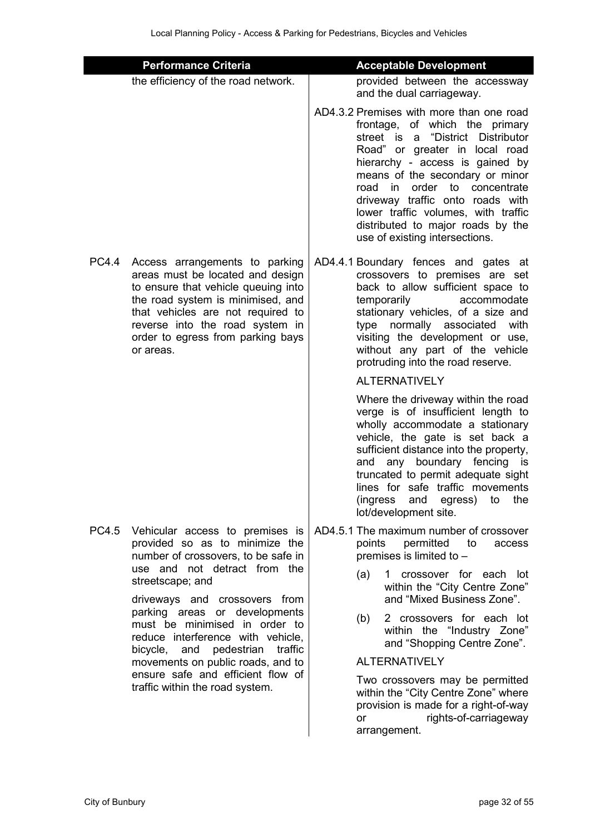|              | <b>Performance Criteria</b>                                                                                                                                                                                                                                              | <b>Acceptable Development</b>                                                                                                                                                                                                                                                                                                                                                                                   |
|--------------|--------------------------------------------------------------------------------------------------------------------------------------------------------------------------------------------------------------------------------------------------------------------------|-----------------------------------------------------------------------------------------------------------------------------------------------------------------------------------------------------------------------------------------------------------------------------------------------------------------------------------------------------------------------------------------------------------------|
|              | the efficiency of the road network.                                                                                                                                                                                                                                      | provided between the accessway<br>and the dual carriageway.                                                                                                                                                                                                                                                                                                                                                     |
|              |                                                                                                                                                                                                                                                                          | AD4.3.2 Premises with more than one road<br>frontage, of which the primary<br>"District Distributor<br>street is a<br>Road" or greater in local road<br>hierarchy - access is gained by<br>means of the secondary or minor<br>road in<br>order to concentrate<br>driveway traffic onto roads with<br>lower traffic volumes, with traffic<br>distributed to major roads by the<br>use of existing intersections. |
| <b>PC4.4</b> | Access arrangements to parking<br>areas must be located and design<br>to ensure that vehicle queuing into<br>the road system is minimised, and<br>that vehicles are not required to<br>reverse into the road system in<br>order to egress from parking bays<br>or areas. | AD4.4.1 Boundary fences and gates at<br>crossovers to premises are set<br>back to allow sufficient space to<br>temporarily<br>accommodate<br>stationary vehicles, of a size and<br>type normally associated<br>with<br>visiting the development or use,<br>without any part of the vehicle<br>protruding into the road reserve.                                                                                 |
|              |                                                                                                                                                                                                                                                                          | <b>ALTERNATIVELY</b>                                                                                                                                                                                                                                                                                                                                                                                            |
|              |                                                                                                                                                                                                                                                                          | Where the driveway within the road<br>verge is of insufficient length to<br>wholly accommodate a stationary<br>vehicle, the gate is set back a<br>sufficient distance into the property,<br>and any boundary fencing is<br>truncated to permit adequate sight<br>lines for safe traffic movements<br>(ingress and egress) to the<br>lot/development site.                                                       |
| PC4.5        | Vehicular access to premises is<br>provided so as to minimize the<br>number of crossovers, to be safe in                                                                                                                                                                 | AD4.5.1 The maximum number of crossover<br>permitted<br>points<br>to<br>access<br>premises is limited to -                                                                                                                                                                                                                                                                                                      |
|              | use and not detract from the<br>streetscape; and                                                                                                                                                                                                                         | crossover for each lot<br>(a)<br>$\mathbf{1}$<br>within the "City Centre Zone"<br>and "Mixed Business Zone".                                                                                                                                                                                                                                                                                                    |
|              | driveways and crossovers from<br>parking areas or developments<br>must be minimised in order to<br>reduce interference with vehicle,<br>bicycle, and<br>pedestrian<br>traffic                                                                                            | 2 crossovers for each lot<br>(b)<br>within the "Industry Zone"<br>and "Shopping Centre Zone".                                                                                                                                                                                                                                                                                                                   |
|              | movements on public roads, and to                                                                                                                                                                                                                                        | <b>ALTERNATIVELY</b>                                                                                                                                                                                                                                                                                                                                                                                            |
|              | ensure safe and efficient flow of<br>traffic within the road system.                                                                                                                                                                                                     | Two crossovers may be permitted<br>within the "City Centre Zone" where<br>provision is made for a right-of-way<br>rights-of-carriageway<br><b>or</b><br>arrangement.                                                                                                                                                                                                                                            |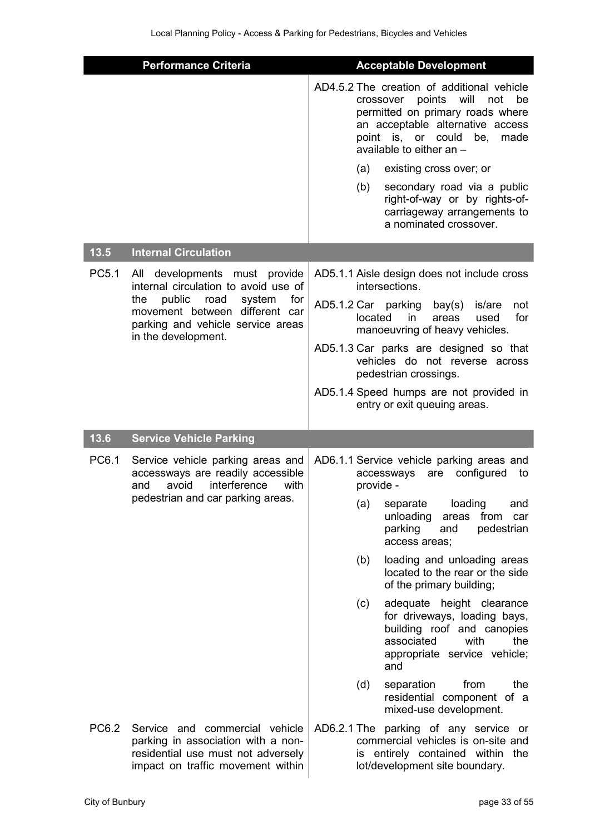|       | <b>Performance Criteria</b>                                                                                                                                                                                      | <b>Acceptable Development</b>                                                                                                                                                                                                                                                                                                                                              |
|-------|------------------------------------------------------------------------------------------------------------------------------------------------------------------------------------------------------------------|----------------------------------------------------------------------------------------------------------------------------------------------------------------------------------------------------------------------------------------------------------------------------------------------------------------------------------------------------------------------------|
|       |                                                                                                                                                                                                                  | AD4.5.2 The creation of additional vehicle<br>points<br>will<br>not<br>be<br>crossover<br>permitted on primary roads where<br>an acceptable alternative access<br>point is, or could be, made<br>available to either an -                                                                                                                                                  |
|       |                                                                                                                                                                                                                  | (a)<br>existing cross over; or                                                                                                                                                                                                                                                                                                                                             |
|       |                                                                                                                                                                                                                  | secondary road via a public<br>(b)<br>right-of-way or by rights-of-<br>carriageway arrangements to<br>a nominated crossover.                                                                                                                                                                                                                                               |
| 13.5  | <b>Internal Circulation</b>                                                                                                                                                                                      |                                                                                                                                                                                                                                                                                                                                                                            |
| PC5.1 | developments must provide<br>All<br>internal circulation to avoid use of<br>public<br>system<br>for<br>the<br>road<br>movement between different car<br>parking and vehicle service areas<br>in the development. | AD5.1.1 Aisle design does not include cross<br>intersections.<br>AD5.1.2 Car parking<br>bay(s)<br>is/are<br>not<br>for<br>located<br>in<br>areas<br>used<br>manoeuvring of heavy vehicles.<br>AD5.1.3 Car parks are designed so that<br>vehicles do not reverse across<br>pedestrian crossings.<br>AD5.1.4 Speed humps are not provided in<br>entry or exit queuing areas. |
|       |                                                                                                                                                                                                                  |                                                                                                                                                                                                                                                                                                                                                                            |
| 13.6  | <b>Service Vehicle Parking</b>                                                                                                                                                                                   |                                                                                                                                                                                                                                                                                                                                                                            |
| PC6.1 | Service vehicle parking areas and<br>accessways are readily accessible<br>interference<br>avoid<br>with<br>and<br>pedestrian and car parking areas.                                                              | AD6.1.1 Service vehicle parking areas and<br>configured<br>accessways<br>are<br>to<br>provide -                                                                                                                                                                                                                                                                            |
|       |                                                                                                                                                                                                                  | (a)<br>loading<br>separate<br>and<br>unloading<br>from<br>areas<br>car<br>parking<br>pedestrian<br>and<br>access areas;                                                                                                                                                                                                                                                    |
|       |                                                                                                                                                                                                                  | loading and unloading areas<br>(b)<br>located to the rear or the side<br>of the primary building;                                                                                                                                                                                                                                                                          |
|       |                                                                                                                                                                                                                  | (c)<br>adequate height clearance<br>for driveways, loading bays,<br>building roof and canopies<br>associated<br>with<br>the<br>appropriate service vehicle;<br>and                                                                                                                                                                                                         |
|       |                                                                                                                                                                                                                  | the<br>(d)<br>separation<br>from<br>residential component of a<br>mixed-use development.                                                                                                                                                                                                                                                                                   |
| PC6.2 | Service and commercial vehicle<br>parking in association with a non-<br>residential use must not adversely<br>impact on traffic movement within                                                                  | AD6.2.1 The parking of any service or<br>commercial vehicles is on-site and<br>is entirely contained within the<br>lot/development site boundary.                                                                                                                                                                                                                          |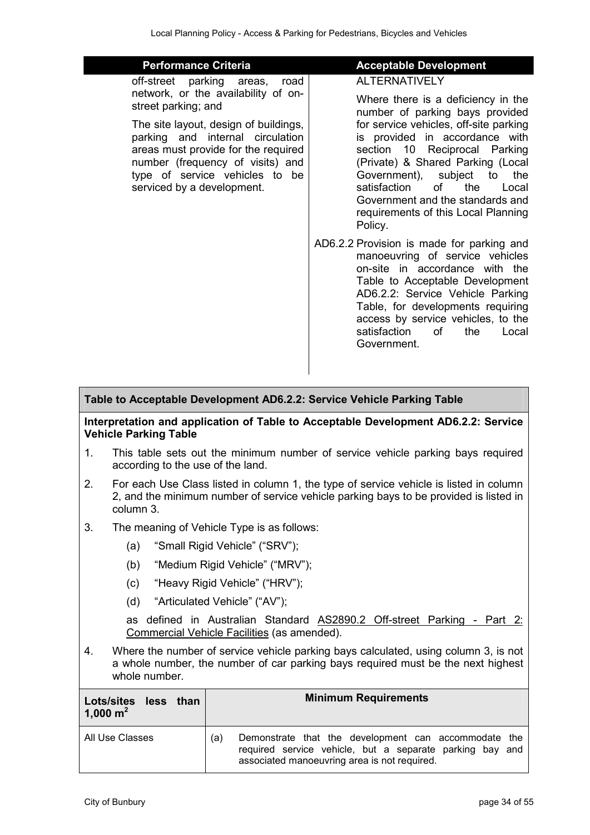| <b>Performance Criteria</b>                                                                                                                                                                                                                                                               | <b>Acceptable Development</b>                                                                                                                                                                                                                                                                                           |
|-------------------------------------------------------------------------------------------------------------------------------------------------------------------------------------------------------------------------------------------------------------------------------------------|-------------------------------------------------------------------------------------------------------------------------------------------------------------------------------------------------------------------------------------------------------------------------------------------------------------------------|
| off-street parking areas,<br>road<br>network, or the availability of on-<br>street parking; and<br>The site layout, design of buildings,<br>parking and internal circulation<br>areas must provide for the required<br>number (frequency of visits) and<br>type of service vehicles to be | AI TERNATIVEI Y<br>Where there is a deficiency in the<br>number of parking bays provided<br>for service vehicles, off-site parking<br>is provided in accordance with<br>section 10 Reciprocal Parking<br>(Private) & Shared Parking (Local<br>Government), subject<br>to<br>the                                         |
| serviced by a development.                                                                                                                                                                                                                                                                | the<br>satisfaction<br>of<br>Local<br>Government and the standards and<br>requirements of this Local Planning<br>Policy.                                                                                                                                                                                                |
|                                                                                                                                                                                                                                                                                           | AD6.2.2 Provision is made for parking and<br>manoeuvring of service vehicles<br>on-site in accordance with the<br>Table to Acceptable Development<br>AD6.2.2: Service Vehicle Parking<br>Table, for developments requiring<br>access by service vehicles, to the<br>satisfaction<br>of c<br>the<br>Local<br>Government. |

#### **Table to Acceptable Development AD6.2.2: Service Vehicle Parking Table**

#### **Interpretation and application of Table to Acceptable Development AD6.2.2: Service Vehicle Parking Table**

- 1. This table sets out the minimum number of service vehicle parking bays required according to the use of the land.
- 2. For each Use Class listed in column 1, the type of service vehicle is listed in column 2, and the minimum number of service vehicle parking bays to be provided is listed in column 3.
- 3. The meaning of Vehicle Type is as follows:
	- (a) "Small Rigid Vehicle" ("SRV");
	- (b) "Medium Rigid Vehicle" ("MRV");
	- (c) "Heavy Rigid Vehicle" ("HRV");
	- (d) "Articulated Vehicle" ("AV");

as defined in Australian Standard AS2890.2 Off-street Parking - Part 2: Commercial Vehicle Facilities (as amended).

4. Where the number of service vehicle parking bays calculated, using column 3, is not a whole number, the number of car parking bays required must be the next highest whole number.

| Lots/sites less than<br>1,000 $m^2$ | <b>Minimum Requirements</b>                                                                                                                                             |
|-------------------------------------|-------------------------------------------------------------------------------------------------------------------------------------------------------------------------|
| All Use Classes                     | Demonstrate that the development can accommodate the<br>(a)<br>required service vehicle, but a separate parking bay and<br>associated manoeuvring area is not required. |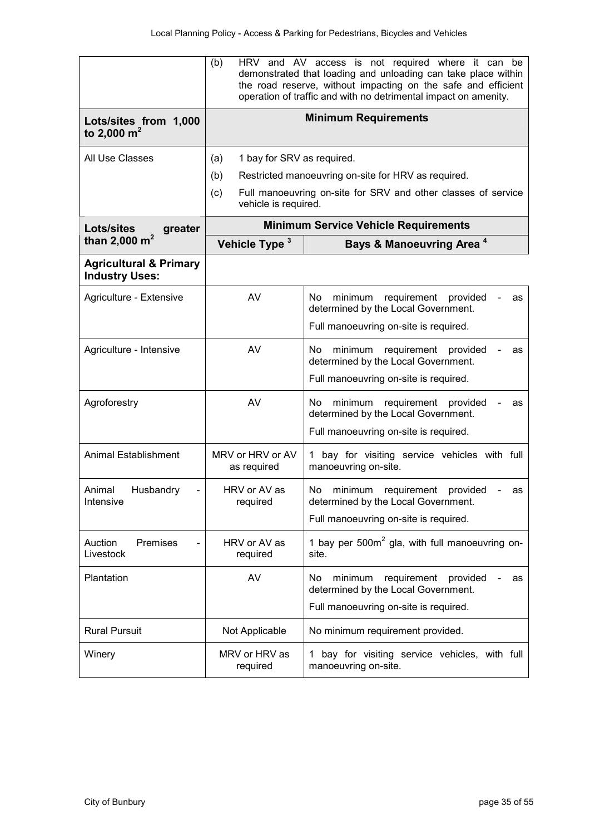|                                                            | (b)<br>HRV and AV access is not required where it can<br>be<br>demonstrated that loading and unloading can take place within<br>the road reserve, without impacting on the safe and efficient<br>operation of traffic and with no detrimental impact on amenity. |                                                                                        |
|------------------------------------------------------------|------------------------------------------------------------------------------------------------------------------------------------------------------------------------------------------------------------------------------------------------------------------|----------------------------------------------------------------------------------------|
| Lots/sites from 1,000<br>to 2,000 $m^2$                    |                                                                                                                                                                                                                                                                  | <b>Minimum Requirements</b>                                                            |
| All Use Classes                                            | 1 bay for SRV as required.<br>(a)                                                                                                                                                                                                                                |                                                                                        |
|                                                            | (b)                                                                                                                                                                                                                                                              | Restricted manoeuvring on-site for HRV as required.                                    |
|                                                            | (c)<br>vehicle is required.                                                                                                                                                                                                                                      | Full manoeuvring on-site for SRV and other classes of service                          |
| Lots/sites<br>greater                                      |                                                                                                                                                                                                                                                                  | <b>Minimum Service Vehicle Requirements</b>                                            |
| than 2,000 $m^2$                                           | Vehicle Type <sup>3</sup>                                                                                                                                                                                                                                        | <b>Bays &amp; Manoeuvring Area<sup>4</sup></b>                                         |
| <b>Agricultural &amp; Primary</b><br><b>Industry Uses:</b> |                                                                                                                                                                                                                                                                  |                                                                                        |
| Agriculture - Extensive                                    | AV                                                                                                                                                                                                                                                               | No.<br>minimum<br>requirement<br>provided<br>as<br>determined by the Local Government. |
|                                                            |                                                                                                                                                                                                                                                                  | Full manoeuvring on-site is required.                                                  |
| Agriculture - Intensive                                    | AV                                                                                                                                                                                                                                                               | minimum<br>requirement<br>No.<br>provided<br>as<br>determined by the Local Government. |
|                                                            |                                                                                                                                                                                                                                                                  | Full manoeuvring on-site is required.                                                  |
| Agroforestry                                               | AV                                                                                                                                                                                                                                                               | No.<br>minimum<br>requirement<br>provided<br>as<br>determined by the Local Government. |
|                                                            |                                                                                                                                                                                                                                                                  | Full manoeuvring on-site is required.                                                  |
| <b>Animal Establishment</b>                                | MRV or HRV or AV<br>as required                                                                                                                                                                                                                                  | bay for visiting service vehicles with full<br>manoeuvring on-site.                    |
| Animal<br>Husbandry<br>Intensive                           | HRV or AV as<br>required                                                                                                                                                                                                                                         | No<br>minimum<br>requirement<br>provided<br>as<br>determined by the Local Government.  |
|                                                            |                                                                                                                                                                                                                                                                  | Full manoeuvring on-site is required.                                                  |
| Premises<br>Auction<br>Livestock                           | HRV or AV as<br>required                                                                                                                                                                                                                                         | 1 bay per $500m^2$ gla, with full manoeuvring on-<br>site.                             |
| Plantation                                                 | AV                                                                                                                                                                                                                                                               | No.<br>minimum<br>requirement<br>provided<br>as<br>determined by the Local Government. |
|                                                            |                                                                                                                                                                                                                                                                  | Full manoeuvring on-site is required.                                                  |
| <b>Rural Pursuit</b>                                       | Not Applicable                                                                                                                                                                                                                                                   | No minimum requirement provided.                                                       |
| Winery                                                     | MRV or HRV as<br>required                                                                                                                                                                                                                                        | 1 bay for visiting service vehicles, with full<br>manoeuvring on-site.                 |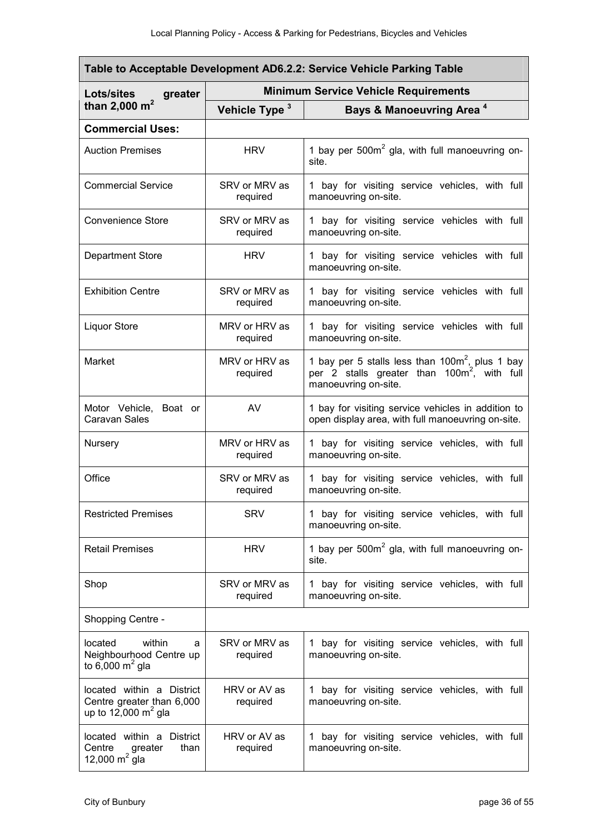| Table to Acceptable Development AD6.2.2: Service Vehicle Parking Table                     |                                             |                                                                                                                                       |  |
|--------------------------------------------------------------------------------------------|---------------------------------------------|---------------------------------------------------------------------------------------------------------------------------------------|--|
| <b>Lots/sites</b><br>greater                                                               | <b>Minimum Service Vehicle Requirements</b> |                                                                                                                                       |  |
| than 2,000 $m^2$                                                                           | Vehicle Type <sup>3</sup>                   | Bays & Manoeuvring Area <sup>4</sup>                                                                                                  |  |
| <b>Commercial Uses:</b>                                                                    |                                             |                                                                                                                                       |  |
| <b>Auction Premises</b>                                                                    | <b>HRV</b>                                  | 1 bay per 500m <sup>2</sup> gla, with full manoeuvring on-<br>site.                                                                   |  |
| <b>Commercial Service</b>                                                                  | SRV or MRV as<br>required                   | 1 bay for visiting service vehicles, with full<br>manoeuvring on-site.                                                                |  |
| <b>Convenience Store</b>                                                                   | SRV or MRV as<br>required                   | 1 bay for visiting service vehicles with full<br>manoeuvring on-site.                                                                 |  |
| <b>Department Store</b>                                                                    | <b>HRV</b>                                  | 1 bay for visiting service vehicles with full<br>manoeuvring on-site.                                                                 |  |
| <b>Exhibition Centre</b>                                                                   | SRV or MRV as<br>required                   | 1 bay for visiting service vehicles with full<br>manoeuvring on-site.                                                                 |  |
| <b>Liquor Store</b>                                                                        | MRV or HRV as<br>required                   | 1 bay for visiting service vehicles with full<br>manoeuvring on-site.                                                                 |  |
| Market                                                                                     | MRV or HRV as<br>required                   | 1 bay per 5 stalls less than $100m^2$ , plus 1 bay<br>per 2 stalls greater than 100m <sup>2</sup> , with full<br>manoeuvring on-site. |  |
| Motor Vehicle, Boat or<br>Caravan Sales                                                    | AV                                          | 1 bay for visiting service vehicles in addition to<br>open display area, with full manoeuvring on-site.                               |  |
| Nursery                                                                                    | MRV or HRV as<br>required                   | 1 bay for visiting service vehicles, with full<br>manoeuvring on-site.                                                                |  |
| Office                                                                                     | SRV or MRV as<br>required                   | 1 bay for visiting service vehicles, with full<br>manoeuvring on-site.                                                                |  |
| <b>Restricted Premises</b>                                                                 | <b>SRV</b>                                  | 1 bay for visiting service vehicles, with full<br>manoeuvring on-site.                                                                |  |
| <b>Retail Premises</b>                                                                     | <b>HRV</b>                                  | 1 bay per 500m <sup>2</sup> gla, with full manoeuvring on-<br>site.                                                                   |  |
| Shop                                                                                       | SRV or MRV as<br>required                   | 1 bay for visiting service vehicles, with full<br>manoeuvring on-site.                                                                |  |
| Shopping Centre -                                                                          |                                             |                                                                                                                                       |  |
| within<br>located<br>a<br>Neighbourhood Centre up<br>to 6,000 $m2$ gla                     | SRV or MRV as<br>required                   | 1 bay for visiting service vehicles, with full<br>manoeuvring on-site.                                                                |  |
| located within a District<br>Centre greater than 6,000<br>up to 12,000 $m^2$ gla           | HRV or AV as<br>required                    | 1 bay for visiting service vehicles, with full<br>manoeuvring on-site.                                                                |  |
| located within a District<br>Centre<br>than<br>Centre greater<br>12,000 m <sup>2</sup> gla | HRV or AV as<br>required                    | 1 bay for visiting service vehicles, with full<br>manoeuvring on-site.                                                                |  |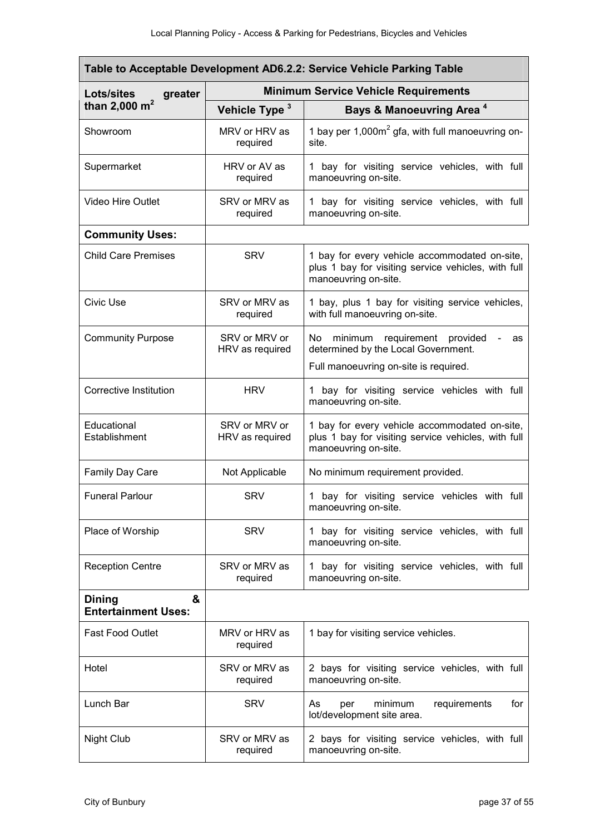| Table to Acceptable Development AD6.2.2: Service Vehicle Parking Table |                                             |                                                                                                                              |  |
|------------------------------------------------------------------------|---------------------------------------------|------------------------------------------------------------------------------------------------------------------------------|--|
| Lots/sites<br>greater                                                  | <b>Minimum Service Vehicle Requirements</b> |                                                                                                                              |  |
| than 2,000 $m^2$                                                       | Vehicle Type 3                              | <b>Bays &amp; Manoeuvring Area<sup>4</sup></b>                                                                               |  |
| Showroom                                                               | MRV or HRV as<br>required                   | 1 bay per $1,000m^2$ gfa, with full manoeuvring on-<br>site.                                                                 |  |
| Supermarket                                                            | HRV or AV as<br>required                    | 1 bay for visiting service vehicles, with full<br>manoeuvring on-site.                                                       |  |
| <b>Video Hire Outlet</b>                                               | SRV or MRV as<br>required                   | 1 bay for visiting service vehicles, with full<br>manoeuvring on-site.                                                       |  |
| <b>Community Uses:</b>                                                 |                                             |                                                                                                                              |  |
| <b>Child Care Premises</b>                                             | <b>SRV</b>                                  | 1 bay for every vehicle accommodated on-site,<br>plus 1 bay for visiting service vehicles, with full<br>manoeuvring on-site. |  |
| Civic Use                                                              | SRV or MRV as<br>required                   | 1 bay, plus 1 bay for visiting service vehicles,<br>with full manoeuvring on-site.                                           |  |
| <b>Community Purpose</b>                                               | SRV or MRV or<br>HRV as required            | minimum requirement provided<br>No<br>as<br>determined by the Local Government.<br>Full manoeuvring on-site is required.     |  |
| <b>Corrective Institution</b>                                          | <b>HRV</b>                                  | 1 bay for visiting service vehicles with full<br>manoeuvring on-site.                                                        |  |
| Educational<br>Establishment                                           | SRV or MRV or<br>HRV as required            | 1 bay for every vehicle accommodated on-site,<br>plus 1 bay for visiting service vehicles, with full<br>manoeuvring on-site. |  |
| <b>Family Day Care</b>                                                 | Not Applicable                              | No minimum requirement provided.                                                                                             |  |
| <b>Funeral Parlour</b>                                                 | <b>SRV</b>                                  | 1 bay for visiting service vehicles with full<br>manoeuvring on-site.                                                        |  |
| Place of Worship                                                       | <b>SRV</b>                                  | 1 bay for visiting service vehicles, with full<br>manoeuvring on-site.                                                       |  |
| <b>Reception Centre</b>                                                | SRV or MRV as<br>required                   | bay for visiting service vehicles, with full<br>manoeuvring on-site.                                                         |  |
| &<br><b>Dining</b><br><b>Entertainment Uses:</b>                       |                                             |                                                                                                                              |  |
| <b>Fast Food Outlet</b>                                                | MRV or HRV as<br>required                   | 1 bay for visiting service vehicles.                                                                                         |  |
| Hotel                                                                  | SRV or MRV as<br>required                   | 2 bays for visiting service vehicles, with full<br>manoeuvring on-site.                                                      |  |
| Lunch Bar                                                              | <b>SRV</b>                                  | As<br>minimum<br>requirements<br>for<br>per<br>lot/development site area.                                                    |  |
| <b>Night Club</b>                                                      | SRV or MRV as<br>required                   | 2 bays for visiting service vehicles, with full<br>manoeuvring on-site.                                                      |  |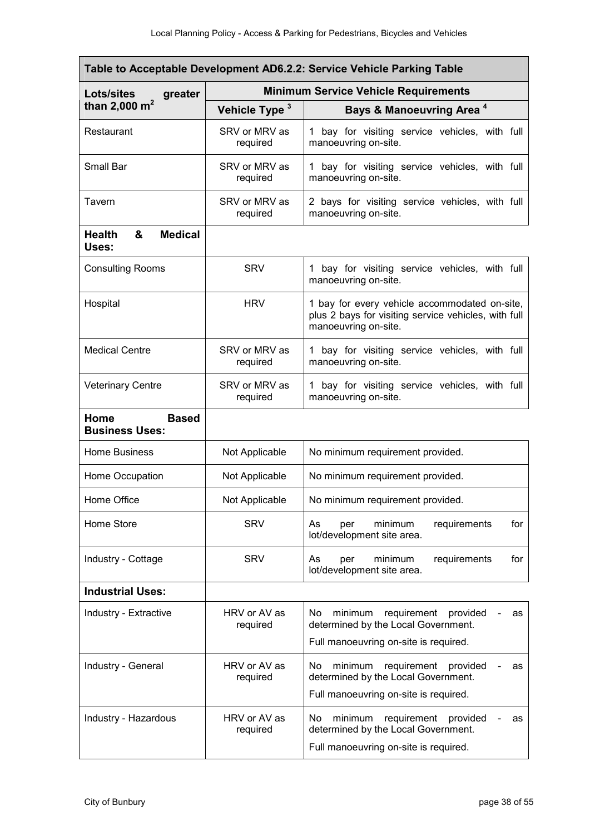| Table to Acceptable Development AD6.2.2: Service Vehicle Parking Table |                                             |                                                                                                                               |  |
|------------------------------------------------------------------------|---------------------------------------------|-------------------------------------------------------------------------------------------------------------------------------|--|
| <b>Lots/sites</b><br>greater                                           | <b>Minimum Service Vehicle Requirements</b> |                                                                                                                               |  |
| than 2,000 $m^2$                                                       | Vehicle Type <sup>3</sup>                   | Bays & Manoeuvring Area <sup>4</sup>                                                                                          |  |
| Restaurant                                                             | SRV or MRV as<br>required                   | 1 bay for visiting service vehicles, with full<br>manoeuvring on-site.                                                        |  |
| Small Bar                                                              | SRV or MRV as<br>required                   | 1 bay for visiting service vehicles, with full<br>manoeuvring on-site.                                                        |  |
| Tavern                                                                 | SRV or MRV as<br>required                   | 2 bays for visiting service vehicles, with full<br>manoeuvring on-site.                                                       |  |
| &<br><b>Medical</b><br><b>Health</b><br>Uses:                          |                                             |                                                                                                                               |  |
| <b>Consulting Rooms</b>                                                | <b>SRV</b>                                  | 1 bay for visiting service vehicles, with full<br>manoeuvring on-site.                                                        |  |
| Hospital                                                               | <b>HRV</b>                                  | 1 bay for every vehicle accommodated on-site,<br>plus 2 bays for visiting service vehicles, with full<br>manoeuvring on-site. |  |
| <b>Medical Centre</b>                                                  | SRV or MRV as<br>required                   | 1 bay for visiting service vehicles, with full<br>manoeuvring on-site.                                                        |  |
| <b>Veterinary Centre</b>                                               | SRV or MRV as<br>required                   | 1 bay for visiting service vehicles, with full<br>manoeuvring on-site.                                                        |  |
| Home<br><b>Based</b><br><b>Business Uses:</b>                          |                                             |                                                                                                                               |  |
| <b>Home Business</b>                                                   | Not Applicable                              | No minimum requirement provided.                                                                                              |  |
| Home Occupation                                                        | Not Applicable                              | No minimum requirement provided.                                                                                              |  |
| Home Office                                                            | Not Applicable                              | No minimum requirement provided.                                                                                              |  |
| Home Store                                                             | <b>SRV</b>                                  | As<br>minimum<br>requirements<br>for<br>per<br>lot/development site area.                                                     |  |
| Industry - Cottage                                                     | <b>SRV</b>                                  | for<br>As<br>minimum<br>requirements<br>per<br>lot/development site area.                                                     |  |
| <b>Industrial Uses:</b>                                                |                                             |                                                                                                                               |  |
| Industry - Extractive                                                  | HRV or AV as<br>required                    | No.<br>minimum<br>requirement<br>provided<br>as<br>determined by the Local Government.                                        |  |
|                                                                        |                                             | Full manoeuvring on-site is required.                                                                                         |  |
| Industry - General                                                     | HRV or AV as<br>required                    | minimum<br>requirement provided<br>No.<br>as<br>determined by the Local Government.                                           |  |
|                                                                        |                                             | Full manoeuvring on-site is required.                                                                                         |  |
| Industry - Hazardous                                                   | HRV or AV as<br>required                    | minimum<br>requirement<br>provided<br>No.<br>as<br>determined by the Local Government.                                        |  |
|                                                                        |                                             | Full manoeuvring on-site is required.                                                                                         |  |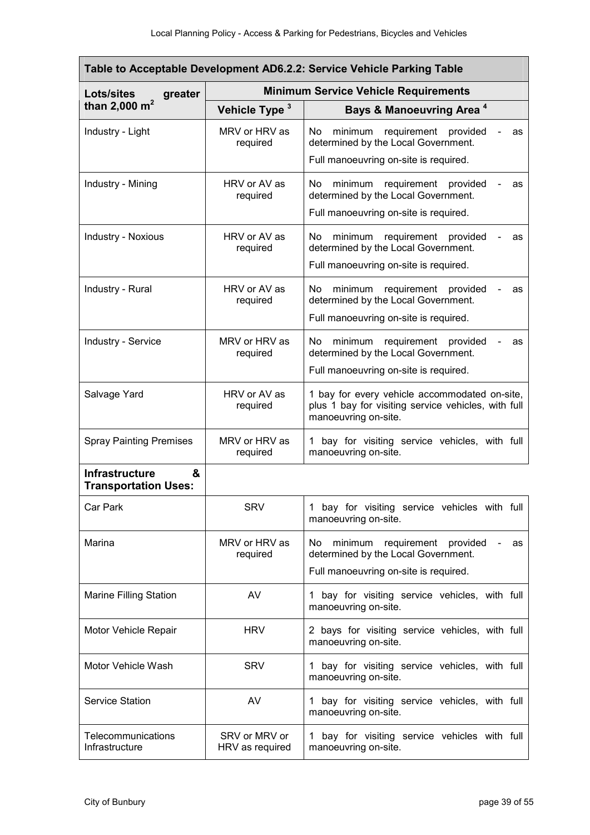| Table to Acceptable Development AD6.2.2: Service Vehicle Parking Table |                                             |                                                                                                                                 |  |
|------------------------------------------------------------------------|---------------------------------------------|---------------------------------------------------------------------------------------------------------------------------------|--|
| <b>Lots/sites</b><br>greater                                           | <b>Minimum Service Vehicle Requirements</b> |                                                                                                                                 |  |
| than 2,000 $m^2$                                                       | Vehicle Type 3                              | <b>Bays &amp; Manoeuvring Area<sup>4</sup></b>                                                                                  |  |
| Industry - Light                                                       | MRV or HRV as<br>required                   | requirement<br>provided<br>No.<br>minimum<br>as<br>determined by the Local Government.                                          |  |
|                                                                        |                                             | Full manoeuvring on-site is required.                                                                                           |  |
| Industry - Mining                                                      | HRV or AV as<br>required                    | No<br>minimum requirement provided<br>as<br>determined by the Local Government.                                                 |  |
|                                                                        |                                             | Full manoeuvring on-site is required.                                                                                           |  |
| <b>Industry - Noxious</b>                                              | HRV or AV as<br>required                    | minimum<br>requirement provided<br>No.<br>as<br>determined by the Local Government.<br>Full manoeuvring on-site is required.    |  |
| Industry - Rural                                                       | HRV or AV as<br>required                    | No.<br>minimum requirement provided<br>as<br>determined by the Local Government.<br>Full manoeuvring on-site is required.       |  |
|                                                                        |                                             |                                                                                                                                 |  |
| <b>Industry - Service</b>                                              | MRV or HRV as<br>required                   | minimum<br>requirement provided<br>No.<br>as<br>determined by the Local Government.<br>Full manoeuvring on-site is required.    |  |
|                                                                        |                                             |                                                                                                                                 |  |
| Salvage Yard                                                           | HRV or AV as<br>required                    | 1 bay for every vehicle accommodated on-site,<br>plus 1 bay for visiting service vehicles, with full<br>manoeuvring on-site.    |  |
| <b>Spray Painting Premises</b>                                         | MRV or HRV as<br>required                   | 1 bay for visiting service vehicles, with full<br>manoeuvring on-site.                                                          |  |
| <b>Infrastructure</b><br>&<br><b>Transportation Uses:</b>              |                                             |                                                                                                                                 |  |
| Car Park                                                               | <b>SRV</b>                                  | 1 bay for visiting service vehicles with full<br>manoeuvring on-site.                                                           |  |
| Marina                                                                 | MRV or HRV as<br>required                   | minimum<br>requirement<br>No.<br>provided<br>as<br>determined by the Local Government.<br>Full manoeuvring on-site is required. |  |
| <b>Marine Filling Station</b>                                          | AV                                          | 1 bay for visiting service vehicles, with full<br>manoeuvring on-site.                                                          |  |
| Motor Vehicle Repair                                                   | <b>HRV</b>                                  | 2 bays for visiting service vehicles, with full<br>manoeuvring on-site.                                                         |  |
| Motor Vehicle Wash                                                     | <b>SRV</b>                                  | 1 bay for visiting service vehicles, with full<br>manoeuvring on-site.                                                          |  |
| <b>Service Station</b>                                                 | AV                                          | 1 bay for visiting service vehicles, with full<br>manoeuvring on-site.                                                          |  |
| Telecommunications<br>Infrastructure                                   | SRV or MRV or<br>HRV as required            | 1 bay for visiting service vehicles with full<br>manoeuvring on-site.                                                           |  |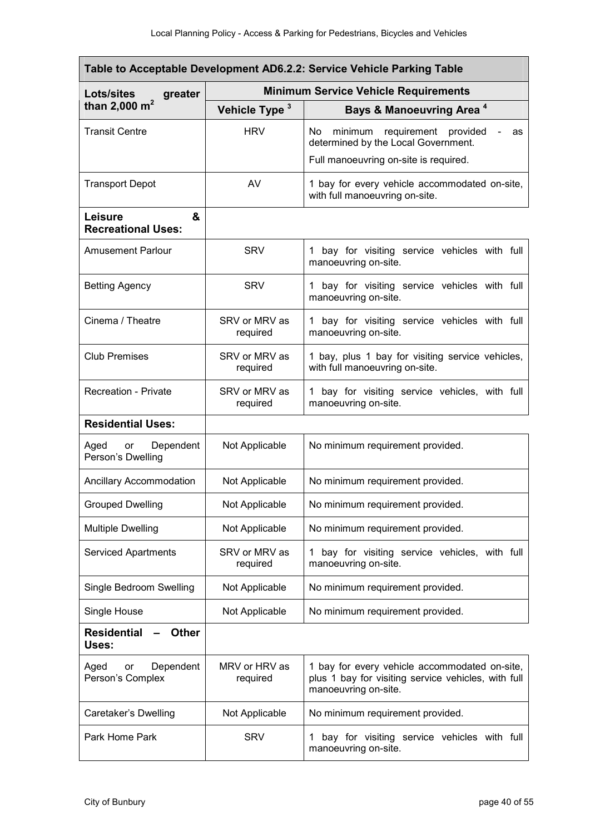| Table to Acceptable Development AD6.2.2: Service Vehicle Parking Table |                                             |                                                                                                                              |  |
|------------------------------------------------------------------------|---------------------------------------------|------------------------------------------------------------------------------------------------------------------------------|--|
| <b>Lots/sites</b><br>greater                                           | <b>Minimum Service Vehicle Requirements</b> |                                                                                                                              |  |
| than 2,000 $m^2$                                                       | Vehicle Type <sup>3</sup>                   | Bays & Manoeuvring Area <sup>4</sup>                                                                                         |  |
| <b>Transit Centre</b>                                                  | <b>HRV</b>                                  | requirement provided<br>No.<br>minimum<br>as<br>determined by the Local Government.                                          |  |
|                                                                        |                                             | Full manoeuvring on-site is required.                                                                                        |  |
| <b>Transport Depot</b>                                                 | AV                                          | 1 bay for every vehicle accommodated on-site,<br>with full manoeuvring on-site.                                              |  |
| &<br><b>Leisure</b><br><b>Recreational Uses:</b>                       |                                             |                                                                                                                              |  |
| <b>Amusement Parlour</b>                                               | <b>SRV</b>                                  | 1 bay for visiting service vehicles with full<br>manoeuvring on-site.                                                        |  |
| <b>Betting Agency</b>                                                  | <b>SRV</b>                                  | 1 bay for visiting service vehicles with full<br>manoeuvring on-site.                                                        |  |
| Cinema / Theatre                                                       | SRV or MRV as<br>required                   | bay for visiting service vehicles with full<br>manoeuvring on-site.                                                          |  |
| <b>Club Premises</b>                                                   | SRV or MRV as<br>required                   | 1 bay, plus 1 bay for visiting service vehicles,<br>with full manoeuvring on-site.                                           |  |
| <b>Recreation - Private</b>                                            | SRV or MRV as<br>required                   | 1 bay for visiting service vehicles, with full<br>manoeuvring on-site.                                                       |  |
| <b>Residential Uses:</b>                                               |                                             |                                                                                                                              |  |
| Dependent<br>Aged<br>or<br>Person's Dwelling                           | Not Applicable                              | No minimum requirement provided.                                                                                             |  |
| <b>Ancillary Accommodation</b>                                         | Not Applicable                              | No minimum requirement provided.                                                                                             |  |
| <b>Grouped Dwelling</b>                                                | Not Applicable                              | No minimum requirement provided.                                                                                             |  |
| <b>Multiple Dwelling</b>                                               | Not Applicable                              | No minimum requirement provided.                                                                                             |  |
| <b>Serviced Apartments</b>                                             | SRV or MRV as<br>required                   | bay for visiting service vehicles, with full<br>manoeuvring on-site.                                                         |  |
| Single Bedroom Swelling                                                | Not Applicable                              | No minimum requirement provided.                                                                                             |  |
| Single House                                                           | Not Applicable                              | No minimum requirement provided.                                                                                             |  |
| <b>Residential</b><br><b>Other</b><br>Uses:                            |                                             |                                                                                                                              |  |
| Dependent<br>Aged<br>or<br>Person's Complex                            | MRV or HRV as<br>required                   | 1 bay for every vehicle accommodated on-site,<br>plus 1 bay for visiting service vehicles, with full<br>manoeuvring on-site. |  |
| Caretaker's Dwelling                                                   | Not Applicable                              | No minimum requirement provided.                                                                                             |  |
| Park Home Park                                                         | <b>SRV</b>                                  | bay for visiting service vehicles with full<br>1<br>manoeuvring on-site.                                                     |  |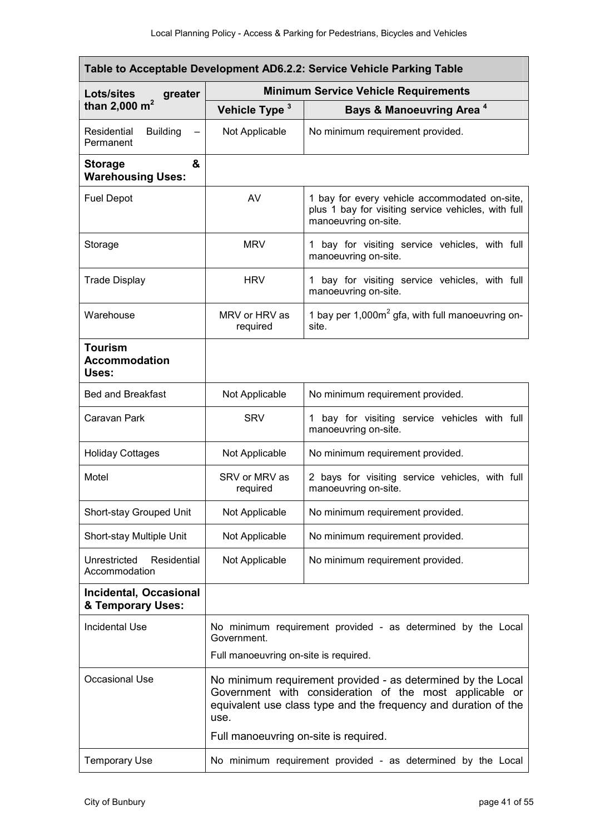| Table to Acceptable Development AD6.2.2: Service Vehicle Parking Table |                                                                                                                                                                                                    |                                                                                                                              |  |
|------------------------------------------------------------------------|----------------------------------------------------------------------------------------------------------------------------------------------------------------------------------------------------|------------------------------------------------------------------------------------------------------------------------------|--|
| <b>Lots/sites</b><br>greater                                           | <b>Minimum Service Vehicle Requirements</b>                                                                                                                                                        |                                                                                                                              |  |
| than 2,000 $m^2$                                                       | Vehicle Type <sup>3</sup>                                                                                                                                                                          | Bays & Manoeuvring Area <sup>4</sup>                                                                                         |  |
| Residential<br><b>Building</b><br>Permanent                            | Not Applicable                                                                                                                                                                                     | No minimum requirement provided.                                                                                             |  |
| &<br><b>Storage</b><br><b>Warehousing Uses:</b>                        |                                                                                                                                                                                                    |                                                                                                                              |  |
| <b>Fuel Depot</b>                                                      | AV                                                                                                                                                                                                 | 1 bay for every vehicle accommodated on-site,<br>plus 1 bay for visiting service vehicles, with full<br>manoeuvring on-site. |  |
| Storage                                                                | <b>MRV</b>                                                                                                                                                                                         | 1 bay for visiting service vehicles, with full<br>manoeuvring on-site.                                                       |  |
| <b>Trade Display</b>                                                   | <b>HRV</b>                                                                                                                                                                                         | 1 bay for visiting service vehicles, with full<br>manoeuvring on-site.                                                       |  |
| Warehouse                                                              | MRV or HRV as<br>required                                                                                                                                                                          | 1 bay per $1,000m^2$ gfa, with full manoeuvring on-<br>site.                                                                 |  |
| <b>Tourism</b><br><b>Accommodation</b><br>Uses:                        |                                                                                                                                                                                                    |                                                                                                                              |  |
| <b>Bed and Breakfast</b>                                               | Not Applicable                                                                                                                                                                                     | No minimum requirement provided.                                                                                             |  |
| Caravan Park                                                           | <b>SRV</b>                                                                                                                                                                                         | 1 bay for visiting service vehicles with full<br>manoeuvring on-site.                                                        |  |
| <b>Holiday Cottages</b>                                                | Not Applicable                                                                                                                                                                                     | No minimum requirement provided.                                                                                             |  |
| Motel                                                                  | SRV or MRV as<br>required                                                                                                                                                                          | 2 bays for visiting service vehicles, with full<br>manoeuvring on-site.                                                      |  |
| Short-stay Grouped Unit                                                | Not Applicable                                                                                                                                                                                     | No minimum requirement provided.                                                                                             |  |
| Short-stay Multiple Unit                                               | Not Applicable                                                                                                                                                                                     | No minimum requirement provided.                                                                                             |  |
| Residential<br>Unrestricted<br>Accommodation                           | Not Applicable                                                                                                                                                                                     | No minimum requirement provided.                                                                                             |  |
| <b>Incidental, Occasional</b><br>& Temporary Uses:                     |                                                                                                                                                                                                    |                                                                                                                              |  |
| <b>Incidental Use</b>                                                  | No minimum requirement provided - as determined by the Local<br>Government.                                                                                                                        |                                                                                                                              |  |
|                                                                        | Full manoeuvring on-site is required.                                                                                                                                                              |                                                                                                                              |  |
| Occasional Use                                                         | No minimum requirement provided - as determined by the Local<br>Government with consideration of the most applicable or<br>equivalent use class type and the frequency and duration of the<br>use. |                                                                                                                              |  |
|                                                                        | Full manoeuvring on-site is required.                                                                                                                                                              |                                                                                                                              |  |
| <b>Temporary Use</b>                                                   | No minimum requirement provided - as determined by the Local                                                                                                                                       |                                                                                                                              |  |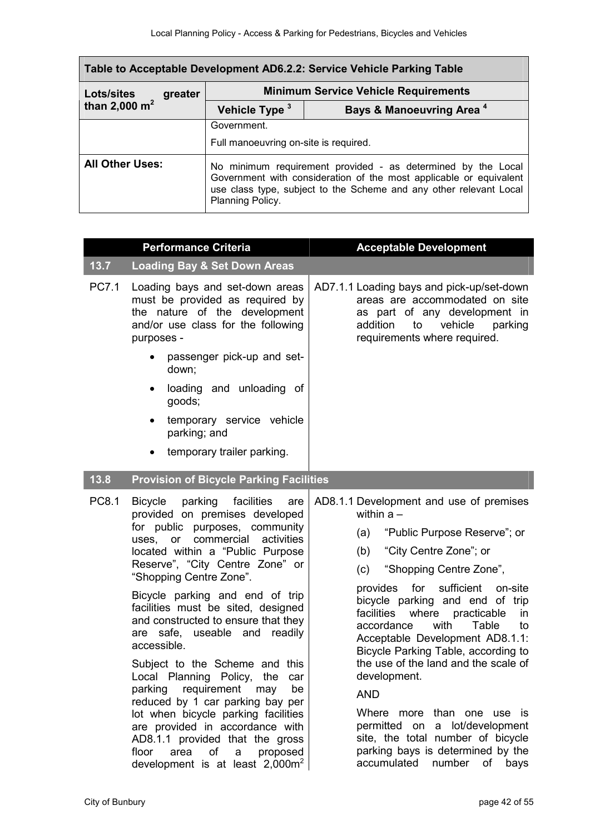| Table to Acceptable Development AD6.2.2: Service Vehicle Parking Table |         |                                                                                                                                                                                                                              |                                      |
|------------------------------------------------------------------------|---------|------------------------------------------------------------------------------------------------------------------------------------------------------------------------------------------------------------------------------|--------------------------------------|
| Lots/sites                                                             | greater | <b>Minimum Service Vehicle Requirements</b>                                                                                                                                                                                  |                                      |
| than 2,000 $m^2$                                                       |         | Vehicle Type <sup>3</sup>                                                                                                                                                                                                    | Bays & Manoeuvring Area <sup>4</sup> |
|                                                                        |         | Government.                                                                                                                                                                                                                  |                                      |
|                                                                        |         | Full manoeuvring on-site is required.                                                                                                                                                                                        |                                      |
| <b>All Other Uses:</b>                                                 |         | No minimum requirement provided - as determined by the Local<br>Government with consideration of the most applicable or equivalent<br>use class type, subject to the Scheme and any other relevant Local<br>Planning Policy. |                                      |

| <b>Performance Criteria</b> |                                                                                                                                                                                                                                                                                                                                                                                                                                                                                                                                                                                                                                                                                                                                               | <b>Acceptable Development</b>                                                                                                                                                                                                                                                                                                                                                                                                                                                                                                                                                                                                                             |
|-----------------------------|-----------------------------------------------------------------------------------------------------------------------------------------------------------------------------------------------------------------------------------------------------------------------------------------------------------------------------------------------------------------------------------------------------------------------------------------------------------------------------------------------------------------------------------------------------------------------------------------------------------------------------------------------------------------------------------------------------------------------------------------------|-----------------------------------------------------------------------------------------------------------------------------------------------------------------------------------------------------------------------------------------------------------------------------------------------------------------------------------------------------------------------------------------------------------------------------------------------------------------------------------------------------------------------------------------------------------------------------------------------------------------------------------------------------------|
| 13.7                        | <b>Loading Bay &amp; Set Down Areas</b>                                                                                                                                                                                                                                                                                                                                                                                                                                                                                                                                                                                                                                                                                                       |                                                                                                                                                                                                                                                                                                                                                                                                                                                                                                                                                                                                                                                           |
| PC7.1                       | Loading bays and set-down areas<br>must be provided as required by<br>the nature of the development<br>and/or use class for the following<br>purposes -<br>passenger pick-up and set-                                                                                                                                                                                                                                                                                                                                                                                                                                                                                                                                                         | AD7.1.1 Loading bays and pick-up/set-down<br>areas are accommodated on site<br>as part of any development in<br>addition<br>to vehicle parking<br>requirements where required.                                                                                                                                                                                                                                                                                                                                                                                                                                                                            |
|                             | down;                                                                                                                                                                                                                                                                                                                                                                                                                                                                                                                                                                                                                                                                                                                                         |                                                                                                                                                                                                                                                                                                                                                                                                                                                                                                                                                                                                                                                           |
|                             | loading and unloading of<br>$\bullet$<br>goods;                                                                                                                                                                                                                                                                                                                                                                                                                                                                                                                                                                                                                                                                                               |                                                                                                                                                                                                                                                                                                                                                                                                                                                                                                                                                                                                                                                           |
|                             | temporary service vehicle<br>$\bullet$<br>parking; and                                                                                                                                                                                                                                                                                                                                                                                                                                                                                                                                                                                                                                                                                        |                                                                                                                                                                                                                                                                                                                                                                                                                                                                                                                                                                                                                                                           |
|                             | temporary trailer parking.<br>$\bullet$                                                                                                                                                                                                                                                                                                                                                                                                                                                                                                                                                                                                                                                                                                       |                                                                                                                                                                                                                                                                                                                                                                                                                                                                                                                                                                                                                                                           |
| 13.8                        | <b>Provision of Bicycle Parking Facilities</b>                                                                                                                                                                                                                                                                                                                                                                                                                                                                                                                                                                                                                                                                                                |                                                                                                                                                                                                                                                                                                                                                                                                                                                                                                                                                                                                                                                           |
| PC8.1                       | Bicycle parking facilities<br>are<br>provided on premises developed<br>for public purposes, community<br>uses, or commercial activities<br>located within a "Public Purpose<br>Reserve", "City Centre Zone" or<br>"Shopping Centre Zone".<br>Bicycle parking and end of trip<br>facilities must be sited, designed<br>and constructed to ensure that they<br>are safe, useable and readily<br>accessible.<br>Subject to the Scheme and this<br>Local Planning Policy,<br>the<br>car<br>parking requirement may<br>be<br>reduced by 1 car parking bay per<br>lot when bicycle parking facilities<br>are provided in accordance with<br>AD8.1.1 provided that the gross<br>of a proposed<br>area<br>floor<br>development is at least $2,000m^2$ | AD8.1.1 Development and use of premises<br>within $a -$<br>"Public Purpose Reserve"; or<br>(a)<br>"City Centre Zone"; or<br>(b)<br>"Shopping Centre Zone",<br>(c)<br>for sufficient on-site<br>provides<br>bicycle parking and end of trip<br>facilities<br>where practicable<br>in<br>with<br>Table<br>accordance<br>to<br>Acceptable Development AD8.1.1:<br>Bicycle Parking Table, according to<br>the use of the land and the scale of<br>development.<br><b>AND</b><br>Where more than one use is<br>permitted on a lot/development<br>site, the total number of bicycle<br>parking bays is determined by the<br>accumulated<br>number<br>of<br>bays |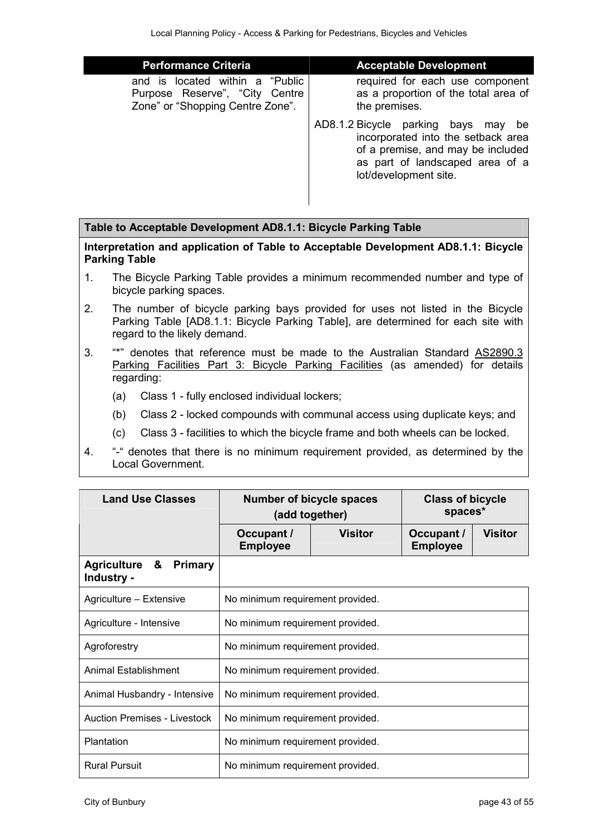| <b>Performance Criteria</b>                                                                              | <b>Acceptable Development</b>                                                                                                                                                    |
|----------------------------------------------------------------------------------------------------------|----------------------------------------------------------------------------------------------------------------------------------------------------------------------------------|
| is located within a "Public<br>and<br>Purpose Reserve", "City Centre<br>Zone" or "Shopping Centre Zone". | required for each use component<br>as a proportion of the total area of<br>the premises.                                                                                         |
|                                                                                                          | AD8.1.2 Bicycle parking bays<br>may<br>be<br>incorporated into the setback area<br>of a premise, and may be included<br>as part of landscaped area of a<br>lot/development site. |

#### **Table to Acceptable Development AD8.1.1: Bicycle Parking Table**

**Interpretation and application of Table to Acceptable Development AD8.1.1: Bicycle Parking Table** 

- 1. The Bicycle Parking Table provides a minimum recommended number and type of bicycle parking spaces.
- 2. The number of bicycle parking bays provided for uses not listed in the Bicycle Parking Table [AD8.1.1: Bicycle Parking Table], are determined for each site with regard to the likely demand.
- 3. "\*" denotes that reference must be made to the Australian Standard AS2890.3 Parking Facilities Part 3: Bicycle Parking Facilities (as amended) for details regarding:
	- (a) Class 1 fully enclosed individual lockers;
	- (b) Class 2 locked compounds with communal access using duplicate keys; and
	- (c) Class 3 facilities to which the bicycle frame and both wheels can be locked.
- 4. "-" denotes that there is no minimum requirement provided, as determined by the Local Government.

| <b>Land Use Classes</b>                                  | <b>Number of bicycle spaces</b><br>(add together) |                | <b>Class of bicycle</b><br>spaces* |                |
|----------------------------------------------------------|---------------------------------------------------|----------------|------------------------------------|----------------|
|                                                          | Occupant /<br><b>Employee</b>                     | <b>Visitor</b> | Occupant /<br><b>Employee</b>      | <b>Visitor</b> |
| <b>Agriculture &amp;</b><br><b>Primary</b><br>Industry - |                                                   |                |                                    |                |
| Agriculture - Extensive                                  | No minimum requirement provided.                  |                |                                    |                |
| Agriculture - Intensive                                  | No minimum requirement provided.                  |                |                                    |                |
| Agroforestry                                             | No minimum requirement provided.                  |                |                                    |                |
| Animal Establishment                                     | No minimum requirement provided.                  |                |                                    |                |
| Animal Husbandry - Intensive                             | No minimum requirement provided.                  |                |                                    |                |
| <b>Auction Premises - Livestock</b>                      | No minimum requirement provided.                  |                |                                    |                |
| Plantation                                               | No minimum requirement provided.                  |                |                                    |                |
| <b>Rural Pursuit</b>                                     | No minimum requirement provided.                  |                |                                    |                |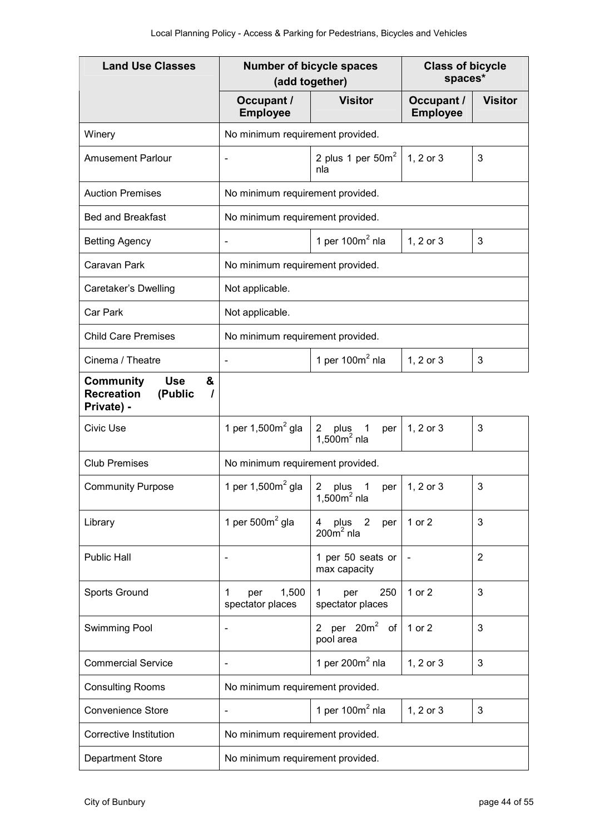| <b>Land Use Classes</b>                                                                | <b>Number of bicycle spaces</b><br>(add together) |                                                              | <b>Class of bicycle</b><br>spaces* |                |
|----------------------------------------------------------------------------------------|---------------------------------------------------|--------------------------------------------------------------|------------------------------------|----------------|
|                                                                                        | Occupant /<br><b>Employee</b>                     | <b>Visitor</b>                                               | Occupant /<br><b>Employee</b>      | <b>Visitor</b> |
| Winery                                                                                 | No minimum requirement provided.                  |                                                              |                                    |                |
| <b>Amusement Parlour</b>                                                               | $\blacksquare$                                    | 2 plus 1 per $50m^2$<br>nla                                  | 1, 2 or 3                          | 3              |
| <b>Auction Premises</b>                                                                | No minimum requirement provided.                  |                                                              |                                    |                |
| <b>Bed and Breakfast</b>                                                               | No minimum requirement provided.                  |                                                              |                                    |                |
| <b>Betting Agency</b>                                                                  | $\overline{\phantom{a}}$                          | 1 per $100m2$ nla                                            | 1, 2 or 3                          | 3              |
| Caravan Park                                                                           | No minimum requirement provided.                  |                                                              |                                    |                |
| Caretaker's Dwelling                                                                   | Not applicable.                                   |                                                              |                                    |                |
| Car Park                                                                               | Not applicable.                                   |                                                              |                                    |                |
| <b>Child Care Premises</b>                                                             | No minimum requirement provided.                  |                                                              |                                    |                |
| Cinema / Theatre                                                                       | $\blacksquare$                                    | 1 per $100m2$ nla                                            | 1, 2 or 3                          | 3              |
| <b>Use</b><br><b>Community</b><br>&<br><b>Recreation</b><br>(Public<br>I<br>Private) - |                                                   |                                                              |                                    |                |
| <b>Civic Use</b>                                                                       | 1 per 1,500 $m2$ gla                              | plus<br>$\mathbf{2}$<br>$\mathbf{1}$<br>per<br>$1,500m2$ nla | 1, 2 or 3                          | 3              |
| <b>Club Premises</b>                                                                   | No minimum requirement provided.                  |                                                              |                                    |                |
| <b>Community Purpose</b>                                                               | 1 per $1,500m^2$ gla                              | 1<br>2<br>plus<br>per<br>$1,500m2$ nla                       | 1, 2 or 3                          | 3              |
| Library                                                                                | 1 per $5002$ gla                                  | $\overline{2}$<br>plus<br>4<br>per<br>$200m2$ nla            | 1 or 2                             | 3              |
| <b>Public Hall</b>                                                                     | $\overline{\phantom{a}}$                          | 1 per 50 seats or<br>max capacity                            |                                    | $\overline{2}$ |
| Sports Ground                                                                          | 1,500<br>1<br>per<br>spectator places             | 250<br>per<br>1<br>spectator places                          | 1 or 2                             | 3              |
| Swimming Pool                                                                          | $\overline{\phantom{a}}$                          | per 20m <sup>2</sup> of<br>$\overline{2}$<br>pool area       | 1 or 2                             | 3              |
| <b>Commercial Service</b>                                                              | $\overline{\phantom{a}}$                          | 1 per 200 $m2$ nla                                           | 1, 2 or 3                          | 3              |
| <b>Consulting Rooms</b>                                                                | No minimum requirement provided.                  |                                                              |                                    |                |
| <b>Convenience Store</b>                                                               |                                                   | 1 per $100m2$ nla                                            | 1, 2 or 3                          | 3              |
| Corrective Institution                                                                 | No minimum requirement provided.                  |                                                              |                                    |                |
| Department Store                                                                       | No minimum requirement provided.                  |                                                              |                                    |                |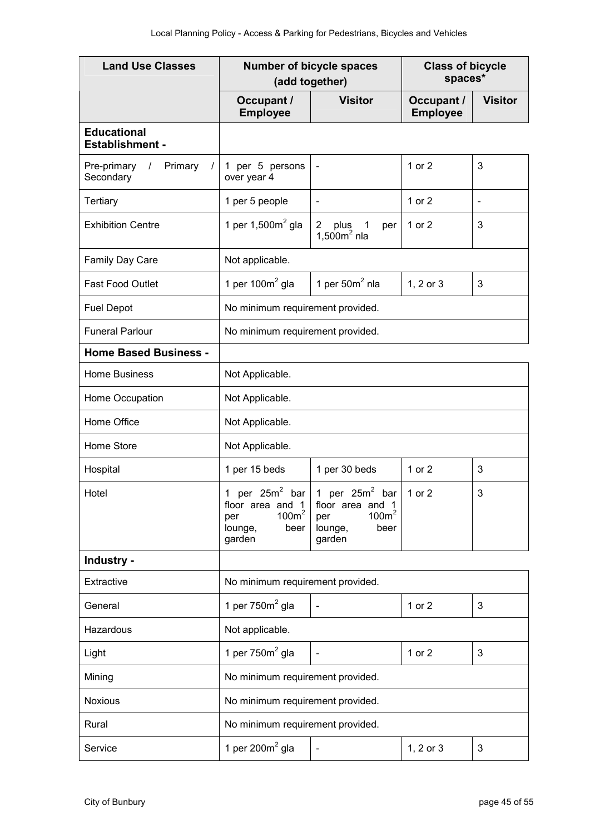| <b>Land Use Classes</b>                                       | <b>Number of bicycle spaces</b><br>(add together)                                                               |                                                                                  | <b>Class of bicycle</b><br>spaces* |                          |
|---------------------------------------------------------------|-----------------------------------------------------------------------------------------------------------------|----------------------------------------------------------------------------------|------------------------------------|--------------------------|
|                                                               | Occupant /<br><b>Employee</b>                                                                                   | <b>Visitor</b>                                                                   | Occupant /<br><b>Employee</b>      | <b>Visitor</b>           |
| <b>Educational</b><br><b>Establishment -</b>                  |                                                                                                                 |                                                                                  |                                    |                          |
| Pre-primary<br>Primary<br>$\sqrt{2}$<br>$\prime$<br>Secondary | 1 per 5 persons<br>over year 4                                                                                  | $\overline{\phantom{a}}$                                                         | $1$ or $2$                         | 3                        |
| Tertiary                                                      | 1 per 5 people                                                                                                  | $\blacksquare$                                                                   | 1 or 2                             | $\overline{\phantom{a}}$ |
| <b>Exhibition Centre</b>                                      | 1 per 1,500 $m2$ gla                                                                                            | 2<br>plus<br>$\mathbf{1}$<br>per<br>1,500 $m2$ nla                               | 1 or 2                             | 3                        |
| Family Day Care                                               | Not applicable.                                                                                                 |                                                                                  |                                    |                          |
| Fast Food Outlet                                              | 1 per 100 $m2$ gla                                                                                              | 1 per $502$ nla                                                                  | 1, 2 or 3                          | 3                        |
| <b>Fuel Depot</b>                                             | No minimum requirement provided.                                                                                |                                                                                  |                                    |                          |
| <b>Funeral Parlour</b>                                        | No minimum requirement provided.                                                                                |                                                                                  |                                    |                          |
| <b>Home Based Business -</b>                                  |                                                                                                                 |                                                                                  |                                    |                          |
| <b>Home Business</b>                                          | Not Applicable.                                                                                                 |                                                                                  |                                    |                          |
| Home Occupation                                               | Not Applicable.                                                                                                 |                                                                                  |                                    |                          |
| Home Office                                                   | Not Applicable.                                                                                                 |                                                                                  |                                    |                          |
| Home Store                                                    | Not Applicable.                                                                                                 |                                                                                  |                                    |                          |
| Hospital                                                      | 1 per 15 beds                                                                                                   | 1 per 30 beds                                                                    | 1 or 2                             | 3                        |
| Hotel                                                         | per $25m^2$ bar 1 per $25m^2$<br>1<br>floor area and 1<br>100m <sup>2</sup><br>per<br>beer<br>lounge,<br>garden | bar<br>floor area and 1<br>100m <sup>2</sup><br>per<br>lounge,<br>beer<br>garden | 1 or 2                             | 3                        |
| Industry -                                                    |                                                                                                                 |                                                                                  |                                    |                          |
| Extractive                                                    | No minimum requirement provided.                                                                                |                                                                                  |                                    |                          |
| General                                                       | 1 per $750m2$ gla                                                                                               | $\blacksquare$                                                                   | 1 or 2                             | 3                        |
| Hazardous                                                     | Not applicable.                                                                                                 |                                                                                  |                                    |                          |
| Light                                                         | 1 per $750m2$ gla                                                                                               |                                                                                  | 1 or 2                             | 3                        |
| Mining                                                        | No minimum requirement provided.                                                                                |                                                                                  |                                    |                          |
| <b>Noxious</b>                                                | No minimum requirement provided.                                                                                |                                                                                  |                                    |                          |
| Rural                                                         | No minimum requirement provided.                                                                                |                                                                                  |                                    |                          |
| Service                                                       | 1 per $200m^2$ gla                                                                                              | $\blacksquare$                                                                   | 1, 2 or 3                          | 3                        |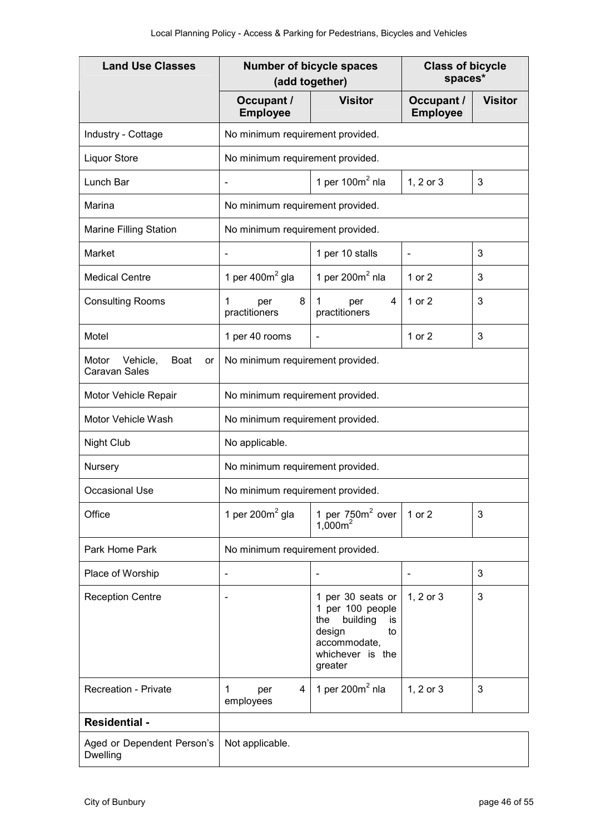| <b>Land Use Classes</b>                                        | <b>Number of bicycle spaces</b><br>(add together) |                                                                                                                               | <b>Class of bicycle</b><br>spaces* |                |
|----------------------------------------------------------------|---------------------------------------------------|-------------------------------------------------------------------------------------------------------------------------------|------------------------------------|----------------|
|                                                                | Occupant /<br><b>Employee</b>                     | <b>Visitor</b>                                                                                                                | Occupant /<br><b>Employee</b>      | <b>Visitor</b> |
| Industry - Cottage                                             | No minimum requirement provided.                  |                                                                                                                               |                                    |                |
| <b>Liquor Store</b>                                            | No minimum requirement provided.                  |                                                                                                                               |                                    |                |
| Lunch Bar                                                      | $\qquad \qquad \blacksquare$                      | 1 per $100m2$ nla                                                                                                             | 1, 2 or 3                          | 3              |
| Marina                                                         | No minimum requirement provided.                  |                                                                                                                               |                                    |                |
| Marine Filling Station                                         | No minimum requirement provided.                  |                                                                                                                               |                                    |                |
| Market                                                         | Ē,                                                | 1 per 10 stalls                                                                                                               | $\overline{\phantom{a}}$           | 3              |
| <b>Medical Centre</b>                                          | 1 per 400 $m2$ gla                                | 1 per $200m^2$ nla                                                                                                            | 1 or 2                             | 3              |
| <b>Consulting Rooms</b>                                        | 8<br>1<br>per<br>practitioners                    | 4<br>1<br>per<br>practitioners                                                                                                | 1 or 2                             | 3              |
| Motel                                                          | 1 per 40 rooms                                    |                                                                                                                               | 1 or 2                             | 3              |
| Vehicle,<br><b>Boat</b><br>Motor<br>or<br><b>Caravan Sales</b> | No minimum requirement provided.                  |                                                                                                                               |                                    |                |
| Motor Vehicle Repair                                           | No minimum requirement provided.                  |                                                                                                                               |                                    |                |
| Motor Vehicle Wash                                             | No minimum requirement provided.                  |                                                                                                                               |                                    |                |
| <b>Night Club</b>                                              | No applicable.                                    |                                                                                                                               |                                    |                |
| Nursery                                                        | No minimum requirement provided.                  |                                                                                                                               |                                    |                |
| <b>Occasional Use</b>                                          | No minimum requirement provided.                  |                                                                                                                               |                                    |                |
| Office                                                         | 1 per 200 $m2$ gla                                | 1 per $750m2$ over<br>$1,000m^2$                                                                                              | 1 or 2                             | 3              |
| Park Home Park                                                 | No minimum requirement provided.                  |                                                                                                                               |                                    |                |
| Place of Worship                                               | $\overline{\phantom{a}}$                          |                                                                                                                               |                                    | 3              |
| <b>Reception Centre</b>                                        |                                                   | 1 per 30 seats or<br>1 per 100 people<br>building<br>the<br>is<br>design<br>to<br>accommodate,<br>whichever is the<br>greater | 1, 2 or 3                          | 3              |
| <b>Recreation - Private</b>                                    | 4<br>per<br>1<br>employees                        | 1 per $200m^2$ nla                                                                                                            | 1, 2 or 3                          | 3              |
| <b>Residential -</b>                                           |                                                   |                                                                                                                               |                                    |                |
| Aged or Dependent Person's<br>Dwelling                         | Not applicable.                                   |                                                                                                                               |                                    |                |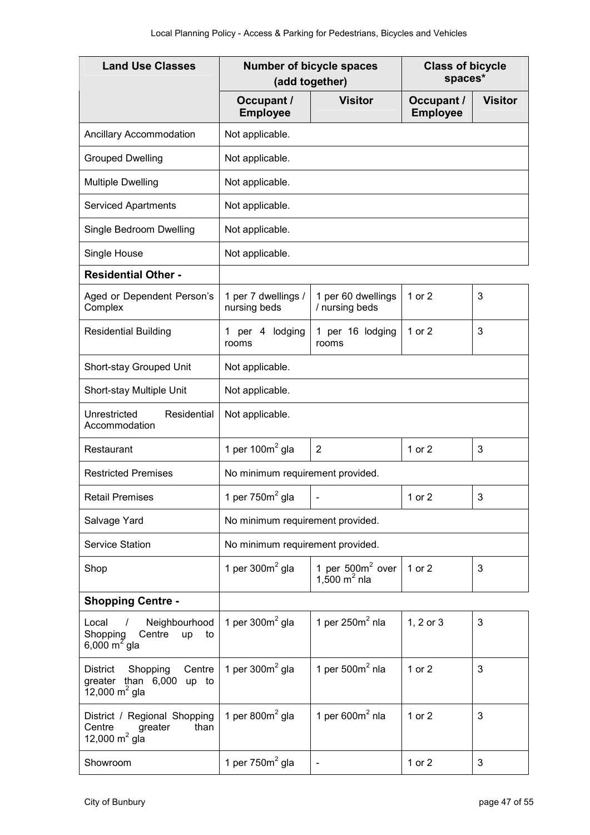| <b>Land Use Classes</b>                                                                           | <b>Number of bicycle spaces</b><br>(add together) |                                       | <b>Class of bicycle</b><br>spaces* |                |
|---------------------------------------------------------------------------------------------------|---------------------------------------------------|---------------------------------------|------------------------------------|----------------|
|                                                                                                   | Occupant /<br><b>Employee</b>                     | <b>Visitor</b>                        | Occupant /<br><b>Employee</b>      | <b>Visitor</b> |
| <b>Ancillary Accommodation</b>                                                                    | Not applicable.                                   |                                       |                                    |                |
| <b>Grouped Dwelling</b>                                                                           | Not applicable.                                   |                                       |                                    |                |
| <b>Multiple Dwelling</b>                                                                          | Not applicable.                                   |                                       |                                    |                |
| <b>Serviced Apartments</b>                                                                        | Not applicable.                                   |                                       |                                    |                |
| Single Bedroom Dwelling                                                                           | Not applicable.                                   |                                       |                                    |                |
| Single House                                                                                      | Not applicable.                                   |                                       |                                    |                |
| <b>Residential Other -</b>                                                                        |                                                   |                                       |                                    |                |
| Aged or Dependent Person's<br>Complex                                                             | 1 per 7 dwellings /<br>nursing beds               | 1 per 60 dwellings<br>/ nursing beds  | 1 or 2                             | 3              |
| <b>Residential Building</b>                                                                       | per 4 lodging<br>1.<br>rooms                      | 1 per 16 lodging<br>rooms             | 1 or 2                             | 3              |
| Short-stay Grouped Unit                                                                           | Not applicable.                                   |                                       |                                    |                |
| Short-stay Multiple Unit                                                                          | Not applicable.                                   |                                       |                                    |                |
| Residential<br>Unrestricted<br>Accommodation                                                      | Not applicable.                                   |                                       |                                    |                |
| Restaurant                                                                                        | 1 per 100 $m2$ gla                                | 2                                     | 1 or 2                             | 3              |
| <b>Restricted Premises</b>                                                                        | No minimum requirement provided.                  |                                       |                                    |                |
| <b>Retail Premises</b>                                                                            | 1 per $750m2$ gla                                 |                                       | 1 or 2                             | 3              |
| Salvage Yard                                                                                      | No minimum requirement provided.                  |                                       |                                    |                |
| <b>Service Station</b>                                                                            | No minimum requirement provided.                  |                                       |                                    |                |
| Shop                                                                                              | 1 per $300m^2$ gla                                | 1 per $500m2$ over<br>1,500 $m^2$ nla | 1 or 2                             | 3              |
| <b>Shopping Centre -</b>                                                                          |                                                   |                                       |                                    |                |
| Neighbourhood<br>Local /<br>Shopping<br>Centre<br>up<br>to<br>6,000 m <sup>2</sup> gla            | 1 per $300m^2$ gla                                | 1 per $250m2$ nla                     | 1, 2 or 3                          | 3              |
| Shopping<br>Centre<br>District<br>greater than 6,000<br>up to<br>$12,000 \text{ m}^2 \text{ gla}$ | 1 per $300m2$ gla                                 | 1 per $500m2$ nla                     | 1 or 2                             | 3              |
| District / Regional Shopping<br>Centre<br>greater<br>than<br>12,000 $m^2$ gla                     | 1 per 800 $m2$ gla                                | 1 per $600m2$ nla                     | 1 or 2                             | 3              |
| Showroom                                                                                          | 1 per $750m2$ gla                                 |                                       | 1 or 2                             | 3              |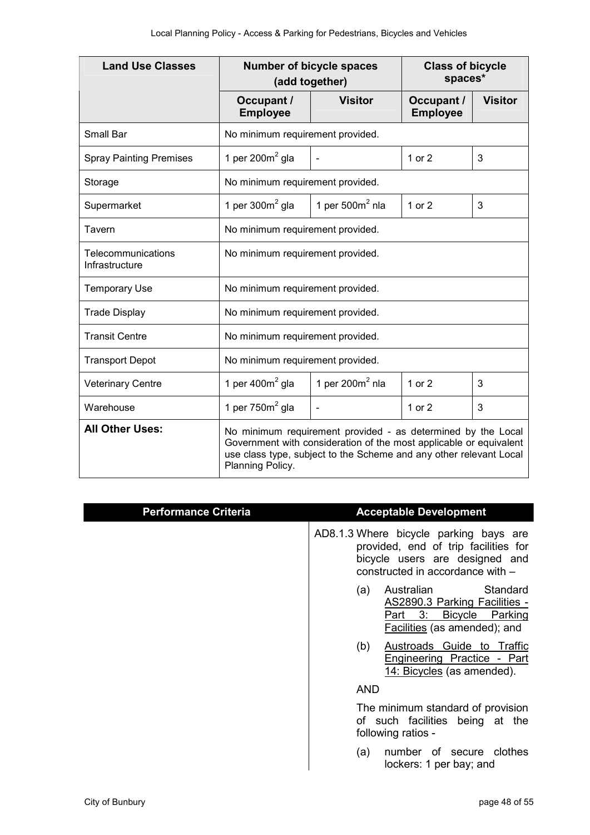| <b>Land Use Classes</b>              | <b>Number of bicycle spaces</b><br>(add together)                                                                                                                                                                            |                    | <b>Class of bicycle</b><br>spaces* |                |
|--------------------------------------|------------------------------------------------------------------------------------------------------------------------------------------------------------------------------------------------------------------------------|--------------------|------------------------------------|----------------|
|                                      | Occupant /<br><b>Employee</b>                                                                                                                                                                                                | <b>Visitor</b>     | Occupant /<br><b>Employee</b>      | <b>Visitor</b> |
| Small Bar                            | No minimum requirement provided.                                                                                                                                                                                             |                    |                                    |                |
| <b>Spray Painting Premises</b>       | 1 per 200 $m2$ gla                                                                                                                                                                                                           |                    | 1 or 2                             | 3              |
| Storage                              | No minimum requirement provided.                                                                                                                                                                                             |                    |                                    |                |
| Supermarket                          | 1 per $300m2$ gla                                                                                                                                                                                                            | 1 per $500m2$ nla  | 1 or $2$                           | 3              |
| Tavern                               | No minimum requirement provided.                                                                                                                                                                                             |                    |                                    |                |
| Telecommunications<br>Infrastructure | No minimum requirement provided.                                                                                                                                                                                             |                    |                                    |                |
| <b>Temporary Use</b>                 | No minimum requirement provided.                                                                                                                                                                                             |                    |                                    |                |
| <b>Trade Display</b>                 | No minimum requirement provided.                                                                                                                                                                                             |                    |                                    |                |
| <b>Transit Centre</b>                | No minimum requirement provided.                                                                                                                                                                                             |                    |                                    |                |
| <b>Transport Depot</b>               | No minimum requirement provided.                                                                                                                                                                                             |                    |                                    |                |
| <b>Veterinary Centre</b>             | 1 per 400 $m2$ gla                                                                                                                                                                                                           | 1 per 200 $m2$ nla | 1 or 2                             | 3              |
| Warehouse                            | 1 per $750m2$ gla                                                                                                                                                                                                            | ÷,                 | 1 or 2                             | 3              |
| <b>All Other Uses:</b>               | No minimum requirement provided - as determined by the Local<br>Government with consideration of the most applicable or equivalent<br>use class type, subject to the Scheme and any other relevant Local<br>Planning Policy. |                    |                                    |                |

| <b>Performance Criteria</b> | <b>Acceptable Development</b>                                                                                                                        |
|-----------------------------|------------------------------------------------------------------------------------------------------------------------------------------------------|
|                             | AD8.1.3 Where bicycle parking bays are<br>provided, end of trip facilities for<br>bicycle users are designed and<br>constructed in accordance with - |
|                             | Standard<br>Australian<br>(a)<br>AS2890.3 Parking Facilities -<br>Part 3:<br>Bicycle Parking<br><b>Facilities</b> (as amended); and                  |
|                             | Austroads Guide to Traffic<br>(b)<br>Engineering Practice - Part<br>14: Bicycles (as amended).                                                       |
|                             | <b>AND</b>                                                                                                                                           |
|                             | The minimum standard of provision<br>of such facilities being at the<br>following ratios -                                                           |
|                             | number of secure clothes<br>(a)<br>lockers: 1 per bay; and                                                                                           |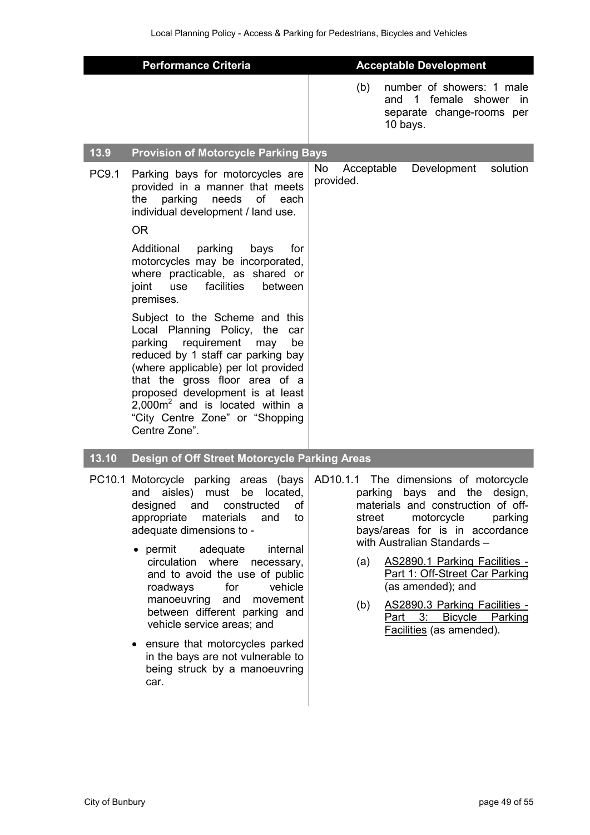|       | <b>Performance Criteria</b>                                                                                                                                                                                                                                                                                                                                                                                                                                                                                                                                                | <b>Acceptable Development</b>                                                                                                                                                                                                                                                                                                                                                                                                            |
|-------|----------------------------------------------------------------------------------------------------------------------------------------------------------------------------------------------------------------------------------------------------------------------------------------------------------------------------------------------------------------------------------------------------------------------------------------------------------------------------------------------------------------------------------------------------------------------------|------------------------------------------------------------------------------------------------------------------------------------------------------------------------------------------------------------------------------------------------------------------------------------------------------------------------------------------------------------------------------------------------------------------------------------------|
|       |                                                                                                                                                                                                                                                                                                                                                                                                                                                                                                                                                                            | number of showers: 1 male<br>(b)<br>and 1 female shower in<br>separate change-rooms per<br>10 bays.                                                                                                                                                                                                                                                                                                                                      |
| 13.9  | <b>Provision of Motorcycle Parking Bays</b>                                                                                                                                                                                                                                                                                                                                                                                                                                                                                                                                |                                                                                                                                                                                                                                                                                                                                                                                                                                          |
| PC9.1 | Parking bays for motorcycles are<br>provided in a manner that meets<br>needs<br>parking<br>оf<br>each<br>the<br>individual development / land use.<br><b>OR</b>                                                                                                                                                                                                                                                                                                                                                                                                            | solution<br>No<br>Development<br>Acceptable<br>provided.                                                                                                                                                                                                                                                                                                                                                                                 |
|       | Additional<br>parking<br>bays<br>for<br>motorcycles may be incorporated,<br>where practicable, as shared or<br>facilities<br>between<br>joint<br>use<br>premises.                                                                                                                                                                                                                                                                                                                                                                                                          |                                                                                                                                                                                                                                                                                                                                                                                                                                          |
|       | Subject to the Scheme and this<br>Local Planning Policy,<br>the<br>car<br>requirement<br>parking<br>may<br>be<br>reduced by 1 staff car parking bay<br>(where applicable) per lot provided<br>that the gross floor area of a<br>proposed development is at least<br>$2,000m2$ and is located within a<br>"City Centre Zone" or "Shopping<br>Centre Zone".                                                                                                                                                                                                                  |                                                                                                                                                                                                                                                                                                                                                                                                                                          |
| 13.10 | Design of Off Street Motorcycle Parking Areas                                                                                                                                                                                                                                                                                                                                                                                                                                                                                                                              |                                                                                                                                                                                                                                                                                                                                                                                                                                          |
|       | PC10.1 Motorcycle parking<br>(bays<br>areas<br>located,<br>aisles)<br>and<br>must<br>be<br>of<br>designed<br>and<br>constructed<br>appropriate<br>materials<br>and<br>to<br>adequate dimensions to -<br>permit<br>adequate<br>internal<br>where<br>circulation<br>necessary,<br>and to avoid the use of public<br>roadways<br>for<br>vehicle<br>manoeuvring<br>and<br>movement<br>between different parking and<br>vehicle service areas; and<br>ensure that motorcycles parked<br>$\bullet$<br>in the bays are not vulnerable to<br>being struck by a manoeuvring<br>car. | AD10.1.1<br>The dimensions of motorcycle<br>parking<br>and the<br>bays<br>design,<br>materials and construction of off-<br>motorcycle<br>parking<br>street<br>bays/areas for is in accordance<br>with Australian Standards -<br><b>AS2890.1 Parking Facilities -</b><br>(a)<br>Part 1: Off-Street Car Parking<br>(as amended); and<br>AS2890.3 Parking Facilities -<br>(b)<br>Part 3: Bicycle Parking<br><b>Facilities</b> (as amended). |
|       |                                                                                                                                                                                                                                                                                                                                                                                                                                                                                                                                                                            |                                                                                                                                                                                                                                                                                                                                                                                                                                          |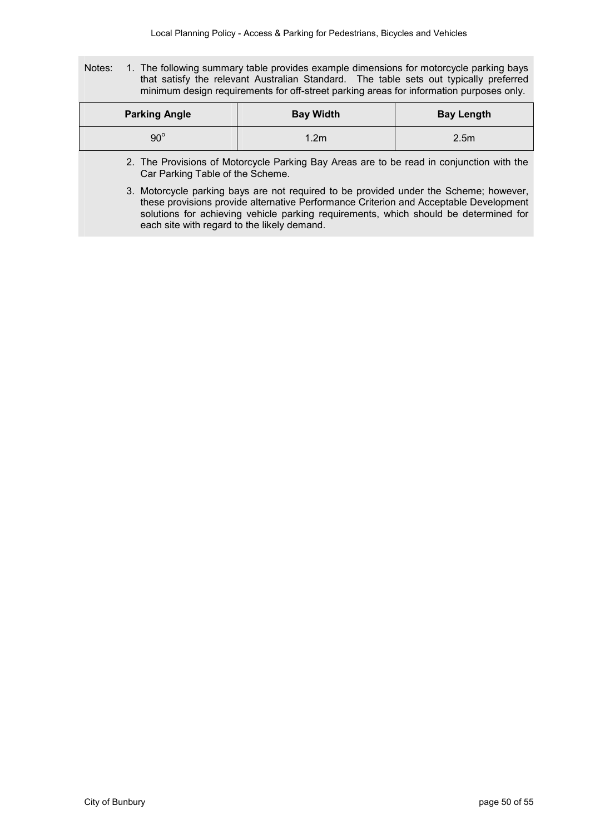Notes: 1. The following summary table provides example dimensions for motorcycle parking bays that satisfy the relevant Australian Standard. The table sets out typically preferred minimum design requirements for off-street parking areas for information purposes only.

| <b>Parking Angle</b> | <b>Bay Width</b> | <b>Bay Length</b> |
|----------------------|------------------|-------------------|
| $90^{\circ}$         | ∣.2m             | 2.5 <sub>m</sub>  |

- 2. The Provisions of Motorcycle Parking Bay Areas are to be read in conjunction with the Car Parking Table of the Scheme.
- 3. Motorcycle parking bays are not required to be provided under the Scheme; however, these provisions provide alternative Performance Criterion and Acceptable Development solutions for achieving vehicle parking requirements, which should be determined for each site with regard to the likely demand.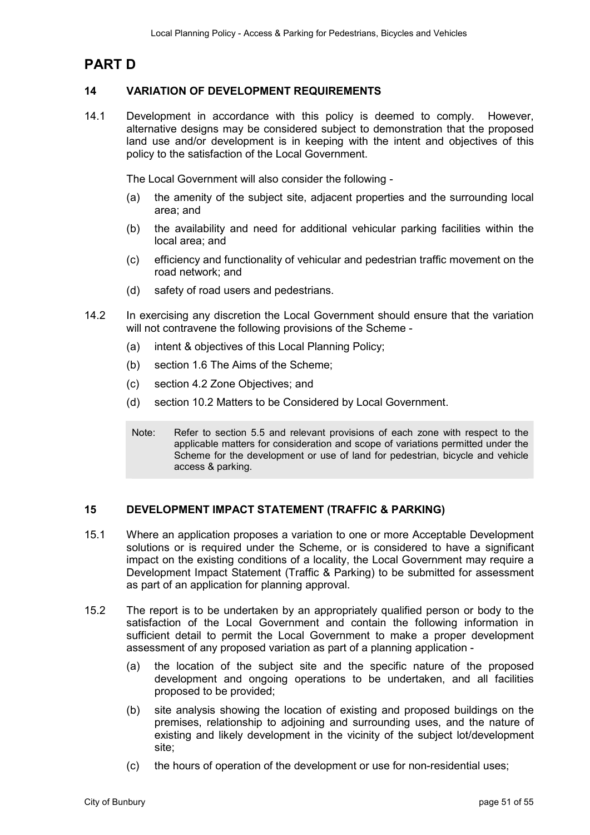## **PART D**

#### **14 VARIATION OF DEVELOPMENT REQUIREMENTS**

14.1 Development in accordance with this policy is deemed to comply. However, alternative designs may be considered subject to demonstration that the proposed land use and/or development is in keeping with the intent and objectives of this policy to the satisfaction of the Local Government.

The Local Government will also consider the following -

- (a) the amenity of the subject site, adjacent properties and the surrounding local area; and
- (b) the availability and need for additional vehicular parking facilities within the local area; and
- (c) efficiency and functionality of vehicular and pedestrian traffic movement on the road network; and
- (d) safety of road users and pedestrians.
- 14.2 In exercising any discretion the Local Government should ensure that the variation will not contravene the following provisions of the Scheme -
	- (a) intent & objectives of this Local Planning Policy;
	- (b) section 1.6 The Aims of the Scheme;
	- (c) section 4.2 Zone Objectives; and
	- (d) section 10.2 Matters to be Considered by Local Government.
	- Note: Refer to section 5.5 and relevant provisions of each zone with respect to the applicable matters for consideration and scope of variations permitted under the Scheme for the development or use of land for pedestrian, bicycle and vehicle access & parking.

#### **15 DEVELOPMENT IMPACT STATEMENT (TRAFFIC & PARKING)**

- 15.1 Where an application proposes a variation to one or more Acceptable Development solutions or is required under the Scheme, or is considered to have a significant impact on the existing conditions of a locality, the Local Government may require a Development Impact Statement (Traffic & Parking) to be submitted for assessment as part of an application for planning approval.
- 15.2 The report is to be undertaken by an appropriately qualified person or body to the satisfaction of the Local Government and contain the following information in sufficient detail to permit the Local Government to make a proper development assessment of any proposed variation as part of a planning application -
	- (a) the location of the subject site and the specific nature of the proposed development and ongoing operations to be undertaken, and all facilities proposed to be provided;
	- (b) site analysis showing the location of existing and proposed buildings on the premises, relationship to adjoining and surrounding uses, and the nature of existing and likely development in the vicinity of the subject lot/development site;
	- (c) the hours of operation of the development or use for non-residential uses;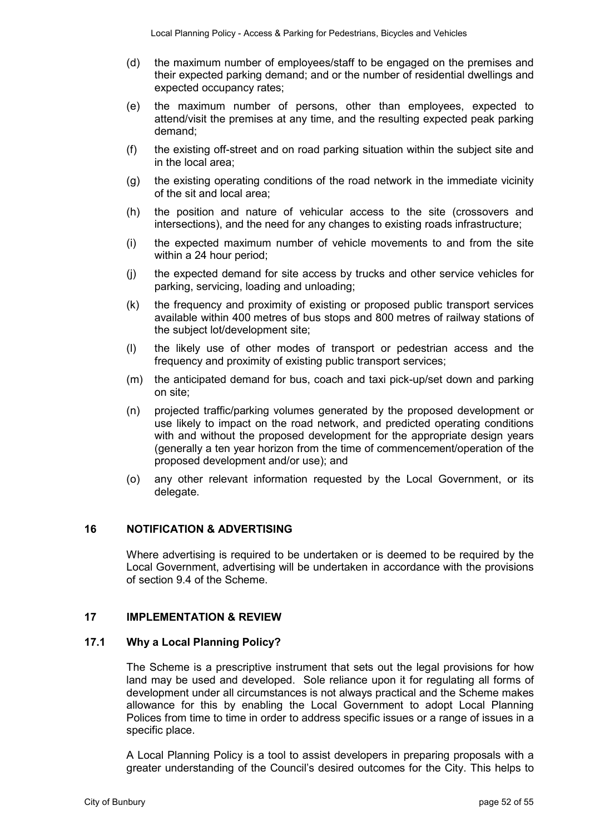- (d) the maximum number of employees/staff to be engaged on the premises and their expected parking demand; and or the number of residential dwellings and expected occupancy rates;
- (e) the maximum number of persons, other than employees, expected to attend/visit the premises at any time, and the resulting expected peak parking demand;
- (f) the existing off-street and on road parking situation within the subject site and in the local area;
- (g) the existing operating conditions of the road network in the immediate vicinity of the sit and local area;
- (h) the position and nature of vehicular access to the site (crossovers and intersections), and the need for any changes to existing roads infrastructure;
- (i) the expected maximum number of vehicle movements to and from the site within a 24 hour period;
- (j) the expected demand for site access by trucks and other service vehicles for parking, servicing, loading and unloading;
- (k) the frequency and proximity of existing or proposed public transport services available within 400 metres of bus stops and 800 metres of railway stations of the subject lot/development site;
- (l) the likely use of other modes of transport or pedestrian access and the frequency and proximity of existing public transport services;
- (m) the anticipated demand for bus, coach and taxi pick-up/set down and parking on site;
- (n) projected traffic/parking volumes generated by the proposed development or use likely to impact on the road network, and predicted operating conditions with and without the proposed development for the appropriate design years (generally a ten year horizon from the time of commencement/operation of the proposed development and/or use); and
- (o) any other relevant information requested by the Local Government, or its delegate.

#### **16 NOTIFICATION & ADVERTISING**

Where advertising is required to be undertaken or is deemed to be required by the Local Government, advertising will be undertaken in accordance with the provisions of section 9.4 of the Scheme.

#### **17 IMPLEMENTATION & REVIEW**

#### **17.1 Why a Local Planning Policy?**

The Scheme is a prescriptive instrument that sets out the legal provisions for how land may be used and developed. Sole reliance upon it for regulating all forms of development under all circumstances is not always practical and the Scheme makes allowance for this by enabling the Local Government to adopt Local Planning Polices from time to time in order to address specific issues or a range of issues in a specific place.

A Local Planning Policy is a tool to assist developers in preparing proposals with a greater understanding of the Council's desired outcomes for the City. This helps to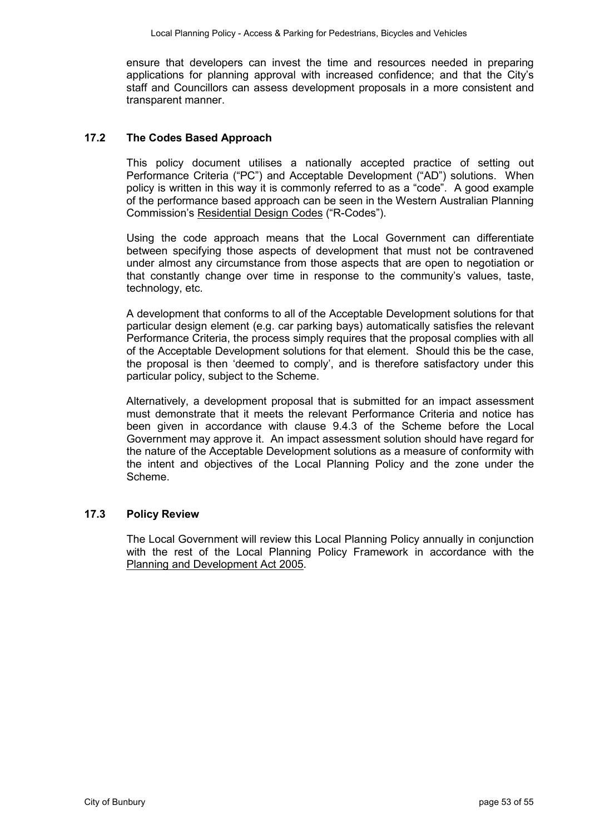ensure that developers can invest the time and resources needed in preparing applications for planning approval with increased confidence; and that the City's staff and Councillors can assess development proposals in a more consistent and transparent manner.

#### **17.2 The Codes Based Approach**

This policy document utilises a nationally accepted practice of setting out Performance Criteria ("PC") and Acceptable Development ("AD") solutions. When policy is written in this way it is commonly referred to as a "code". A good example of the performance based approach can be seen in the Western Australian Planning Commission's Residential Design Codes ("R-Codes").

Using the code approach means that the Local Government can differentiate between specifying those aspects of development that must not be contravened under almost any circumstance from those aspects that are open to negotiation or that constantly change over time in response to the community's values, taste, technology, etc.

A development that conforms to all of the Acceptable Development solutions for that particular design element (e.g. car parking bays) automatically satisfies the relevant Performance Criteria, the process simply requires that the proposal complies with all of the Acceptable Development solutions for that element. Should this be the case, the proposal is then 'deemed to comply', and is therefore satisfactory under this particular policy, subject to the Scheme.

Alternatively, a development proposal that is submitted for an impact assessment must demonstrate that it meets the relevant Performance Criteria and notice has been given in accordance with clause 9.4.3 of the Scheme before the Local Government may approve it. An impact assessment solution should have regard for the nature of the Acceptable Development solutions as a measure of conformity with the intent and objectives of the Local Planning Policy and the zone under the Scheme.

#### **17.3 Policy Review**

The Local Government will review this Local Planning Policy annually in conjunction with the rest of the Local Planning Policy Framework in accordance with the Planning and Development Act 2005.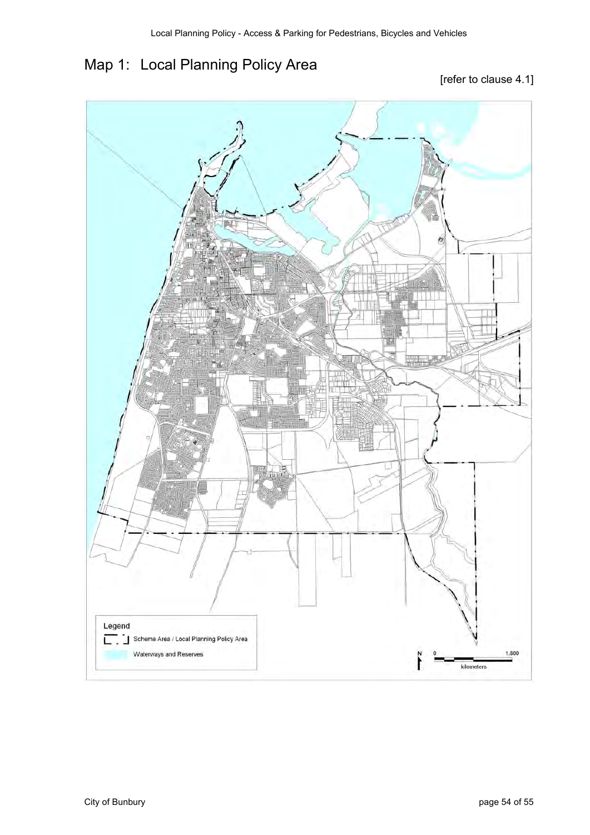# Map 1: Local Planning Policy Area

### [refer to clause 4.1]